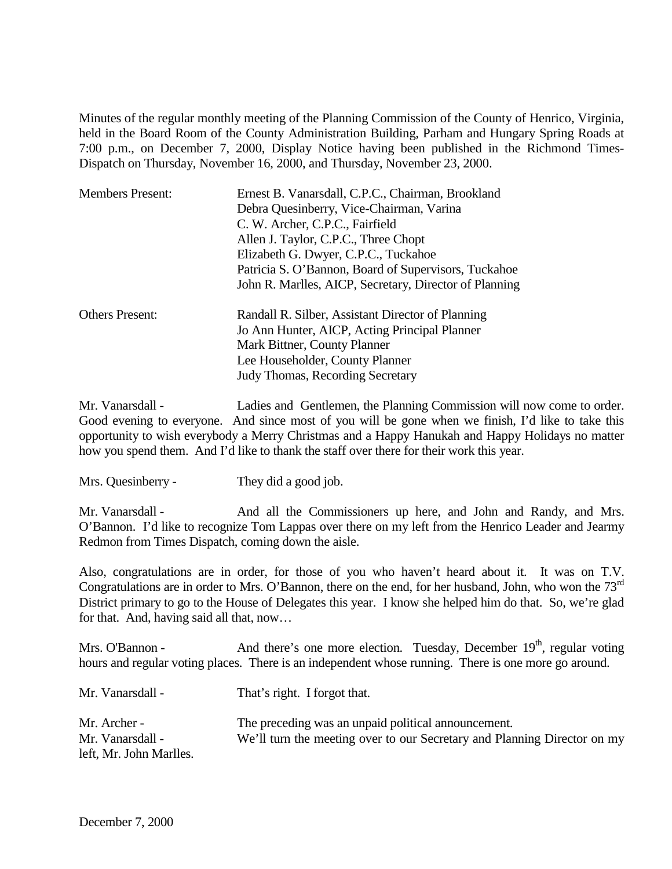Minutes of the regular monthly meeting of the Planning Commission of the County of Henrico, Virginia, held in the Board Room of the County Administration Building, Parham and Hungary Spring Roads at 7:00 p.m., on December 7, 2000, Display Notice having been published in the Richmond Times-Dispatch on Thursday, November 16, 2000, and Thursday, November 23, 2000.

| <b>Members Present:</b> | Ernest B. Vanarsdall, C.P.C., Chairman, Brookland      |  |  |
|-------------------------|--------------------------------------------------------|--|--|
|                         | Debra Quesinberry, Vice-Chairman, Varina               |  |  |
|                         | C. W. Archer, C.P.C., Fairfield                        |  |  |
|                         | Allen J. Taylor, C.P.C., Three Chopt                   |  |  |
|                         | Elizabeth G. Dwyer, C.P.C., Tuckahoe                   |  |  |
|                         | Patricia S. O'Bannon, Board of Supervisors, Tuckahoe   |  |  |
|                         | John R. Marlles, AICP, Secretary, Director of Planning |  |  |
| <b>Others Present:</b>  | Randall R. Silber, Assistant Director of Planning      |  |  |
|                         | Jo Ann Hunter, AICP, Acting Principal Planner          |  |  |
|                         | Mark Bittner, County Planner                           |  |  |
|                         | Lee Householder, County Planner                        |  |  |
|                         | Judy Thomas, Recording Secretary                       |  |  |

Mr. Vanarsdall - Ladies and Gentlemen, the Planning Commission will now come to order. Good evening to everyone. And since most of you will be gone when we finish, I'd like to take this opportunity to wish everybody a Merry Christmas and a Happy Hanukah and Happy Holidays no matter how you spend them. And I'd like to thank the staff over there for their work this year.

Mrs. Quesinberry - They did a good job.

Mr. Vanarsdall - And all the Commissioners up here, and John and Randy, and Mrs. O'Bannon. I'd like to recognize Tom Lappas over there on my left from the Henrico Leader and Jearmy Redmon from Times Dispatch, coming down the aisle.

Also, congratulations are in order, for those of you who haven't heard about it. It was on T.V. Congratulations are in order to Mrs. O'Bannon, there on the end, for her husband, John, who won the 73rd District primary to go to the House of Delegates this year. I know she helped him do that. So, we're glad for that. And, having said all that, now…

Mrs. O'Bannon - And there's one more election. Tuesday, December 19<sup>th</sup>, regular voting hours and regular voting places. There is an independent whose running. There is one more go around.

| Mr. Vanarsdall -                 | That's right. I forgot that.                                                                                                    |
|----------------------------------|---------------------------------------------------------------------------------------------------------------------------------|
| Mr. Archer -<br>Mr. Vanarsdall - | The preceding was an unpaid political announcement.<br>We'll turn the meeting over to our Secretary and Planning Director on my |
| left, Mr. John Marlles.          |                                                                                                                                 |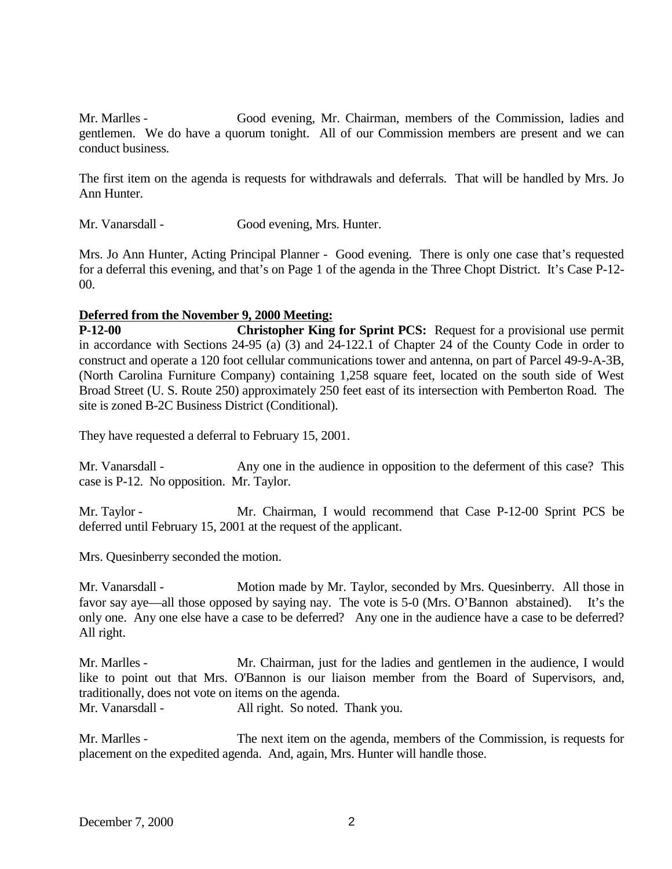Mr. Marlles - Good evening, Mr. Chairman, members of the Commission, ladies and gentlemen. We do have a quorum tonight. All of our Commission members are present and we can conduct business.

The first item on the agenda is requests for withdrawals and deferrals. That will be handled by Mrs. Jo Ann Hunter.

Mr. Vanarsdall - Good evening, Mrs. Hunter.

Mrs. Jo Ann Hunter, Acting Principal Planner - Good evening. There is only one case that's requested for a deferral this evening, and that's on Page 1 of the agenda in the Three Chopt District. It's Case P-12- 00.

## **Deferred from the November 9, 2000 Meeting:**

**Christopher King for Sprint PCS:** Request for a provisional use permit in accordance with Sections 24-95 (a) (3) and 24-122.1 of Chapter 24 of the County Code in order to construct and operate a 120 foot cellular communications tower and antenna, on part of Parcel 49-9-A-3B, (North Carolina Furniture Company) containing 1,258 square feet, located on the south side of West Broad Street (U. S. Route 250) approximately 250 feet east of its intersection with Pemberton Road. The site is zoned B-2C Business District (Conditional).

They have requested a deferral to February 15, 2001.

Mr. Vanarsdall - Any one in the audience in opposition to the deferment of this case? This case is P-12. No opposition. Mr. Taylor.

Mr. Taylor - Mr. Chairman, I would recommend that Case P-12-00 Sprint PCS be deferred until February 15, 2001 at the request of the applicant.

Mrs. Quesinberry seconded the motion.

Mr. Vanarsdall - Motion made by Mr. Taylor, seconded by Mrs. Quesinberry. All those in favor say aye—all those opposed by saying nay. The vote is 5-0 (Mrs. O'Bannon abstained). It's the only one. Any one else have a case to be deferred? Any one in the audience have a case to be deferred? All right.

Mr. Marlles - Mr. Chairman, just for the ladies and gentlemen in the audience, I would like to point out that Mrs. O'Bannon is our liaison member from the Board of Supervisors, and, traditionally, does not vote on items on the agenda.

Mr. Vanarsdall - All right. So noted. Thank you.

Mr. Marlles - The next item on the agenda, members of the Commission, is requests for placement on the expedited agenda. And, again, Mrs. Hunter will handle those.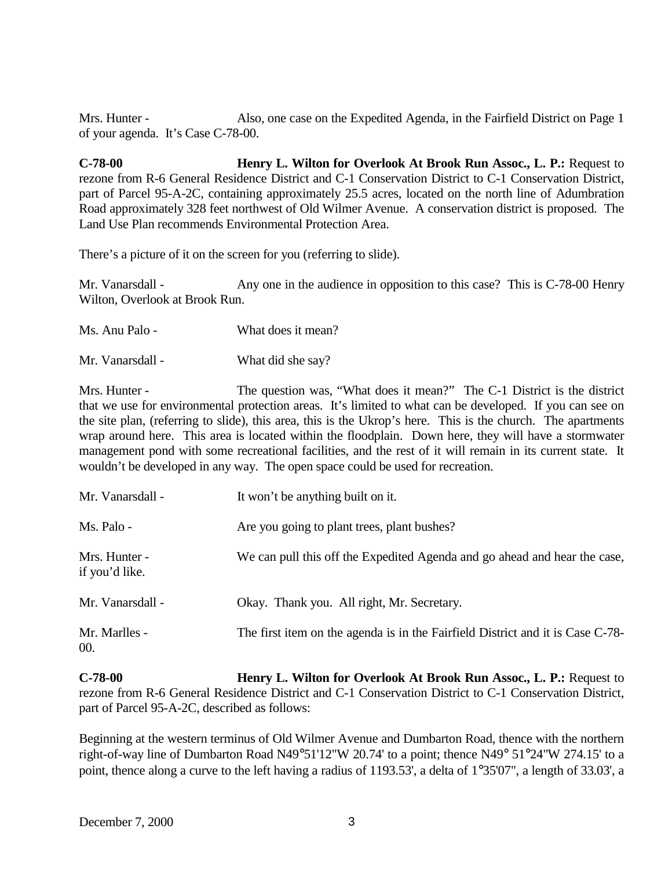Mrs. Hunter - Also, one case on the Expedited Agenda, in the Fairfield District on Page 1 of your agenda. It's Case C-78-00.

**C-78-00 Henry L. Wilton for Overlook At Brook Run Assoc., L. P.:** Request to rezone from R-6 General Residence District and C-1 Conservation District to C-1 Conservation District, part of Parcel 95-A-2C, containing approximately 25.5 acres, located on the north line of Adumbration Road approximately 328 feet northwest of Old Wilmer Avenue. A conservation district is proposed. The Land Use Plan recommends Environmental Protection Area.

There's a picture of it on the screen for you (referring to slide).

Mr. Vanarsdall - Any one in the audience in opposition to this case? This is C-78-00 Henry Wilton, Overlook at Brook Run.

- Ms. Anu Palo What does it mean?
- Mr. Vanarsdall What did she say?

Mrs. Hunter - The question was, "What does it mean?" The C-1 District is the district that we use for environmental protection areas. It's limited to what can be developed. If you can see on the site plan, (referring to slide), this area, this is the Ukrop's here. This is the church. The apartments wrap around here. This area is located within the floodplain. Down here, they will have a stormwater management pond with some recreational facilities, and the rest of it will remain in its current state. It wouldn't be developed in any way. The open space could be used for recreation.

| Mr. Vanarsdall -                | It won't be anything built on it.                                              |
|---------------------------------|--------------------------------------------------------------------------------|
| Ms. Palo -                      | Are you going to plant trees, plant bushes?                                    |
| Mrs. Hunter -<br>if you'd like. | We can pull this off the Expedited Agenda and go ahead and hear the case,      |
| Mr. Vanarsdall -                | Okay. Thank you. All right, Mr. Secretary.                                     |
| Mr. Marlles -<br>00.            | The first item on the agenda is in the Fairfield District and it is Case C-78- |

**C-78-00 Henry L. Wilton for Overlook At Brook Run Assoc., L. P.:** Request to rezone from R-6 General Residence District and C-1 Conservation District to C-1 Conservation District, part of Parcel 95-A-2C, described as follows:

Beginning at the western terminus of Old Wilmer Avenue and Dumbarton Road, thence with the northern right-of-way line of Dumbarton Road N49°51'12"W 20.74' to a point; thence N49° 51°24"W 274.15' to a point, thence along a curve to the left having a radius of 1193.53', a delta of 1°35'07", a length of 33.03', a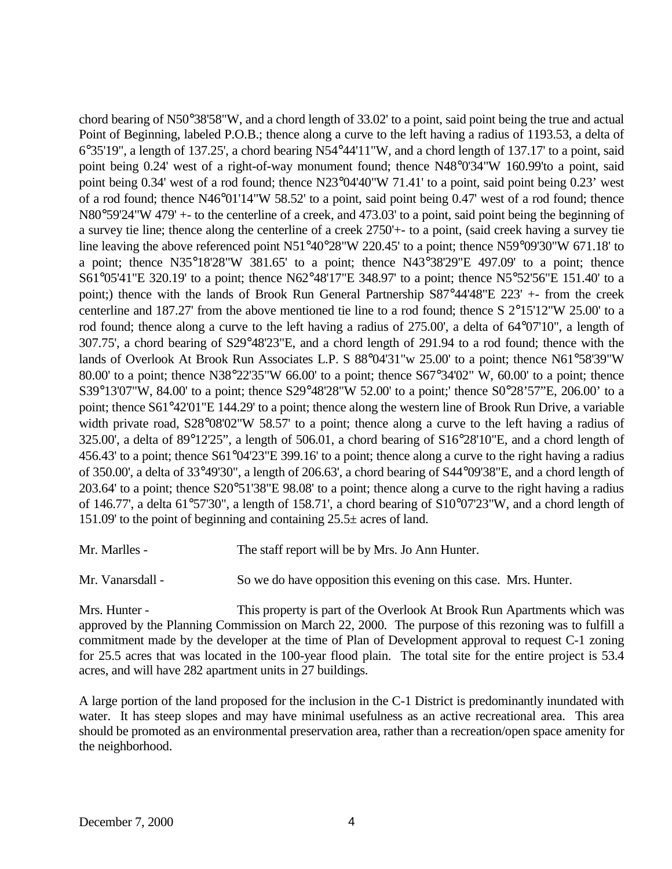chord bearing of N50°38'58"W, and a chord length of 33.02' to a point, said point being the true and actual Point of Beginning, labeled P.O.B.; thence along a curve to the left having a radius of 1193.53, a delta of 6°35'19", a length of 137.25', a chord bearing N54°44'11"W, and a chord length of 137.17' to a point, said point being 0.24' west of a right-of-way monument found; thence N48°0'34"W 160.99'to a point, said point being 0.34' west of a rod found; thence N23°04'40"W 71.41' to a point, said point being 0.23' west of a rod found; thence N46°01'14"W 58.52' to a point, said point being 0.47' west of a rod found; thence N80°59'24"W 479' +- to the centerline of a creek, and 473.03' to a point, said point being the beginning of a survey tie line; thence along the centerline of a creek 2750'+- to a point, (said creek having a survey tie line leaving the above referenced point N51°40°28"W 220.45' to a point; thence N59°09'30"W 671.18' to a point; thence N35°18'28"W 381.65' to a point; thence N43°38'29"E 497.09' to a point; thence S61°05'41"E 320.19' to a point; thence N62°48'17"E 348.97' to a point; thence N5°52'56"E 151.40' to a point;) thence with the lands of Brook Run General Partnership S87°44'48"E 223' +- from the creek centerline and 187.27' from the above mentioned tie line to a rod found; thence S 2°15'12"W 25.00' to a rod found; thence along a curve to the left having a radius of 275.00', a delta of 64°07'10", a length of 307.75', a chord bearing of S29°48'23"E, and a chord length of 291.94 to a rod found; thence with the lands of Overlook At Brook Run Associates L.P. S 88°04'31"w 25.00' to a point; thence N61°58'39"W 80.00' to a point; thence N38°22'35"W 66.00' to a point; thence S67°34'02" W, 60.00' to a point; thence S39°13'07"W, 84.00' to a point; thence S29°48'28"W 52.00' to a point;' thence S0°28'57"E, 206.00' to a point; thence S61°42'01"E 144.29' to a point; thence along the western line of Brook Run Drive, a variable width private road, S28°08'02"W 58.57' to a point; thence along a curve to the left having a radius of 325.00', a delta of 89°12'25", a length of 506.01, a chord bearing of S16°28'10"E, and a chord length of 456.43' to a point; thence S61°04'23"E 399.16' to a point; thence along a curve to the right having a radius of 350.00', a delta of 33°49'30", a length of 206.63', a chord bearing of S44°09'38"E, and a chord length of 203.64' to a point; thence S20°51'38"E 98.08' to a point; thence along a curve to the right having a radius of 146.77', a delta 61°57'30", a length of 158.71', a chord bearing of S10°07'23"W, and a chord length of 151.09' to the point of beginning and containing 25.5± acres of land.

Mr. Marlles - The staff report will be by Mrs. Jo Ann Hunter.

Mr. Vanarsdall - So we do have opposition this evening on this case. Mrs. Hunter.

Mrs. Hunter - This property is part of the Overlook At Brook Run Apartments which was approved by the Planning Commission on March 22, 2000. The purpose of this rezoning was to fulfill a commitment made by the developer at the time of Plan of Development approval to request C-1 zoning for 25.5 acres that was located in the 100-year flood plain. The total site for the entire project is 53.4 acres, and will have 282 apartment units in 27 buildings.

A large portion of the land proposed for the inclusion in the C-1 District is predominantly inundated with water. It has steep slopes and may have minimal usefulness as an active recreational area. This area should be promoted as an environmental preservation area, rather than a recreation/open space amenity for the neighborhood.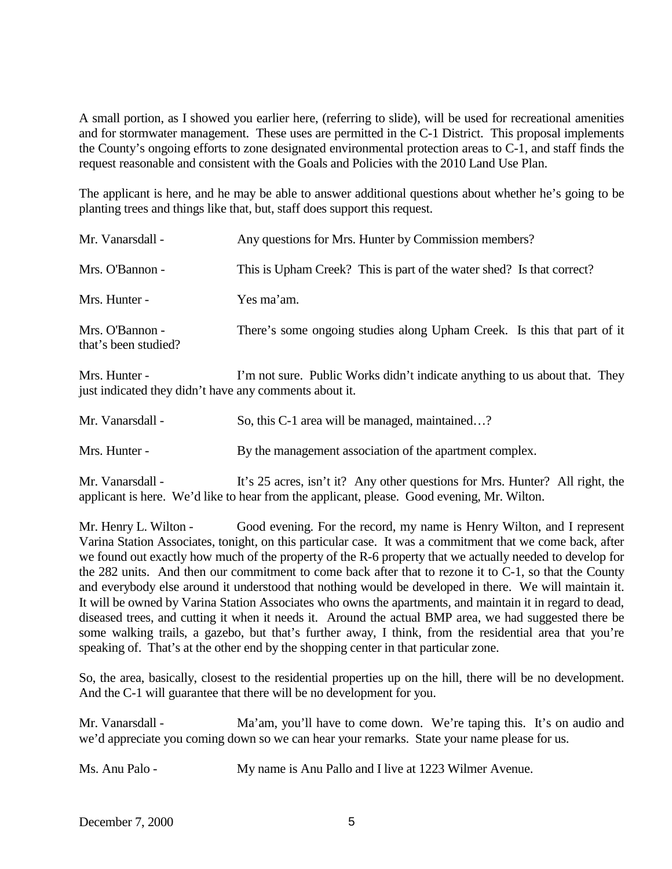A small portion, as I showed you earlier here, (referring to slide), will be used for recreational amenities and for stormwater management. These uses are permitted in the C-1 District. This proposal implements the County's ongoing efforts to zone designated environmental protection areas to C-1, and staff finds the request reasonable and consistent with the Goals and Policies with the 2010 Land Use Plan.

The applicant is here, and he may be able to answer additional questions about whether he's going to be planting trees and things like that, but, staff does support this request.

| Mr. Vanarsdall -                        | Any questions for Mrs. Hunter by Commission members?                    |
|-----------------------------------------|-------------------------------------------------------------------------|
| Mrs. O'Bannon -                         | This is Upham Creek? This is part of the water shed? Is that correct?   |
| Mrs. Hunter -                           | Yes ma'am.                                                              |
| Mrs. O'Bannon -<br>that's been studied? | There's some ongoing studies along Upham Creek. Is this that part of it |

Mrs. Hunter - I'm not sure. Public Works didn't indicate anything to us about that. They just indicated they didn't have any comments about it.

| Mr. Vanarsdall - | So, this C-1 area will be managed, maintained?          |
|------------------|---------------------------------------------------------|
| Mrs. Hunter -    | By the management association of the apartment complex. |
|                  |                                                         |

Mr. Vanarsdall - It's 25 acres, isn't it? Any other questions for Mrs. Hunter? All right, the applicant is here. We'd like to hear from the applicant, please. Good evening, Mr. Wilton.

Mr. Henry L. Wilton - Good evening. For the record, my name is Henry Wilton, and I represent Varina Station Associates, tonight, on this particular case. It was a commitment that we come back, after we found out exactly how much of the property of the R-6 property that we actually needed to develop for the 282 units. And then our commitment to come back after that to rezone it to C-1, so that the County and everybody else around it understood that nothing would be developed in there. We will maintain it. It will be owned by Varina Station Associates who owns the apartments, and maintain it in regard to dead, diseased trees, and cutting it when it needs it. Around the actual BMP area, we had suggested there be some walking trails, a gazebo, but that's further away, I think, from the residential area that you're speaking of. That's at the other end by the shopping center in that particular zone.

So, the area, basically, closest to the residential properties up on the hill, there will be no development. And the C-1 will guarantee that there will be no development for you.

Mr. Vanarsdall - Ma'am, you'll have to come down. We're taping this. It's on audio and we'd appreciate you coming down so we can hear your remarks. State your name please for us.

Ms. Anu Palo - My name is Anu Pallo and I live at 1223 Wilmer Avenue.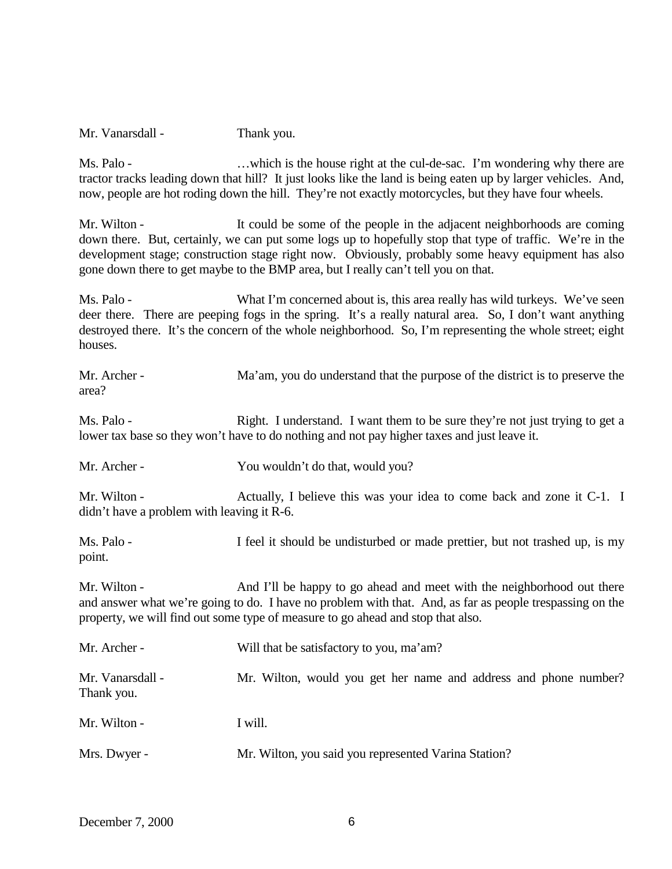Mr. Vanarsdall - Thank you.

Ms. Palo - ... which is the house right at the cul-de-sac. I'm wondering why there are tractor tracks leading down that hill? It just looks like the land is being eaten up by larger vehicles. And, now, people are hot roding down the hill. They're not exactly motorcycles, but they have four wheels.

Mr. Wilton - It could be some of the people in the adjacent neighborhoods are coming down there. But, certainly, we can put some logs up to hopefully stop that type of traffic. We're in the development stage; construction stage right now. Obviously, probably some heavy equipment has also gone down there to get maybe to the BMP area, but I really can't tell you on that.

Ms. Palo - What I'm concerned about is, this area really has wild turkeys. We've seen deer there. There are peeping fogs in the spring. It's a really natural area. So, I don't want anything destroyed there. It's the concern of the whole neighborhood. So, I'm representing the whole street; eight houses.

Mr. Archer - Ma'am, you do understand that the purpose of the district is to preserve the area?

Ms. Palo - Right. I understand. I want them to be sure they're not just trying to get a lower tax base so they won't have to do nothing and not pay higher taxes and just leave it.

Mr. Archer - You wouldn't do that, would you?

Mr. Wilton - Actually, I believe this was your idea to come back and zone it C-1. I didn't have a problem with leaving it R-6.

Ms. Palo - I feel it should be undisturbed or made prettier, but not trashed up, is my point.

Mr. Wilton - And I'll be happy to go ahead and meet with the neighborhood out there and answer what we're going to do. I have no problem with that. And, as far as people trespassing on the property, we will find out some type of measure to go ahead and stop that also.

| Mr. Archer -                   | Will that be satisfactory to you, ma'am?                         |
|--------------------------------|------------------------------------------------------------------|
| Mr. Vanarsdall -<br>Thank you. | Mr. Wilton, would you get her name and address and phone number? |
| Mr. Wilton -                   | I will.                                                          |
| Mrs. Dwyer -                   | Mr. Wilton, you said you represented Varina Station?             |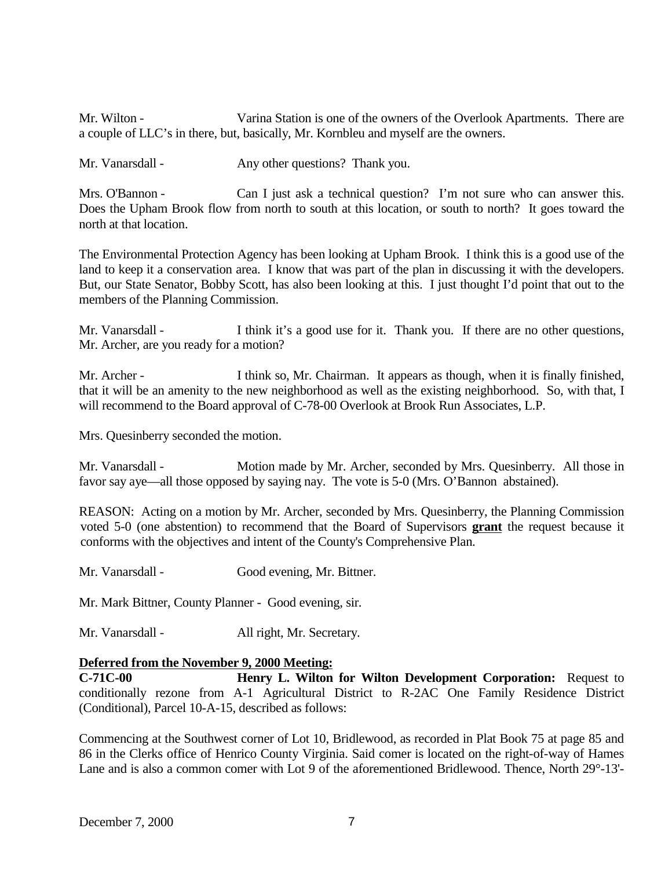Mr. Wilton - Varina Station is one of the owners of the Overlook Apartments. There are a couple of LLC's in there, but, basically, Mr. Kornbleu and myself are the owners.

Mr. Vanarsdall - Any other questions? Thank you.

Mrs. O'Bannon - Can I just ask a technical question? I'm not sure who can answer this. Does the Upham Brook flow from north to south at this location, or south to north? It goes toward the north at that location.

The Environmental Protection Agency has been looking at Upham Brook. I think this is a good use of the land to keep it a conservation area. I know that was part of the plan in discussing it with the developers. But, our State Senator, Bobby Scott, has also been looking at this. I just thought I'd point that out to the members of the Planning Commission.

Mr. Vanarsdall - I think it's a good use for it. Thank you. If there are no other questions, Mr. Archer, are you ready for a motion?

Mr. Archer - I think so, Mr. Chairman. It appears as though, when it is finally finished, that it will be an amenity to the new neighborhood as well as the existing neighborhood. So, with that, I will recommend to the Board approval of C-78-00 Overlook at Brook Run Associates, L.P.

Mrs. Quesinberry seconded the motion.

Mr. Vanarsdall - Motion made by Mr. Archer, seconded by Mrs. Quesinberry. All those in favor say aye—all those opposed by saying nay. The vote is 5-0 (Mrs. O'Bannon abstained).

REASON: Acting on a motion by Mr. Archer, seconded by Mrs. Quesinberry, the Planning Commission voted 5-0 (one abstention) to recommend that the Board of Supervisors **grant** the request because it conforms with the objectives and intent of the County's Comprehensive Plan.

Mr. Vanarsdall - Good evening, Mr. Bittner.

Mr. Mark Bittner, County Planner - Good evening, sir.

Mr. Vanarsdall - All right, Mr. Secretary.

## **Deferred from the November 9, 2000 Meeting:**

**C-71C-00 Henry L. Wilton for Wilton Development Corporation:** Request to conditionally rezone from A-1 Agricultural District to R-2AC One Family Residence District (Conditional), Parcel 10-A-15, described as follows:

Commencing at the Southwest corner of Lot 10, Bridlewood, as recorded in Plat Book 75 at page 85 and 86 in the Clerks office of Henrico County Virginia. Said comer is located on the right-of-way of Hames Lane and is also a common comer with Lot 9 of the aforementioned Bridlewood. Thence, North 29°-13'-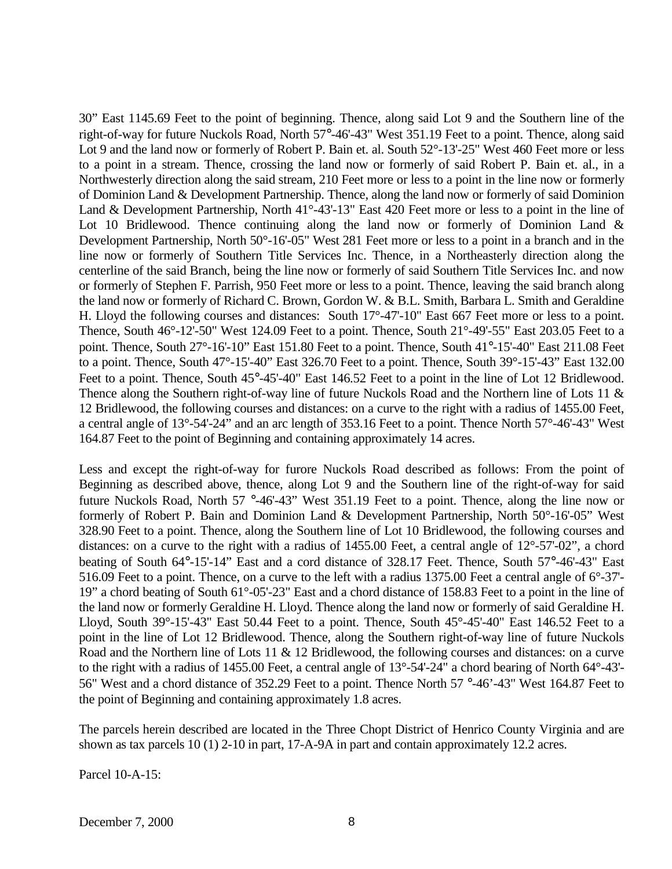30" East 1145.69 Feet to the point of beginning. Thence, along said Lot 9 and the Southern line of the right-of-way for future Nuckols Road, North 57°-46'-43" West 351.19 Feet to a point. Thence, along said Lot 9 and the land now or formerly of Robert P. Bain et. al. South 52°-13'-25" West 460 Feet more or less to a point in a stream. Thence, crossing the land now or formerly of said Robert P. Bain et. al., in a Northwesterly direction along the said stream, 210 Feet more or less to a point in the line now or formerly of Dominion Land & Development Partnership. Thence, along the land now or formerly of said Dominion Land & Development Partnership, North 41°-43'-13" East 420 Feet more or less to a point in the line of Lot 10 Bridlewood. Thence continuing along the land now or formerly of Dominion Land  $\&$ Development Partnership, North 50°-16'-05" West 281 Feet more or less to a point in a branch and in the line now or formerly of Southern Title Services Inc. Thence, in a Northeasterly direction along the centerline of the said Branch, being the line now or formerly of said Southern Title Services Inc. and now or formerly of Stephen F. Parrish, 950 Feet more or less to a point. Thence, leaving the said branch along the land now or formerly of Richard C. Brown, Gordon W. & B.L. Smith, Barbara L. Smith and Geraldine H. Lloyd the following courses and distances: South 17°-47'-10" East 667 Feet more or less to a point. Thence, South 46°-12'-50" West 124.09 Feet to a point. Thence, South 21°-49'-55" East 203.05 Feet to a point. Thence, South 27°-16'-10" East 151.80 Feet to a point. Thence, South 41°-15'-40" East 211.08 Feet to a point. Thence, South 47°-15'-40" East 326.70 Feet to a point. Thence, South 39°-15'-43" East 132.00 Feet to a point. Thence, South 45°-45'-40" East 146.52 Feet to a point in the line of Lot 12 Bridlewood. Thence along the Southern right-of-way line of future Nuckols Road and the Northern line of Lots 11 & 12 Bridlewood, the following courses and distances: on a curve to the right with a radius of 1455.00 Feet, a central angle of 13°-54'-24" and an arc length of 353.16 Feet to a point. Thence North 57°-46'-43" West 164.87 Feet to the point of Beginning and containing approximately 14 acres.

Less and except the right-of-way for furore Nuckols Road described as follows: From the point of Beginning as described above, thence, along Lot 9 and the Southern line of the right-of-way for said future Nuckols Road, North 57 °-46'-43" West 351.19 Feet to a point. Thence, along the line now or formerly of Robert P. Bain and Dominion Land & Development Partnership, North 50°-16'-05" West 328.90 Feet to a point. Thence, along the Southern line of Lot 10 Bridlewood, the following courses and distances: on a curve to the right with a radius of 1455.00 Feet, a central angle of 12°-57'-02", a chord beating of South 64°-15'-14" East and a cord distance of 328.17 Feet. Thence, South 57°-46'-43" East 516.09 Feet to a point. Thence, on a curve to the left with a radius 1375.00 Feet a central angle of 6°-37'- 19" a chord beating of South 61°-05'-23" East and a chord distance of 158.83 Feet to a point in the line of the land now or formerly Geraldine H. Lloyd. Thence along the land now or formerly of said Geraldine H. Lloyd, South 39°-15'-43" East 50.44 Feet to a point. Thence, South 45°-45'-40" East 146.52 Feet to a point in the line of Lot 12 Bridlewood. Thence, along the Southern right-of-way line of future Nuckols Road and the Northern line of Lots 11 & 12 Bridlewood, the following courses and distances: on a curve to the right with a radius of 1455.00 Feet, a central angle of 13°-54'-24" a chord bearing of North 64°-43'- 56" West and a chord distance of 352.29 Feet to a point. Thence North 57 °-46'-43" West 164.87 Feet to the point of Beginning and containing approximately 1.8 acres.

The parcels herein described are located in the Three Chopt District of Henrico County Virginia and are shown as tax parcels 10 (1) 2-10 in part, 17-A-9A in part and contain approximately 12.2 acres.

Parcel 10-A-15: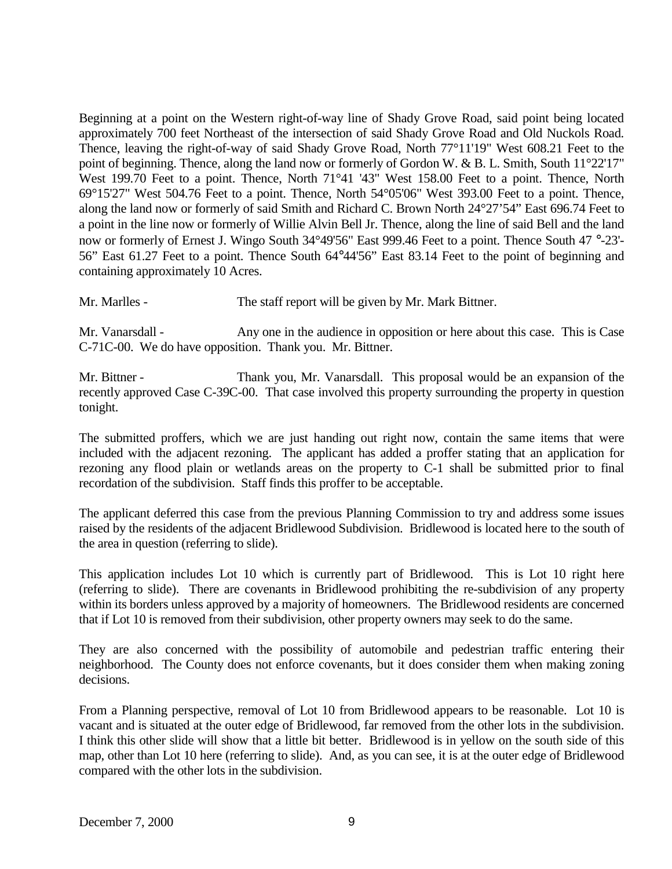Beginning at a point on the Western right-of-way line of Shady Grove Road, said point being located approximately 700 feet Northeast of the intersection of said Shady Grove Road and Old Nuckols Road. Thence, leaving the right-of-way of said Shady Grove Road, North 77°11'19" West 608.21 Feet to the point of beginning. Thence, along the land now or formerly of Gordon W. & B. L. Smith, South 11°22'17" West 199.70 Feet to a point. Thence, North 71°41 '43" West 158.00 Feet to a point. Thence, North 69°15'27" West 504.76 Feet to a point. Thence, North 54°05'06" West 393.00 Feet to a point. Thence, along the land now or formerly of said Smith and Richard C. Brown North 24°27'54" East 696.74 Feet to a point in the line now or formerly of Willie Alvin Bell Jr. Thence, along the line of said Bell and the land now or formerly of Ernest J. Wingo South 34°49'56" East 999.46 Feet to a point. Thence South 47 °-23'- 56" East 61.27 Feet to a point. Thence South 64°44'56" East 83.14 Feet to the point of beginning and containing approximately 10 Acres.

Mr. Marlles - The staff report will be given by Mr. Mark Bittner.

Mr. Vanarsdall - Any one in the audience in opposition or here about this case. This is Case C-71C-00. We do have opposition. Thank you. Mr. Bittner.

Mr. Bittner - Thank you, Mr. Vanarsdall. This proposal would be an expansion of the recently approved Case C-39C-00. That case involved this property surrounding the property in question tonight.

The submitted proffers, which we are just handing out right now, contain the same items that were included with the adjacent rezoning. The applicant has added a proffer stating that an application for rezoning any flood plain or wetlands areas on the property to C-1 shall be submitted prior to final recordation of the subdivision. Staff finds this proffer to be acceptable.

The applicant deferred this case from the previous Planning Commission to try and address some issues raised by the residents of the adjacent Bridlewood Subdivision. Bridlewood is located here to the south of the area in question (referring to slide).

This application includes Lot 10 which is currently part of Bridlewood. This is Lot 10 right here (referring to slide). There are covenants in Bridlewood prohibiting the re-subdivision of any property within its borders unless approved by a majority of homeowners. The Bridlewood residents are concerned that if Lot 10 is removed from their subdivision, other property owners may seek to do the same.

They are also concerned with the possibility of automobile and pedestrian traffic entering their neighborhood. The County does not enforce covenants, but it does consider them when making zoning decisions.

From a Planning perspective, removal of Lot 10 from Bridlewood appears to be reasonable. Lot 10 is vacant and is situated at the outer edge of Bridlewood, far removed from the other lots in the subdivision. I think this other slide will show that a little bit better. Bridlewood is in yellow on the south side of this map, other than Lot 10 here (referring to slide). And, as you can see, it is at the outer edge of Bridlewood compared with the other lots in the subdivision.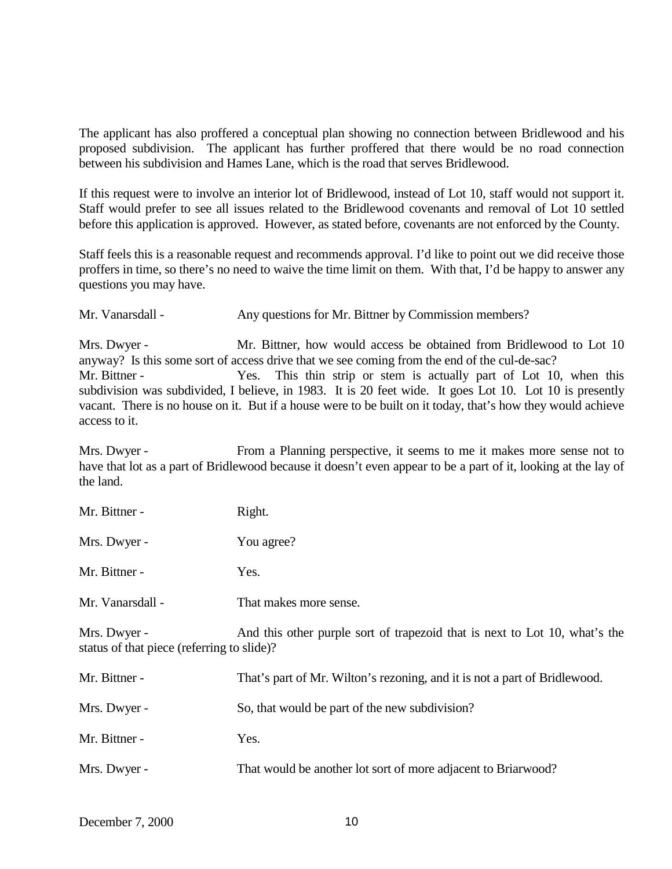The applicant has also proffered a conceptual plan showing no connection between Bridlewood and his proposed subdivision. The applicant has further proffered that there would be no road connection between his subdivision and Hames Lane, which is the road that serves Bridlewood.

If this request were to involve an interior lot of Bridlewood, instead of Lot 10, staff would not support it. Staff would prefer to see all issues related to the Bridlewood covenants and removal of Lot 10 settled before this application is approved. However, as stated before, covenants are not enforced by the County.

Staff feels this is a reasonable request and recommends approval. I'd like to point out we did receive those proffers in time, so there's no need to waive the time limit on them. With that, I'd be happy to answer any questions you may have.

Mr. Vanarsdall - Any questions for Mr. Bittner by Commission members?

Mrs. Dwyer - Mr. Bittner, how would access be obtained from Bridlewood to Lot 10 anyway? Is this some sort of access drive that we see coming from the end of the cul-de-sac? Mr. Bittner - Yes. This thin strip or stem is actually part of Lot 10, when this subdivision was subdivided, I believe, in 1983. It is 20 feet wide. It goes Lot 10. Lot 10 is presently vacant. There is no house on it. But if a house were to be built on it today, that's how they would achieve access to it.

Mrs. Dwyer - From a Planning perspective, it seems to me it makes more sense not to have that lot as a part of Bridlewood because it doesn't even appear to be a part of it, looking at the lay of the land.

Mr. Bittner - Right.

Mrs. Dwyer - You agree?

Mr. Bittner - Yes.

Mr. Vanarsdall - That makes more sense.

Mrs. Dwyer - And this other purple sort of trapezoid that is next to Lot 10, what's the status of that piece (referring to slide)?

| Mr. Bittner - | That's part of Mr. Wilton's rezoning, and it is not a part of Bridlewood. |
|---------------|---------------------------------------------------------------------------|
| Mrs. Dwyer -  | So, that would be part of the new subdivision?                            |
| Mr. Bittner - | Yes.                                                                      |
| Mrs. Dwyer -  | That would be another lot sort of more adjacent to Briarwood?             |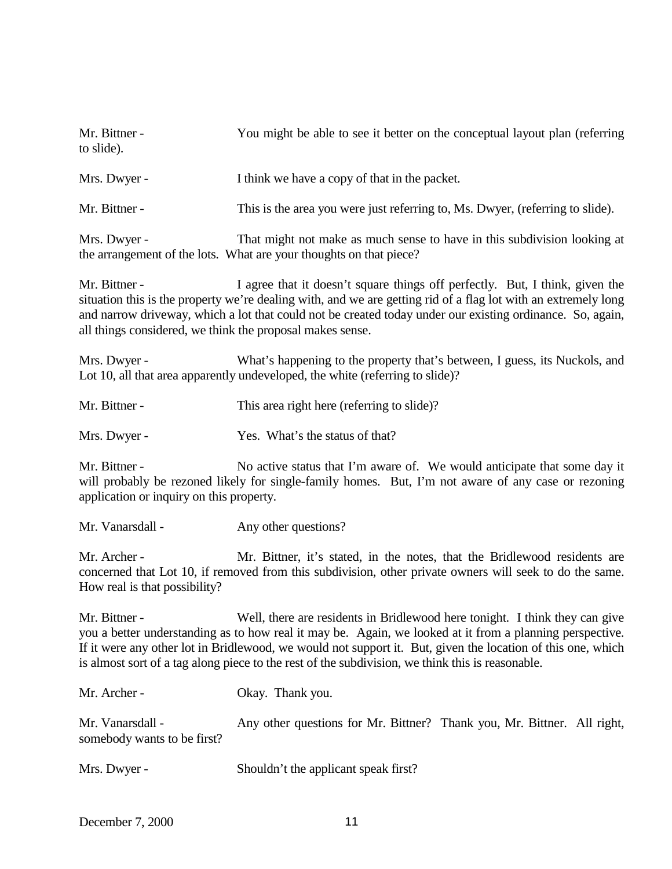| Mr. Bittner -<br>to slide).                                                                                                                                                                                                                                                                                                                                                                                                 | You might be able to see it better on the conceptual layout plan (referring                                                                                                          |  |  |
|-----------------------------------------------------------------------------------------------------------------------------------------------------------------------------------------------------------------------------------------------------------------------------------------------------------------------------------------------------------------------------------------------------------------------------|--------------------------------------------------------------------------------------------------------------------------------------------------------------------------------------|--|--|
| Mrs. Dwyer -                                                                                                                                                                                                                                                                                                                                                                                                                | I think we have a copy of that in the packet.                                                                                                                                        |  |  |
| Mr. Bittner -                                                                                                                                                                                                                                                                                                                                                                                                               | This is the area you were just referring to, Ms. Dwyer, (referring to slide).                                                                                                        |  |  |
| Mrs. Dwyer -                                                                                                                                                                                                                                                                                                                                                                                                                | That might not make as much sense to have in this subdivision looking at<br>the arrangement of the lots. What are your thoughts on that piece?                                       |  |  |
| Mr. Bittner -<br>I agree that it doesn't square things off perfectly. But, I think, given the<br>situation this is the property we're dealing with, and we are getting rid of a flag lot with an extremely long<br>and narrow driveway, which a lot that could not be created today under our existing ordinance. So, again,<br>all things considered, we think the proposal makes sense.                                   |                                                                                                                                                                                      |  |  |
| Mrs. Dwyer -                                                                                                                                                                                                                                                                                                                                                                                                                | What's happening to the property that's between, I guess, its Nuckols, and<br>Lot 10, all that area apparently undeveloped, the white (referring to slide)?                          |  |  |
| Mr. Bittner -                                                                                                                                                                                                                                                                                                                                                                                                               | This area right here (referring to slide)?                                                                                                                                           |  |  |
| Mrs. Dwyer -                                                                                                                                                                                                                                                                                                                                                                                                                | Yes. What's the status of that?                                                                                                                                                      |  |  |
| Mr. Bittner -<br>No active status that I'm aware of. We would anticipate that some day it<br>will probably be rezoned likely for single-family homes. But, I'm not aware of any case or rezoning<br>application or inquiry on this property.                                                                                                                                                                                |                                                                                                                                                                                      |  |  |
| Mr. Vanarsdall -                                                                                                                                                                                                                                                                                                                                                                                                            | Any other questions?                                                                                                                                                                 |  |  |
| Mr. Archer -<br>How real is that possibility?                                                                                                                                                                                                                                                                                                                                                                               | Mr. Bittner, it's stated, in the notes, that the Bridlewood residents are<br>concerned that Lot 10, if removed from this subdivision, other private owners will seek to do the same. |  |  |
| Well, there are residents in Bridlewood here tonight. I think they can give<br>Mr. Bittner -<br>you a better understanding as to how real it may be. Again, we looked at it from a planning perspective.<br>If it were any other lot in Bridlewood, we would not support it. But, given the location of this one, which<br>is almost sort of a tag along piece to the rest of the subdivision, we think this is reasonable. |                                                                                                                                                                                      |  |  |
| Mr. Archer -                                                                                                                                                                                                                                                                                                                                                                                                                | Okay. Thank you.                                                                                                                                                                     |  |  |
| Mr. Vanarsdall -<br>somebody wants to be first?                                                                                                                                                                                                                                                                                                                                                                             | Any other questions for Mr. Bittner? Thank you, Mr. Bittner. All right,                                                                                                              |  |  |

Mrs. Dwyer - Shouldn't the applicant speak first?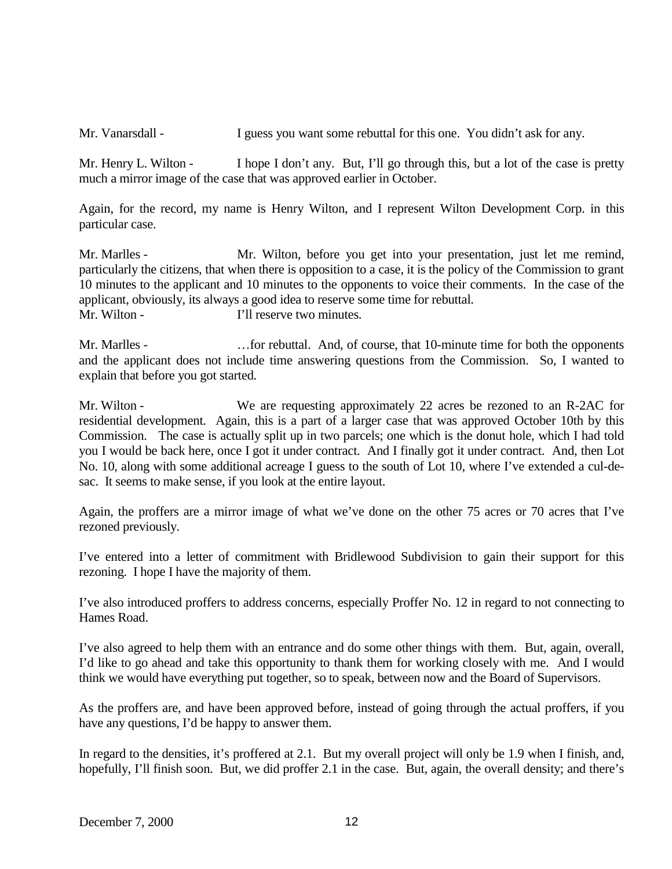Mr. Vanarsdall - I guess you want some rebuttal for this one. You didn't ask for any.

Mr. Henry L. Wilton - I hope I don't any. But, I'll go through this, but a lot of the case is pretty much a mirror image of the case that was approved earlier in October.

Again, for the record, my name is Henry Wilton, and I represent Wilton Development Corp. in this particular case.

Mr. Marlles - Mr. Wilton, before you get into your presentation, just let me remind, particularly the citizens, that when there is opposition to a case, it is the policy of the Commission to grant 10 minutes to the applicant and 10 minutes to the opponents to voice their comments. In the case of the applicant, obviously, its always a good idea to reserve some time for rebuttal. Mr. Wilton - T'll reserve two minutes.

Mr. Marlles - ... for rebuttal. And, of course, that 10-minute time for both the opponents and the applicant does not include time answering questions from the Commission. So, I wanted to explain that before you got started.

Mr. Wilton - We are requesting approximately 22 acres be rezoned to an R-2AC for residential development. Again, this is a part of a larger case that was approved October 10th by this Commission. The case is actually split up in two parcels; one which is the donut hole, which I had told you I would be back here, once I got it under contract. And I finally got it under contract. And, then Lot No. 10, along with some additional acreage I guess to the south of Lot 10, where I've extended a cul-desac. It seems to make sense, if you look at the entire layout.

Again, the proffers are a mirror image of what we've done on the other 75 acres or 70 acres that I've rezoned previously.

I've entered into a letter of commitment with Bridlewood Subdivision to gain their support for this rezoning. I hope I have the majority of them.

I've also introduced proffers to address concerns, especially Proffer No. 12 in regard to not connecting to Hames Road.

I've also agreed to help them with an entrance and do some other things with them. But, again, overall, I'd like to go ahead and take this opportunity to thank them for working closely with me. And I would think we would have everything put together, so to speak, between now and the Board of Supervisors.

As the proffers are, and have been approved before, instead of going through the actual proffers, if you have any questions, I'd be happy to answer them.

In regard to the densities, it's proffered at 2.1. But my overall project will only be 1.9 when I finish, and, hopefully, I'll finish soon. But, we did proffer 2.1 in the case. But, again, the overall density; and there's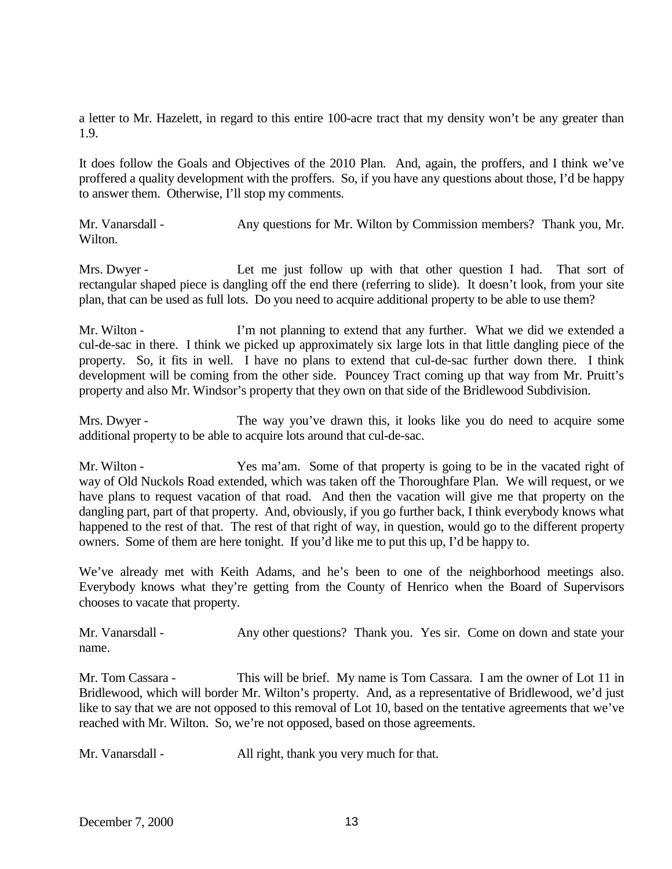a letter to Mr. Hazelett, in regard to this entire 100-acre tract that my density won't be any greater than 1.9.

It does follow the Goals and Objectives of the 2010 Plan. And, again, the proffers, and I think we've proffered a quality development with the proffers. So, if you have any questions about those, I'd be happy to answer them. Otherwise, I'll stop my comments.

Mr. Vanarsdall - Any questions for Mr. Wilton by Commission members? Thank you, Mr. Wilton.

Mrs. Dwyer - Let me just follow up with that other question I had. That sort of rectangular shaped piece is dangling off the end there (referring to slide). It doesn't look, from your site plan, that can be used as full lots. Do you need to acquire additional property to be able to use them?

Mr. Wilton - I'm not planning to extend that any further. What we did we extended a cul-de-sac in there. I think we picked up approximately six large lots in that little dangling piece of the property. So, it fits in well. I have no plans to extend that cul-de-sac further down there. I think development will be coming from the other side. Pouncey Tract coming up that way from Mr. Pruitt's property and also Mr. Windsor's property that they own on that side of the Bridlewood Subdivision.

Mrs. Dwyer - The way you've drawn this, it looks like you do need to acquire some additional property to be able to acquire lots around that cul-de-sac.

Mr. Wilton - Yes ma'am. Some of that property is going to be in the vacated right of way of Old Nuckols Road extended, which was taken off the Thoroughfare Plan. We will request, or we have plans to request vacation of that road. And then the vacation will give me that property on the dangling part, part of that property. And, obviously, if you go further back, I think everybody knows what happened to the rest of that. The rest of that right of way, in question, would go to the different property owners. Some of them are here tonight. If you'd like me to put this up, I'd be happy to.

We've already met with Keith Adams, and he's been to one of the neighborhood meetings also. Everybody knows what they're getting from the County of Henrico when the Board of Supervisors chooses to vacate that property.

| Mr. Vanarsdall - |  | Any other questions? Thank you. Yes sir. Come on down and state your |
|------------------|--|----------------------------------------------------------------------|
| name.            |  |                                                                      |

Mr. Tom Cassara - This will be brief. My name is Tom Cassara. I am the owner of Lot 11 in Bridlewood, which will border Mr. Wilton's property. And, as a representative of Bridlewood, we'd just like to say that we are not opposed to this removal of Lot 10, based on the tentative agreements that we've reached with Mr. Wilton. So, we're not opposed, based on those agreements.

Mr. Vanarsdall - All right, thank you very much for that.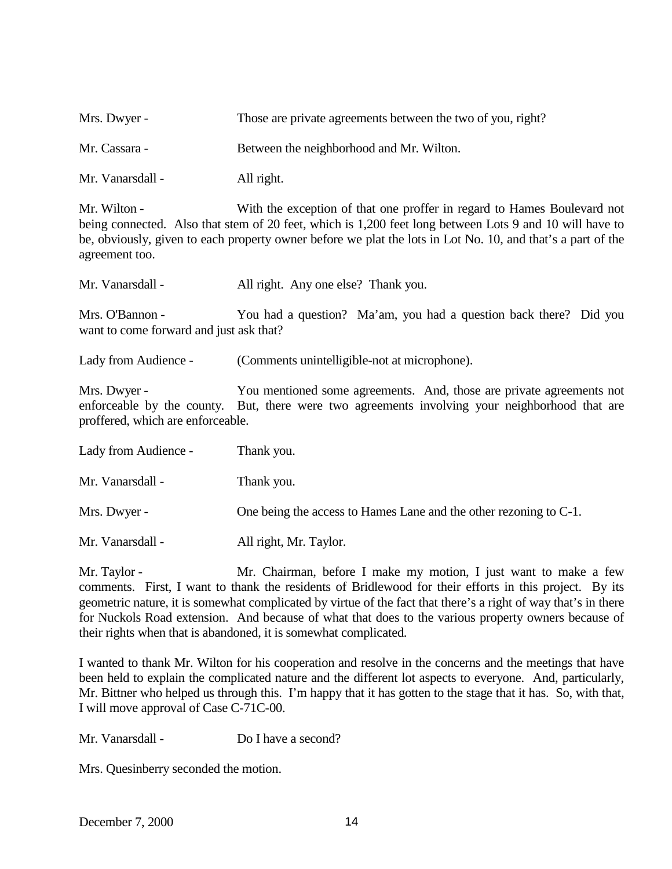| Mrs. Dwyer -     | Those are private agreements between the two of you, right? |
|------------------|-------------------------------------------------------------|
| Mr. Cassara -    | Between the neighborhood and Mr. Wilton.                    |
| Mr. Vanarsdall - | All right.                                                  |

Mr. Wilton - With the exception of that one proffer in regard to Hames Boulevard not being connected. Also that stem of 20 feet, which is 1,200 feet long between Lots 9 and 10 will have to be, obviously, given to each property owner before we plat the lots in Lot No. 10, and that's a part of the agreement too.

| Mr. Vanarsdall - | All right. Any one else? Thank you. |  |
|------------------|-------------------------------------|--|
|                  |                                     |  |

Mrs. O'Bannon - You had a question? Ma'am, you had a question back there? Did you want to come forward and just ask that?

Lady from Audience - (Comments unintelligible-not at microphone).

Mrs. Dwyer - You mentioned some agreements. And, those are private agreements not enforceable by the county. But, there were two agreements involving your neighborhood that are proffered, which are enforceable.

| Lady from Audience - | Thank you.                                                        |
|----------------------|-------------------------------------------------------------------|
| Mr. Vanarsdall -     | Thank you.                                                        |
| Mrs. Dwyer -         | One being the access to Hames Lane and the other rezoning to C-1. |
| Mr. Vanarsdall -     | All right, Mr. Taylor.                                            |

Mr. Taylor - Mr. Chairman, before I make my motion, I just want to make a few comments. First, I want to thank the residents of Bridlewood for their efforts in this project. By its geometric nature, it is somewhat complicated by virtue of the fact that there's a right of way that's in there for Nuckols Road extension. And because of what that does to the various property owners because of their rights when that is abandoned, it is somewhat complicated.

I wanted to thank Mr. Wilton for his cooperation and resolve in the concerns and the meetings that have been held to explain the complicated nature and the different lot aspects to everyone. And, particularly, Mr. Bittner who helped us through this. I'm happy that it has gotten to the stage that it has. So, with that, I will move approval of Case C-71C-00.

Mr. Vanarsdall - Do I have a second?

Mrs. Quesinberry seconded the motion.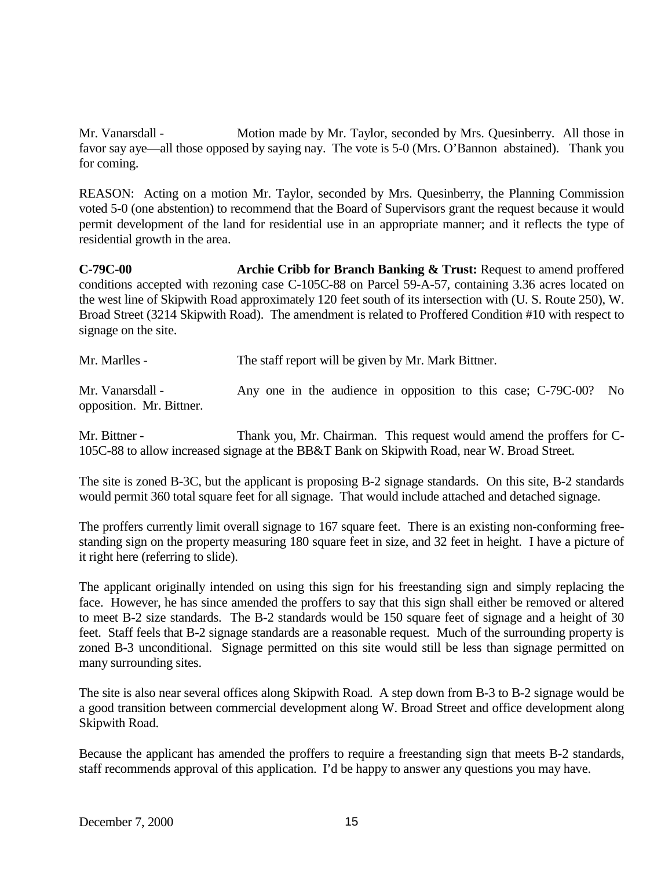Mr. Vanarsdall - Motion made by Mr. Taylor, seconded by Mrs. Quesinberry. All those in favor say aye—all those opposed by saying nay. The vote is 5-0 (Mrs. O'Bannon abstained). Thank you for coming.

REASON: Acting on a motion Mr. Taylor, seconded by Mrs. Quesinberry, the Planning Commission voted 5-0 (one abstention) to recommend that the Board of Supervisors grant the request because it would permit development of the land for residential use in an appropriate manner; and it reflects the type of residential growth in the area.

**C-79C-00 Archie Cribb for Branch Banking & Trust:** Request to amend proffered conditions accepted with rezoning case C-105C-88 on Parcel 59-A-57, containing 3.36 acres located on the west line of Skipwith Road approximately 120 feet south of its intersection with (U. S. Route 250), W. Broad Street (3214 Skipwith Road). The amendment is related to Proffered Condition #10 with respect to signage on the site.

Mr. Marlles - The staff report will be given by Mr. Mark Bittner.

Mr. Vanarsdall - Any one in the audience in opposition to this case; C-79C-00? No opposition. Mr. Bittner.

Mr. Bittner - Thank you, Mr. Chairman. This request would amend the proffers for C-105C-88 to allow increased signage at the BB&T Bank on Skipwith Road, near W. Broad Street.

The site is zoned B-3C, but the applicant is proposing B-2 signage standards. On this site, B-2 standards would permit 360 total square feet for all signage. That would include attached and detached signage.

The proffers currently limit overall signage to 167 square feet. There is an existing non-conforming freestanding sign on the property measuring 180 square feet in size, and 32 feet in height. I have a picture of it right here (referring to slide).

The applicant originally intended on using this sign for his freestanding sign and simply replacing the face. However, he has since amended the proffers to say that this sign shall either be removed or altered to meet B-2 size standards. The B-2 standards would be 150 square feet of signage and a height of 30 feet. Staff feels that B-2 signage standards are a reasonable request. Much of the surrounding property is zoned B-3 unconditional. Signage permitted on this site would still be less than signage permitted on many surrounding sites.

The site is also near several offices along Skipwith Road. A step down from B-3 to B-2 signage would be a good transition between commercial development along W. Broad Street and office development along Skipwith Road.

Because the applicant has amended the proffers to require a freestanding sign that meets B-2 standards, staff recommends approval of this application. I'd be happy to answer any questions you may have.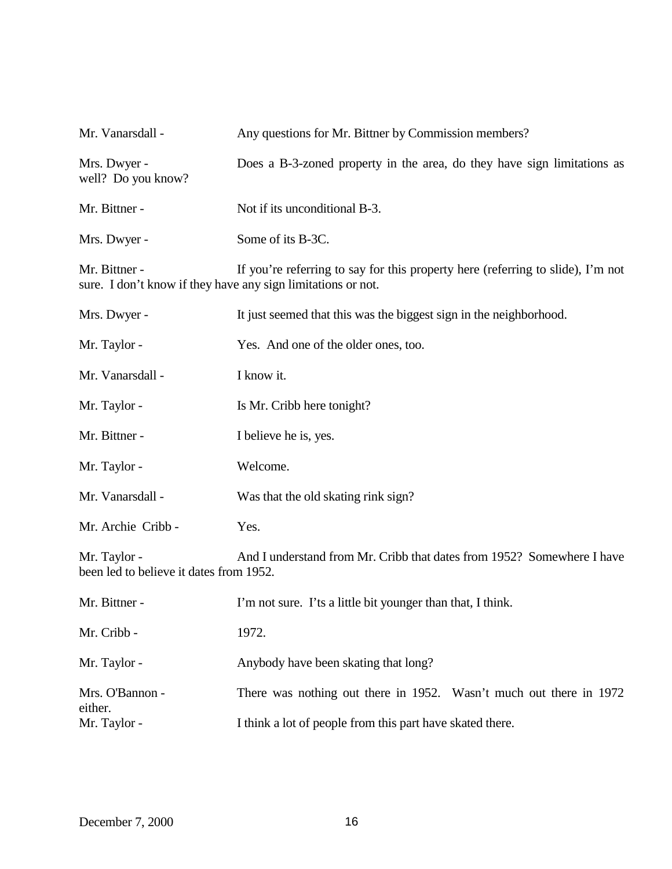| Mr. Vanarsdall -                                                              | Any questions for Mr. Bittner by Commission members?                            |
|-------------------------------------------------------------------------------|---------------------------------------------------------------------------------|
| Mrs. Dwyer -<br>well? Do you know?                                            | Does a B-3-zoned property in the area, do they have sign limitations as         |
| Mr. Bittner -                                                                 | Not if its unconditional B-3.                                                   |
| Mrs. Dwyer -                                                                  | Some of its B-3C.                                                               |
| Mr. Bittner -<br>sure. I don't know if they have any sign limitations or not. | If you're referring to say for this property here (referring to slide), I'm not |
| Mrs. Dwyer -                                                                  | It just seemed that this was the biggest sign in the neighborhood.              |
| Mr. Taylor -                                                                  | Yes. And one of the older ones, too.                                            |
| Mr. Vanarsdall -                                                              | I know it.                                                                      |
| Mr. Taylor -                                                                  | Is Mr. Cribb here tonight?                                                      |
| Mr. Bittner -                                                                 | I believe he is, yes.                                                           |
| Mr. Taylor -                                                                  | Welcome.                                                                        |
| Mr. Vanarsdall -                                                              | Was that the old skating rink sign?                                             |
| Mr. Archie Cribb -                                                            | Yes.                                                                            |
| Mr. Taylor -<br>been led to believe it dates from 1952.                       | And I understand from Mr. Cribb that dates from 1952? Somewhere I have          |
| Mr. Bittner -                                                                 | I'm not sure. I'ts a little bit younger than that, I think.                     |
| Mr. Cribb -                                                                   | 1972.                                                                           |
| Mr. Taylor -                                                                  | Anybody have been skating that long?                                            |
| Mrs. O'Bannon -<br>either.                                                    | There was nothing out there in 1952. Wasn't much out there in 1972              |
| Mr. Taylor -                                                                  | I think a lot of people from this part have skated there.                       |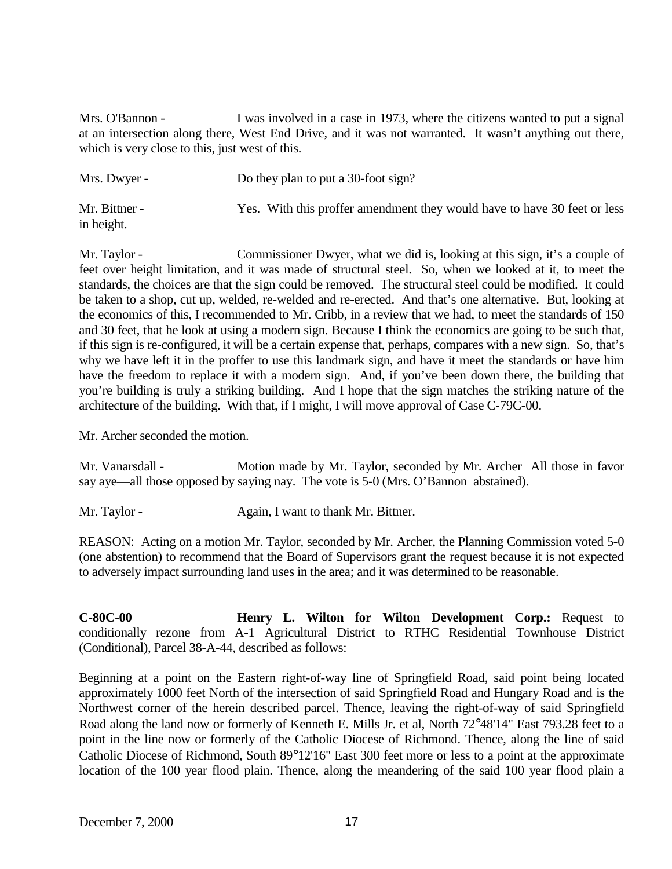Mrs. O'Bannon - I was involved in a case in 1973, where the citizens wanted to put a signal at an intersection along there, West End Drive, and it was not warranted. It wasn't anything out there, which is very close to this, just west of this.

| Mrs. Dwyer -                | Do they plan to put a 30-foot sign?                                      |
|-----------------------------|--------------------------------------------------------------------------|
| Mr. Bittner -<br>in height. | Yes. With this proffer amendment they would have to have 30 feet or less |

Mr. Taylor - Commissioner Dwyer, what we did is, looking at this sign, it's a couple of feet over height limitation, and it was made of structural steel. So, when we looked at it, to meet the standards, the choices are that the sign could be removed. The structural steel could be modified. It could be taken to a shop, cut up, welded, re-welded and re-erected. And that's one alternative. But, looking at the economics of this, I recommended to Mr. Cribb, in a review that we had, to meet the standards of 150 and 30 feet, that he look at using a modern sign. Because I think the economics are going to be such that, if this sign is re-configured, it will be a certain expense that, perhaps, compares with a new sign. So, that's why we have left it in the proffer to use this landmark sign, and have it meet the standards or have him have the freedom to replace it with a modern sign. And, if you've been down there, the building that you're building is truly a striking building. And I hope that the sign matches the striking nature of the architecture of the building. With that, if I might, I will move approval of Case C-79C-00.

Mr. Archer seconded the motion.

Mr. Vanarsdall - Motion made by Mr. Taylor, seconded by Mr. Archer All those in favor say aye—all those opposed by saying nay. The vote is 5-0 (Mrs. O'Bannon abstained).

Mr. Taylor - Again, I want to thank Mr. Bittner.

REASON: Acting on a motion Mr. Taylor, seconded by Mr. Archer, the Planning Commission voted 5-0 (one abstention) to recommend that the Board of Supervisors grant the request because it is not expected to adversely impact surrounding land uses in the area; and it was determined to be reasonable.

**C-80C-00 Henry L. Wilton for Wilton Development Corp.:** Request to conditionally rezone from A-1 Agricultural District to RTHC Residential Townhouse District (Conditional), Parcel 38-A-44, described as follows:

Beginning at a point on the Eastern right-of-way line of Springfield Road, said point being located approximately 1000 feet North of the intersection of said Springfield Road and Hungary Road and is the Northwest corner of the herein described parcel. Thence, leaving the right-of-way of said Springfield Road along the land now or formerly of Kenneth E. Mills Jr. et al, North 72°48'14" East 793.28 feet to a point in the line now or formerly of the Catholic Diocese of Richmond. Thence, along the line of said Catholic Diocese of Richmond, South 89°12'16" East 300 feet more or less to a point at the approximate location of the 100 year flood plain. Thence, along the meandering of the said 100 year flood plain a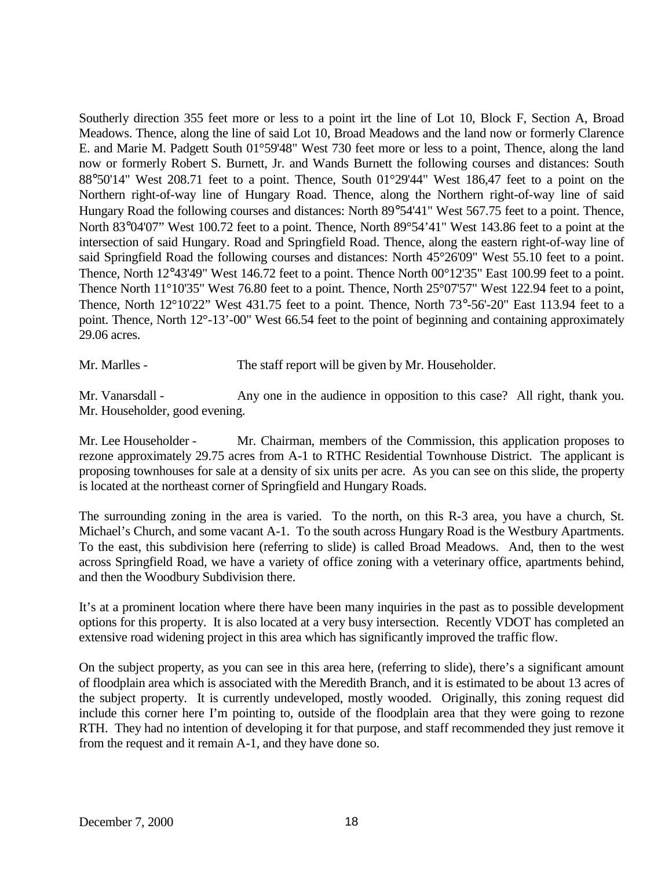Southerly direction 355 feet more or less to a point irt the line of Lot 10, Block F, Section A, Broad Meadows. Thence, along the line of said Lot 10, Broad Meadows and the land now or formerly Clarence E. and Marie M. Padgett South 01°59'48" West 730 feet more or less to a point, Thence, along the land now or formerly Robert S. Burnett, Jr. and Wands Burnett the following courses and distances: South 88°50'14" West 208.71 feet to a point. Thence, South 01°29'44" West 186,47 feet to a point on the Northern right-of-way line of Hungary Road. Thence, along the Northern right-of-way line of said Hungary Road the following courses and distances: North 89°54'41" West 567.75 feet to a point. Thence, North 83°04'07" West 100.72 feet to a point. Thence, North 89°54'41" West 143.86 feet to a point at the intersection of said Hungary. Road and Springfield Road. Thence, along the eastern right-of-way line of said Springfield Road the following courses and distances: North 45°26'09" West 55.10 feet to a point. Thence, North 12°43'49" West 146.72 feet to a point. Thence North 00°12'35" East 100.99 feet to a point. Thence North 11°10'35" West 76.80 feet to a point. Thence, North 25°07'57" West 122.94 feet to a point, Thence, North 12°10'22" West 431.75 feet to a point. Thence, North 73°-56'-20" East 113.94 feet to a point. Thence, North 12°-13'-00" West 66.54 feet to the point of beginning and containing approximately 29.06 acres.

Mr. Marlles - The staff report will be given by Mr. Householder.

Mr. Vanarsdall - Any one in the audience in opposition to this case? All right, thank you. Mr. Householder, good evening.

Mr. Lee Householder - Mr. Chairman, members of the Commission, this application proposes to rezone approximately 29.75 acres from A-1 to RTHC Residential Townhouse District. The applicant is proposing townhouses for sale at a density of six units per acre. As you can see on this slide, the property is located at the northeast corner of Springfield and Hungary Roads.

The surrounding zoning in the area is varied. To the north, on this R-3 area, you have a church, St. Michael's Church, and some vacant A-1. To the south across Hungary Road is the Westbury Apartments. To the east, this subdivision here (referring to slide) is called Broad Meadows. And, then to the west across Springfield Road, we have a variety of office zoning with a veterinary office, apartments behind, and then the Woodbury Subdivision there.

It's at a prominent location where there have been many inquiries in the past as to possible development options for this property. It is also located at a very busy intersection. Recently VDOT has completed an extensive road widening project in this area which has significantly improved the traffic flow.

On the subject property, as you can see in this area here, (referring to slide), there's a significant amount of floodplain area which is associated with the Meredith Branch, and it is estimated to be about 13 acres of the subject property. It is currently undeveloped, mostly wooded. Originally, this zoning request did include this corner here I'm pointing to, outside of the floodplain area that they were going to rezone RTH. They had no intention of developing it for that purpose, and staff recommended they just remove it from the request and it remain A-1, and they have done so.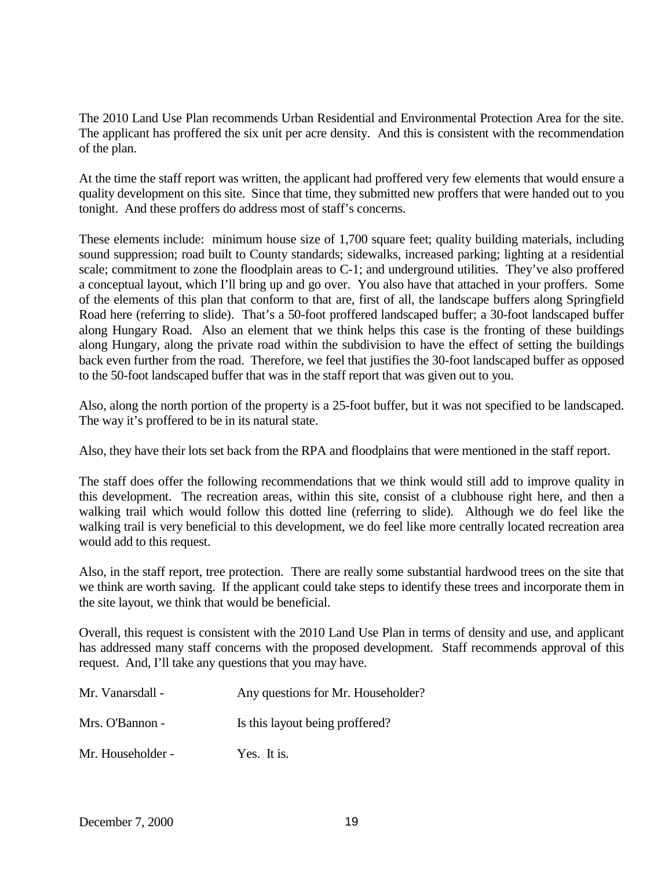The 2010 Land Use Plan recommends Urban Residential and Environmental Protection Area for the site. The applicant has proffered the six unit per acre density. And this is consistent with the recommendation of the plan.

At the time the staff report was written, the applicant had proffered very few elements that would ensure a quality development on this site. Since that time, they submitted new proffers that were handed out to you tonight. And these proffers do address most of staff's concerns.

These elements include: minimum house size of 1,700 square feet; quality building materials, including sound suppression; road built to County standards; sidewalks, increased parking; lighting at a residential scale; commitment to zone the floodplain areas to C-1; and underground utilities. They've also proffered a conceptual layout, which I'll bring up and go over. You also have that attached in your proffers. Some of the elements of this plan that conform to that are, first of all, the landscape buffers along Springfield Road here (referring to slide). That's a 50-foot proffered landscaped buffer; a 30-foot landscaped buffer along Hungary Road. Also an element that we think helps this case is the fronting of these buildings along Hungary, along the private road within the subdivision to have the effect of setting the buildings back even further from the road. Therefore, we feel that justifies the 30-foot landscaped buffer as opposed to the 50-foot landscaped buffer that was in the staff report that was given out to you.

Also, along the north portion of the property is a 25-foot buffer, but it was not specified to be landscaped. The way it's proffered to be in its natural state.

Also, they have their lots set back from the RPA and floodplains that were mentioned in the staff report.

The staff does offer the following recommendations that we think would still add to improve quality in this development. The recreation areas, within this site, consist of a clubhouse right here, and then a walking trail which would follow this dotted line (referring to slide). Although we do feel like the walking trail is very beneficial to this development, we do feel like more centrally located recreation area would add to this request.

Also, in the staff report, tree protection. There are really some substantial hardwood trees on the site that we think are worth saving. If the applicant could take steps to identify these trees and incorporate them in the site layout, we think that would be beneficial.

Overall, this request is consistent with the 2010 Land Use Plan in terms of density and use, and applicant has addressed many staff concerns with the proposed development. Staff recommends approval of this request. And, I'll take any questions that you may have.

| Mr. Vanarsdall -  | Any questions for Mr. Householder? |
|-------------------|------------------------------------|
| Mrs. O'Bannon -   | Is this layout being proffered?    |
| Mr. Householder - | Yes. It is.                        |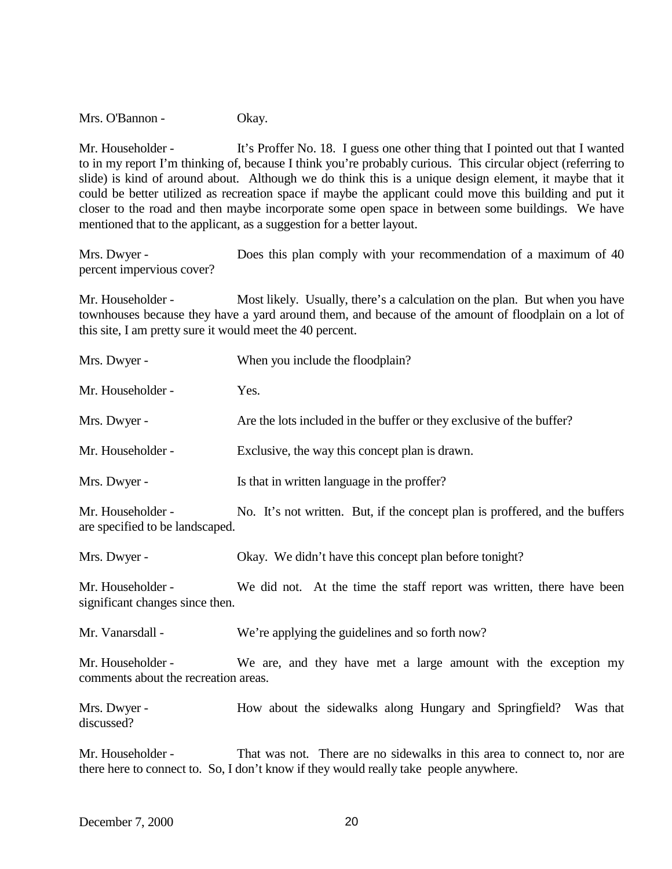Mrs. O'Bannon - Okay.

Mr. Householder - It's Proffer No. 18. I guess one other thing that I pointed out that I wanted to in my report I'm thinking of, because I think you're probably curious. This circular object (referring to slide) is kind of around about. Although we do think this is a unique design element, it maybe that it could be better utilized as recreation space if maybe the applicant could move this building and put it closer to the road and then maybe incorporate some open space in between some buildings. We have mentioned that to the applicant, as a suggestion for a better layout.

Mrs. Dwyer - Does this plan comply with your recommendation of a maximum of 40 percent impervious cover?

Mr. Householder - Most likely. Usually, there's a calculation on the plan. But when you have townhouses because they have a yard around them, and because of the amount of floodplain on a lot of this site, I am pretty sure it would meet the 40 percent.

| Mrs. Dwyer -                                              | When you include the floodplain?                                                                                                                                  |
|-----------------------------------------------------------|-------------------------------------------------------------------------------------------------------------------------------------------------------------------|
| Mr. Householder -                                         | Yes.                                                                                                                                                              |
| Mrs. Dwyer -                                              | Are the lots included in the buffer or they exclusive of the buffer?                                                                                              |
| Mr. Householder -                                         | Exclusive, the way this concept plan is drawn.                                                                                                                    |
| Mrs. Dwyer -                                              | Is that in written language in the proffer?                                                                                                                       |
| Mr. Householder -<br>are specified to be landscaped.      | No. It's not written. But, if the concept plan is proffered, and the buffers                                                                                      |
| Mrs. Dwyer -                                              | Okay. We didn't have this concept plan before tonight?                                                                                                            |
| Mr. Householder -<br>significant changes since then.      | We did not. At the time the staff report was written, there have been                                                                                             |
| Mr. Vanarsdall -                                          | We're applying the guidelines and so forth now?                                                                                                                   |
| Mr. Householder -<br>comments about the recreation areas. | We are, and they have met a large amount with the exception my                                                                                                    |
| Mrs. Dwyer -<br>discussed?                                | How about the sidewalks along Hungary and Springfield? Was that                                                                                                   |
| Mr. Householder -                                         | That was not. There are no sidewalks in this area to connect to, nor are<br>there here to connect to. So, I don't know if they would really take people anywhere. |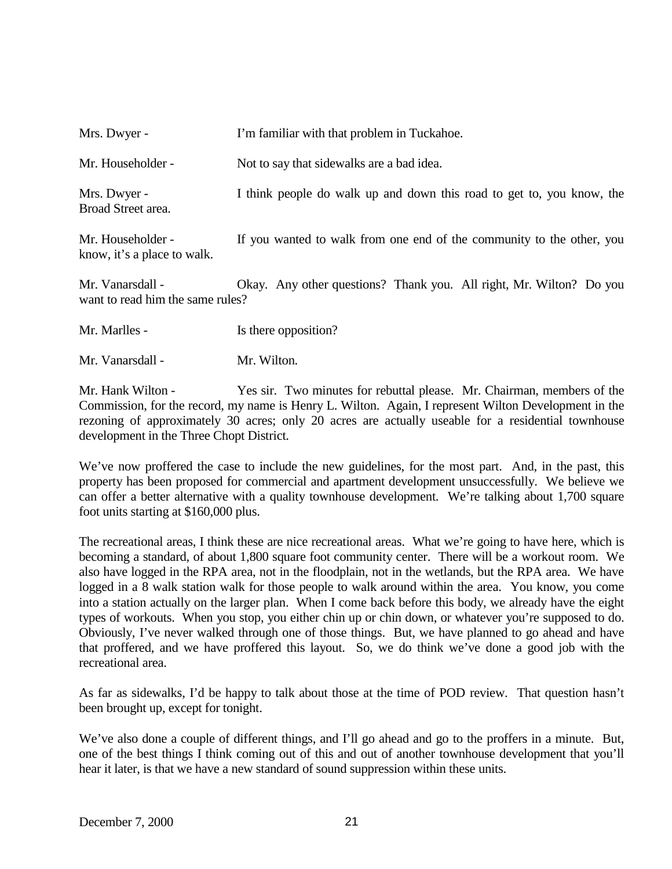Mrs. Dwyer - I'm familiar with that problem in Tuckahoe. Mr. Householder - Not to say that sidewalks are a bad idea. Mrs. Dwyer - I think people do walk up and down this road to get to, you know, the Broad Street area. Mr. Householder - If you wanted to walk from one end of the community to the other, you

know, it's a place to walk.

Mr. Vanarsdall - Okay. Any other questions? Thank you. All right, Mr. Wilton? Do you want to read him the same rules?

Mr. Marlles - Is there opposition?

Mr. Vanarsdall - Mr. Wilton.

Mr. Hank Wilton - Yes sir. Two minutes for rebuttal please. Mr. Chairman, members of the Commission, for the record, my name is Henry L. Wilton. Again, I represent Wilton Development in the rezoning of approximately 30 acres; only 20 acres are actually useable for a residential townhouse development in the Three Chopt District.

We've now proffered the case to include the new guidelines, for the most part. And, in the past, this property has been proposed for commercial and apartment development unsuccessfully. We believe we can offer a better alternative with a quality townhouse development. We're talking about 1,700 square foot units starting at \$160,000 plus.

The recreational areas, I think these are nice recreational areas. What we're going to have here, which is becoming a standard, of about 1,800 square foot community center. There will be a workout room. We also have logged in the RPA area, not in the floodplain, not in the wetlands, but the RPA area. We have logged in a 8 walk station walk for those people to walk around within the area. You know, you come into a station actually on the larger plan. When I come back before this body, we already have the eight types of workouts. When you stop, you either chin up or chin down, or whatever you're supposed to do. Obviously, I've never walked through one of those things. But, we have planned to go ahead and have that proffered, and we have proffered this layout. So, we do think we've done a good job with the recreational area.

As far as sidewalks, I'd be happy to talk about those at the time of POD review. That question hasn't been brought up, except for tonight.

We've also done a couple of different things, and I'll go ahead and go to the proffers in a minute. But, one of the best things I think coming out of this and out of another townhouse development that you'll hear it later, is that we have a new standard of sound suppression within these units.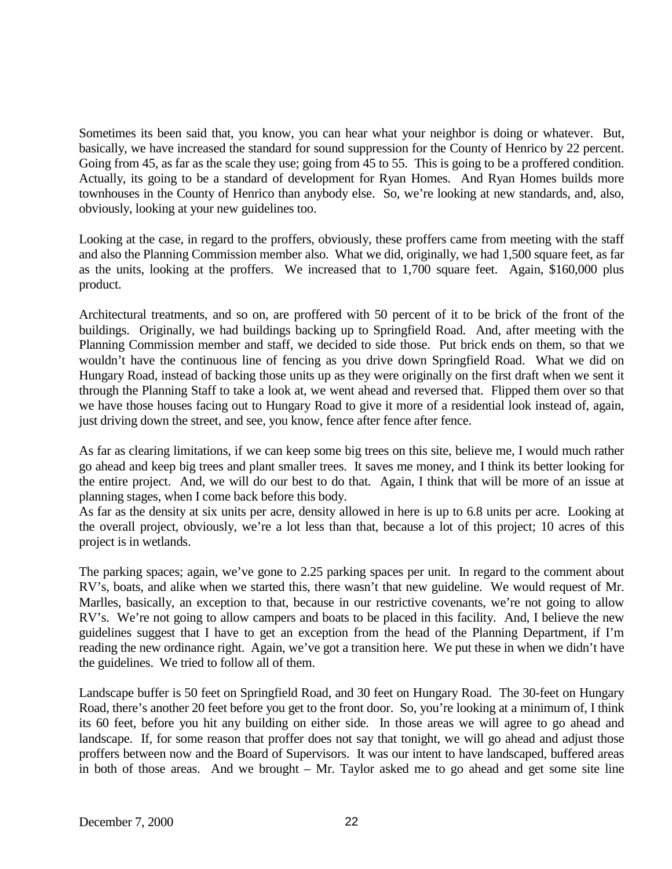Sometimes its been said that, you know, you can hear what your neighbor is doing or whatever. But, basically, we have increased the standard for sound suppression for the County of Henrico by 22 percent. Going from 45, as far as the scale they use; going from 45 to 55. This is going to be a proffered condition. Actually, its going to be a standard of development for Ryan Homes. And Ryan Homes builds more townhouses in the County of Henrico than anybody else. So, we're looking at new standards, and, also, obviously, looking at your new guidelines too.

Looking at the case, in regard to the proffers, obviously, these proffers came from meeting with the staff and also the Planning Commission member also. What we did, originally, we had 1,500 square feet, as far as the units, looking at the proffers. We increased that to 1,700 square feet. Again, \$160,000 plus product.

Architectural treatments, and so on, are proffered with 50 percent of it to be brick of the front of the buildings. Originally, we had buildings backing up to Springfield Road. And, after meeting with the Planning Commission member and staff, we decided to side those. Put brick ends on them, so that we wouldn't have the continuous line of fencing as you drive down Springfield Road. What we did on Hungary Road, instead of backing those units up as they were originally on the first draft when we sent it through the Planning Staff to take a look at, we went ahead and reversed that. Flipped them over so that we have those houses facing out to Hungary Road to give it more of a residential look instead of, again, just driving down the street, and see, you know, fence after fence after fence.

As far as clearing limitations, if we can keep some big trees on this site, believe me, I would much rather go ahead and keep big trees and plant smaller trees. It saves me money, and I think its better looking for the entire project. And, we will do our best to do that. Again, I think that will be more of an issue at planning stages, when I come back before this body.

As far as the density at six units per acre, density allowed in here is up to 6.8 units per acre. Looking at the overall project, obviously, we're a lot less than that, because a lot of this project; 10 acres of this project is in wetlands.

The parking spaces; again, we've gone to 2.25 parking spaces per unit. In regard to the comment about RV's, boats, and alike when we started this, there wasn't that new guideline. We would request of Mr. Marlles, basically, an exception to that, because in our restrictive covenants, we're not going to allow RV's. We're not going to allow campers and boats to be placed in this facility. And, I believe the new guidelines suggest that I have to get an exception from the head of the Planning Department, if I'm reading the new ordinance right. Again, we've got a transition here. We put these in when we didn't have the guidelines. We tried to follow all of them.

Landscape buffer is 50 feet on Springfield Road, and 30 feet on Hungary Road. The 30-feet on Hungary Road, there's another 20 feet before you get to the front door. So, you're looking at a minimum of, I think its 60 feet, before you hit any building on either side. In those areas we will agree to go ahead and landscape. If, for some reason that proffer does not say that tonight, we will go ahead and adjust those proffers between now and the Board of Supervisors. It was our intent to have landscaped, buffered areas in both of those areas. And we brought – Mr. Taylor asked me to go ahead and get some site line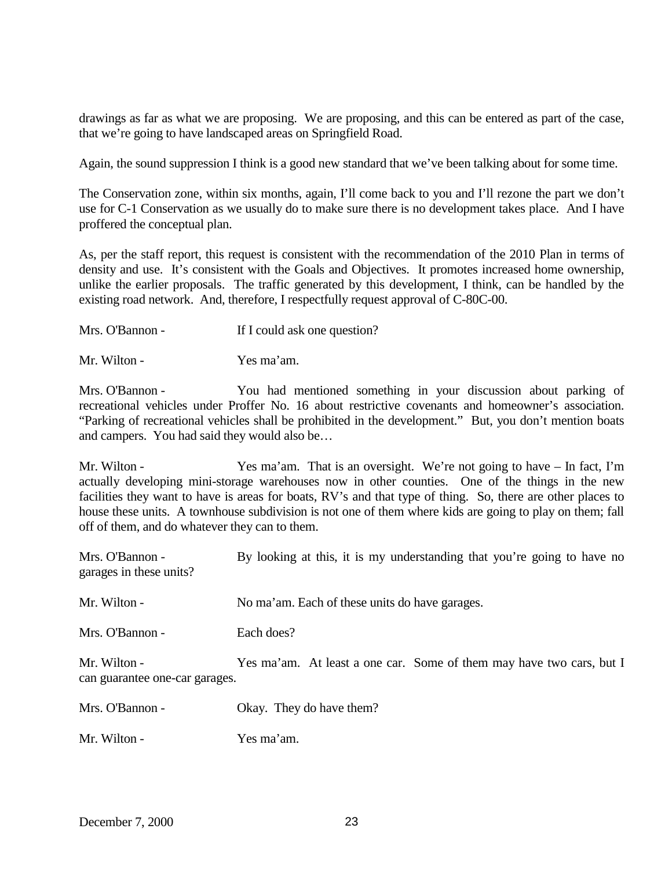drawings as far as what we are proposing. We are proposing, and this can be entered as part of the case, that we're going to have landscaped areas on Springfield Road.

Again, the sound suppression I think is a good new standard that we've been talking about for some time.

The Conservation zone, within six months, again, I'll come back to you and I'll rezone the part we don't use for C-1 Conservation as we usually do to make sure there is no development takes place. And I have proffered the conceptual plan.

As, per the staff report, this request is consistent with the recommendation of the 2010 Plan in terms of density and use. It's consistent with the Goals and Objectives. It promotes increased home ownership, unlike the earlier proposals. The traffic generated by this development, I think, can be handled by the existing road network. And, therefore, I respectfully request approval of C-80C-00.

Mr. Wilton - Yes ma'am.

Mrs. O'Bannon - You had mentioned something in your discussion about parking of recreational vehicles under Proffer No. 16 about restrictive covenants and homeowner's association. "Parking of recreational vehicles shall be prohibited in the development." But, you don't mention boats and campers. You had said they would also be…

Mr. Wilton - Yes ma'am. That is an oversight. We're not going to have – In fact, I'm actually developing mini-storage warehouses now in other counties. One of the things in the new facilities they want to have is areas for boats, RV's and that type of thing. So, there are other places to house these units. A townhouse subdivision is not one of them where kids are going to play on them; fall off of them, and do whatever they can to them.

| Mrs. O'Bannon -<br>garages in these units?     | By looking at this, it is my understanding that you're going to have no |
|------------------------------------------------|-------------------------------------------------------------------------|
| Mr. Wilton -                                   | No ma'am. Each of these units do have garages.                          |
| Mrs. O'Bannon -                                | Each does?                                                              |
| Mr. Wilton -<br>can guarantee one-car garages. | Yes ma'am. At least a one car. Some of them may have two cars, but I    |
| Mrs. O'Bannon -                                | Okay. They do have them?                                                |

Mr. Wilton - Yes ma'am.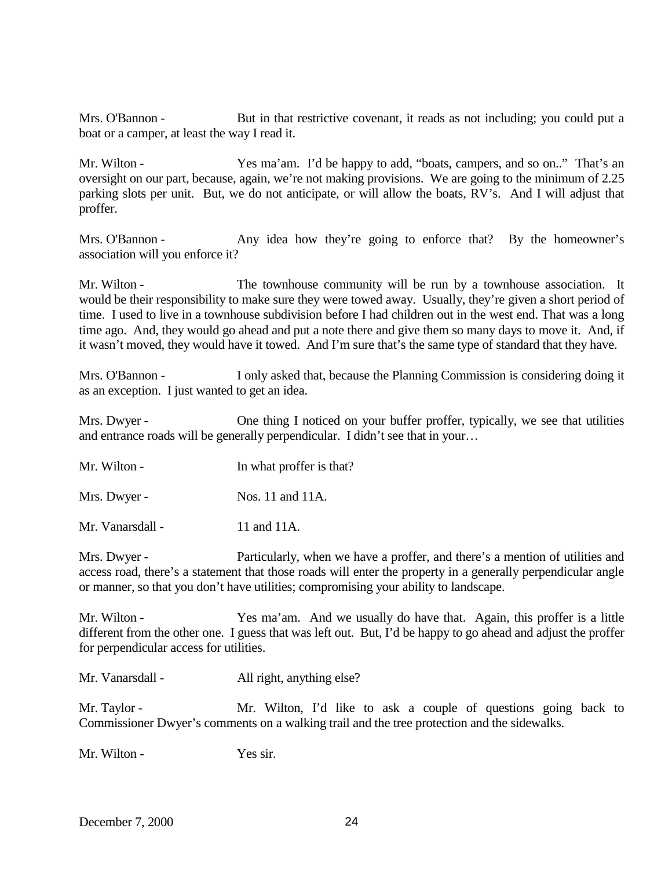Mrs. O'Bannon - But in that restrictive covenant, it reads as not including; you could put a boat or a camper, at least the way I read it.

Mr. Wilton - Yes ma'am. I'd be happy to add, "boats, campers, and so on.." That's an oversight on our part, because, again, we're not making provisions. We are going to the minimum of 2.25 parking slots per unit. But, we do not anticipate, or will allow the boats, RV's. And I will adjust that proffer.

Mrs. O'Bannon - Any idea how they're going to enforce that? By the homeowner's association will you enforce it?

Mr. Wilton - The townhouse community will be run by a townhouse association. It would be their responsibility to make sure they were towed away. Usually, they're given a short period of time. I used to live in a townhouse subdivision before I had children out in the west end. That was a long time ago. And, they would go ahead and put a note there and give them so many days to move it. And, if it wasn't moved, they would have it towed. And I'm sure that's the same type of standard that they have.

Mrs. O'Bannon - I only asked that, because the Planning Commission is considering doing it as an exception. I just wanted to get an idea.

Mrs. Dwyer - One thing I noticed on your buffer proffer, typically, we see that utilities and entrance roads will be generally perpendicular. I didn't see that in your…

| Mr. Wilton - | In what proffer is that? |
|--------------|--------------------------|
|--------------|--------------------------|

Mrs. Dwyer - Nos. 11 and 11A.

Mr. Vanarsdall - 11 and 11A.

Mrs. Dwyer - Particularly, when we have a proffer, and there's a mention of utilities and access road, there's a statement that those roads will enter the property in a generally perpendicular angle or manner, so that you don't have utilities; compromising your ability to landscape.

Mr. Wilton - Yes ma'am. And we usually do have that. Again, this proffer is a little different from the other one. I guess that was left out. But, I'd be happy to go ahead and adjust the proffer for perpendicular access for utilities.

| Mr. Vanarsdall - | All right, anything else? |
|------------------|---------------------------|
|------------------|---------------------------|

Mr. Taylor - Mr. Wilton, I'd like to ask a couple of questions going back to Commissioner Dwyer's comments on a walking trail and the tree protection and the sidewalks.

Mr. Wilton - Yes sir.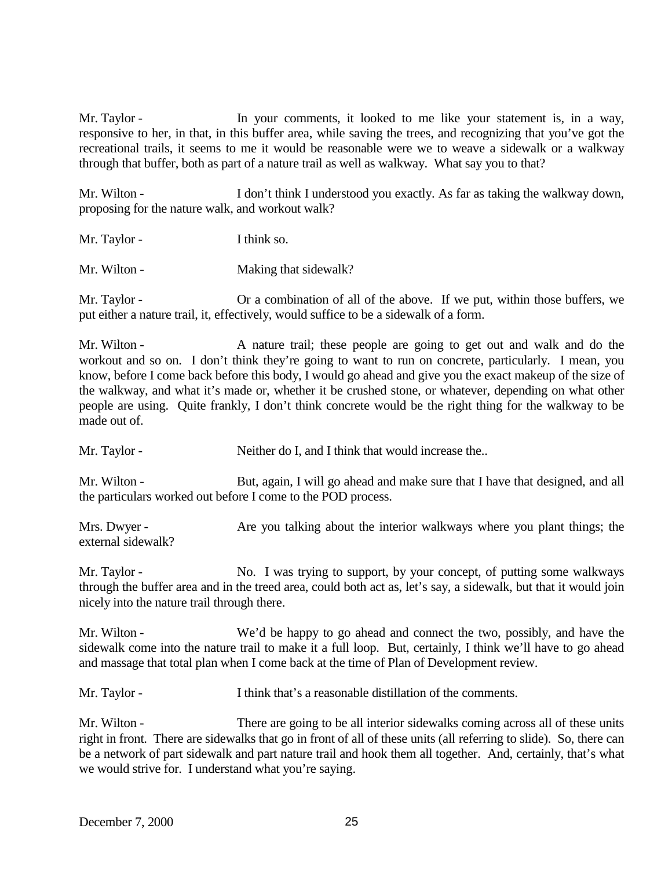Mr. Taylor - In your comments, it looked to me like your statement is, in a way, responsive to her, in that, in this buffer area, while saving the trees, and recognizing that you've got the recreational trails, it seems to me it would be reasonable were we to weave a sidewalk or a walkway through that buffer, both as part of a nature trail as well as walkway. What say you to that?

Mr. Wilton - I don't think I understood you exactly. As far as taking the walkway down, proposing for the nature walk, and workout walk?

Mr. Taylor - I think so.

Mr. Wilton - Making that sidewalk?

Mr. Taylor - Or a combination of all of the above. If we put, within those buffers, we put either a nature trail, it, effectively, would suffice to be a sidewalk of a form.

Mr. Wilton - A nature trail; these people are going to get out and walk and do the workout and so on. I don't think they're going to want to run on concrete, particularly. I mean, you know, before I come back before this body, I would go ahead and give you the exact makeup of the size of the walkway, and what it's made or, whether it be crushed stone, or whatever, depending on what other people are using. Quite frankly, I don't think concrete would be the right thing for the walkway to be made out of.

Mr. Taylor - Neither do I, and I think that would increase the..

Mr. Wilton - But, again, I will go ahead and make sure that I have that designed, and all the particulars worked out before I come to the POD process.

Mrs. Dwyer - Are you talking about the interior walkways where you plant things; the external sidewalk?

Mr. Taylor - No. I was trying to support, by your concept, of putting some walkways through the buffer area and in the treed area, could both act as, let's say, a sidewalk, but that it would join nicely into the nature trail through there.

Mr. Wilton - We'd be happy to go ahead and connect the two, possibly, and have the sidewalk come into the nature trail to make it a full loop. But, certainly, I think we'll have to go ahead and massage that total plan when I come back at the time of Plan of Development review.

Mr. Taylor - I think that's a reasonable distillation of the comments.

Mr. Wilton - There are going to be all interior sidewalks coming across all of these units right in front. There are sidewalks that go in front of all of these units (all referring to slide). So, there can be a network of part sidewalk and part nature trail and hook them all together. And, certainly, that's what we would strive for. I understand what you're saying.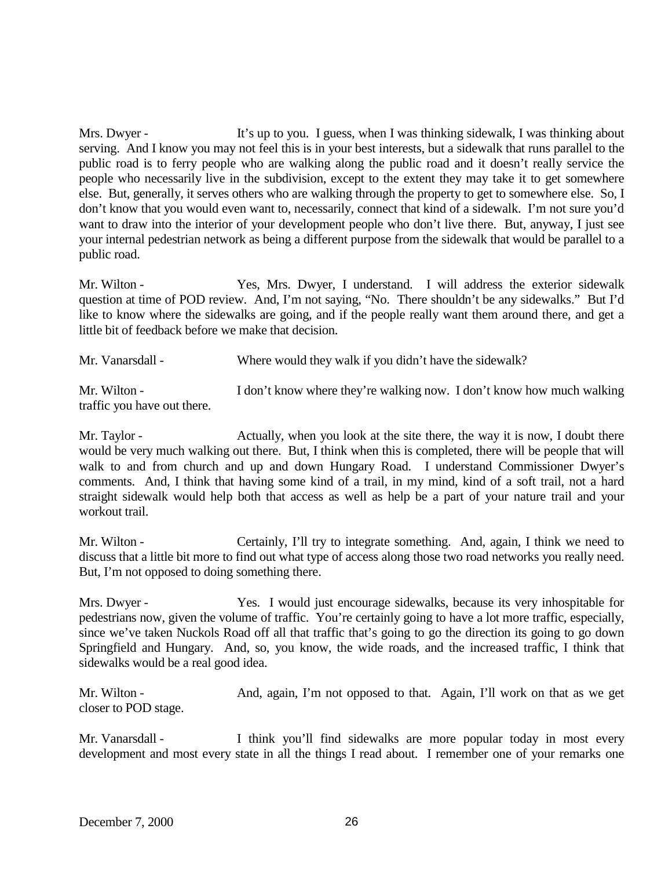Mrs. Dwyer - It's up to you. I guess, when I was thinking sidewalk, I was thinking about serving. And I know you may not feel this is in your best interests, but a sidewalk that runs parallel to the public road is to ferry people who are walking along the public road and it doesn't really service the people who necessarily live in the subdivision, except to the extent they may take it to get somewhere else. But, generally, it serves others who are walking through the property to get to somewhere else. So, I don't know that you would even want to, necessarily, connect that kind of a sidewalk. I'm not sure you'd want to draw into the interior of your development people who don't live there. But, anyway, I just see your internal pedestrian network as being a different purpose from the sidewalk that would be parallel to a public road.

Mr. Wilton - Yes, Mrs. Dwyer, I understand. I will address the exterior sidewalk question at time of POD review. And, I'm not saying, "No. There shouldn't be any sidewalks." But I'd like to know where the sidewalks are going, and if the people really want them around there, and get a little bit of feedback before we make that decision.

| Mr. Vanarsdall -                            | Where would they walk if you didn't have the sidewalk?                |
|---------------------------------------------|-----------------------------------------------------------------------|
| Mr. Wilton -<br>traffic you have out there. | I don't know where they're walking now. I don't know how much walking |

Mr. Taylor - Actually, when you look at the site there, the way it is now, I doubt there would be very much walking out there. But, I think when this is completed, there will be people that will walk to and from church and up and down Hungary Road. I understand Commissioner Dwyer's comments. And, I think that having some kind of a trail, in my mind, kind of a soft trail, not a hard straight sidewalk would help both that access as well as help be a part of your nature trail and your workout trail.

Mr. Wilton - Certainly, I'll try to integrate something. And, again, I think we need to discuss that a little bit more to find out what type of access along those two road networks you really need. But, I'm not opposed to doing something there.

Mrs. Dwyer - Yes. I would just encourage sidewalks, because its very inhospitable for pedestrians now, given the volume of traffic. You're certainly going to have a lot more traffic, especially, since we've taken Nuckols Road off all that traffic that's going to go the direction its going to go down Springfield and Hungary. And, so, you know, the wide roads, and the increased traffic, I think that sidewalks would be a real good idea.

Mr. Wilton - And, again, I'm not opposed to that. Again, I'll work on that as we get closer to POD stage.

Mr. Vanarsdall - I think you'll find sidewalks are more popular today in most every development and most every state in all the things I read about. I remember one of your remarks one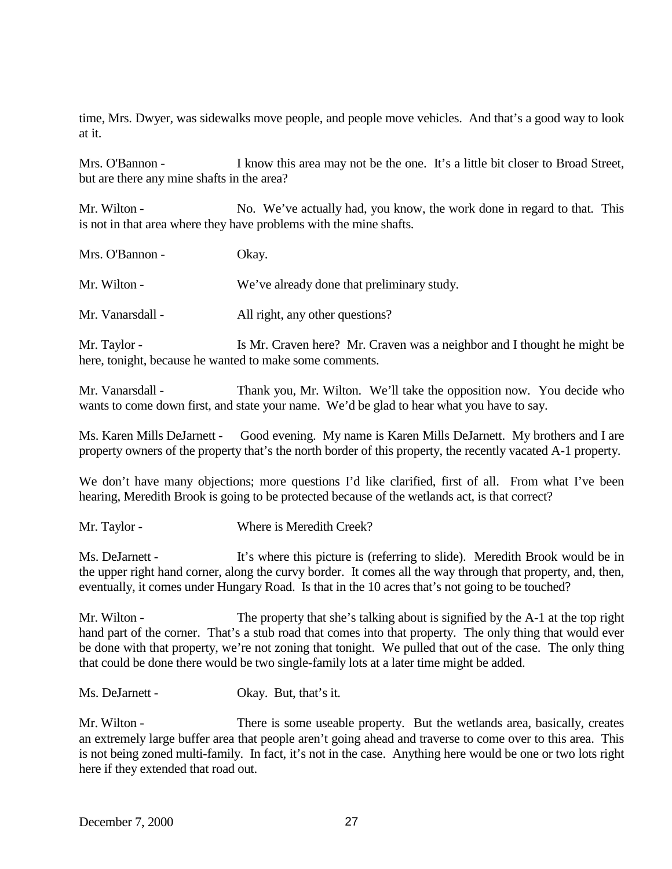time, Mrs. Dwyer, was sidewalks move people, and people move vehicles. And that's a good way to look at it.

Mrs. O'Bannon - I know this area may not be the one. It's a little bit closer to Broad Street, but are there any mine shafts in the area?

Mr. Wilton - No. We've actually had, you know, the work done in regard to that. This is not in that area where they have problems with the mine shafts.

| Mrs. O'Bannon -  | Okay.                                      |
|------------------|--------------------------------------------|
| Mr. Wilton -     | We've already done that preliminary study. |
| Mr. Vanarsdall - | All right, any other questions?            |

Mr. Taylor - Is Mr. Craven here? Mr. Craven was a neighbor and I thought he might be here, tonight, because he wanted to make some comments.

Mr. Vanarsdall - Thank you, Mr. Wilton. We'll take the opposition now. You decide who wants to come down first, and state your name. We'd be glad to hear what you have to say.

Ms. Karen Mills DeJarnett - Good evening. My name is Karen Mills DeJarnett. My brothers and I are property owners of the property that's the north border of this property, the recently vacated A-1 property.

We don't have many objections; more questions I'd like clarified, first of all. From what I've been hearing, Meredith Brook is going to be protected because of the wetlands act, is that correct?

Mr. Taylor - Where is Meredith Creek?

Ms. DeJarnett - It's where this picture is (referring to slide). Meredith Brook would be in the upper right hand corner, along the curvy border. It comes all the way through that property, and, then, eventually, it comes under Hungary Road. Is that in the 10 acres that's not going to be touched?

Mr. Wilton - The property that she's talking about is signified by the A-1 at the top right hand part of the corner. That's a stub road that comes into that property. The only thing that would ever be done with that property, we're not zoning that tonight. We pulled that out of the case. The only thing that could be done there would be two single-family lots at a later time might be added.

Ms. DeJarnett - Okay. But, that's it.

Mr. Wilton - There is some useable property. But the wetlands area, basically, creates an extremely large buffer area that people aren't going ahead and traverse to come over to this area. This is not being zoned multi-family. In fact, it's not in the case. Anything here would be one or two lots right here if they extended that road out.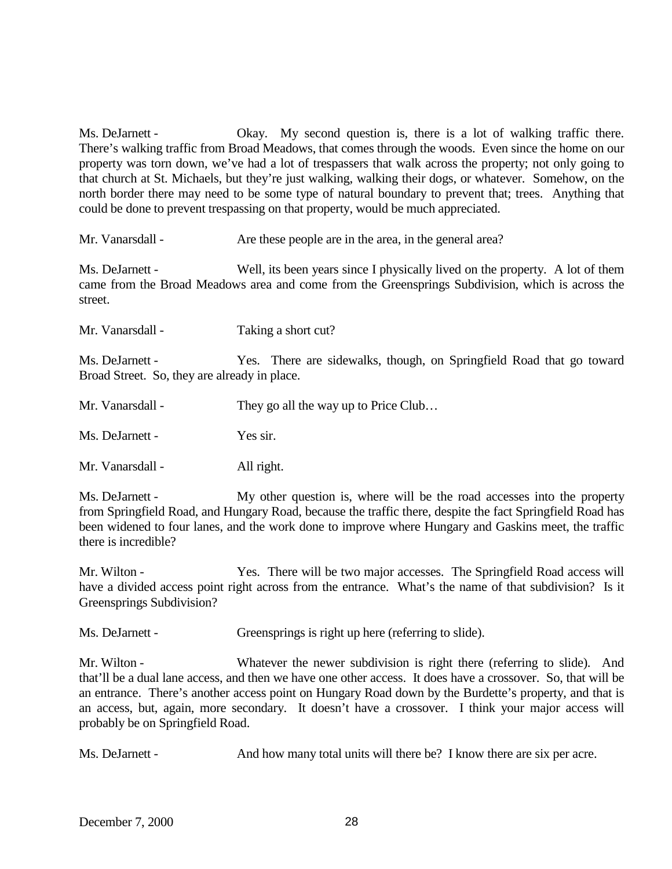Ms. DeJarnett - Okay. My second question is, there is a lot of walking traffic there. There's walking traffic from Broad Meadows, that comes through the woods. Even since the home on our property was torn down, we've had a lot of trespassers that walk across the property; not only going to that church at St. Michaels, but they're just walking, walking their dogs, or whatever. Somehow, on the north border there may need to be some type of natural boundary to prevent that; trees. Anything that could be done to prevent trespassing on that property, would be much appreciated.

Mr. Vanarsdall - Are these people are in the area, in the general area?

Ms. DeJarnett - Well, its been years since I physically lived on the property. A lot of them came from the Broad Meadows area and come from the Greensprings Subdivision, which is across the street.

Mr. Vanarsdall - Taking a short cut?

Ms. DeJarnett - Yes. There are sidewalks, though, on Springfield Road that go toward Broad Street. So, they are already in place.

Ms. DeJarnett - Yes sir.

Mr. Vanarsdall - All right.

Ms. DeJarnett - My other question is, where will be the road accesses into the property from Springfield Road, and Hungary Road, because the traffic there, despite the fact Springfield Road has been widened to four lanes, and the work done to improve where Hungary and Gaskins meet, the traffic there is incredible?

Mr. Wilton - Yes. There will be two major accesses. The Springfield Road access will have a divided access point right across from the entrance. What's the name of that subdivision? Is it Greensprings Subdivision?

Ms. DeJarnett - Greensprings is right up here (referring to slide).

Mr. Wilton - Whatever the newer subdivision is right there (referring to slide). And that'll be a dual lane access, and then we have one other access. It does have a crossover. So, that will be an entrance. There's another access point on Hungary Road down by the Burdette's property, and that is an access, but, again, more secondary. It doesn't have a crossover. I think your major access will probably be on Springfield Road.

Ms. DeJarnett - And how many total units will there be? I know there are six per acre.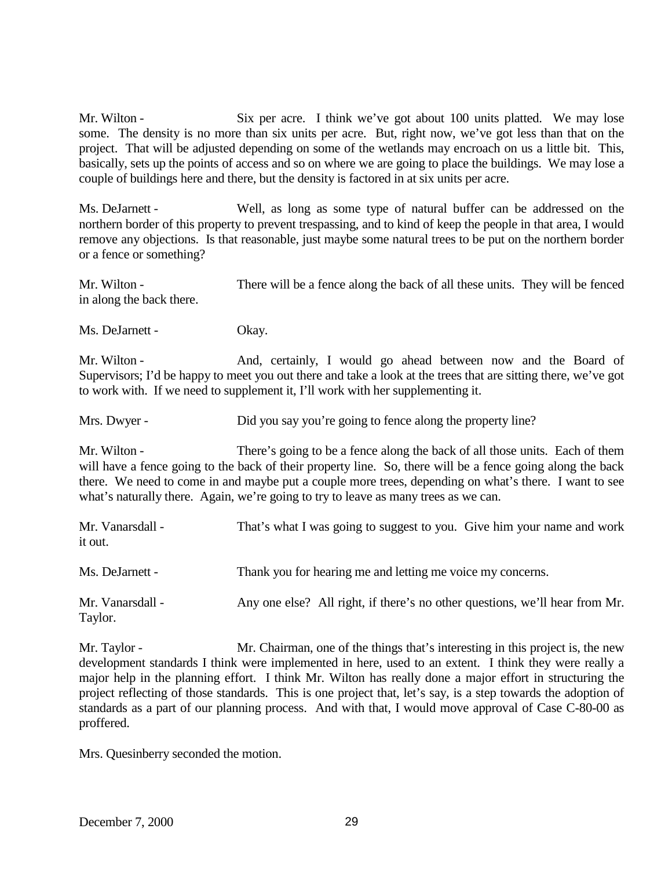Mr. Wilton - Six per acre. I think we've got about 100 units platted. We may lose some. The density is no more than six units per acre. But, right now, we've got less than that on the project. That will be adjusted depending on some of the wetlands may encroach on us a little bit. This, basically, sets up the points of access and so on where we are going to place the buildings. We may lose a couple of buildings here and there, but the density is factored in at six units per acre.

Ms. DeJarnett - Well, as long as some type of natural buffer can be addressed on the northern border of this property to prevent trespassing, and to kind of keep the people in that area, I would remove any objections. Is that reasonable, just maybe some natural trees to be put on the northern border or a fence or something?

Mr. Wilton - There will be a fence along the back of all these units. They will be fenced in along the back there.

Ms. DeJarnett - Okay.

Mr. Wilton - And, certainly, I would go ahead between now and the Board of Supervisors; I'd be happy to meet you out there and take a look at the trees that are sitting there, we've got to work with. If we need to supplement it, I'll work with her supplementing it.

Mrs. Dwyer - Did you say you're going to fence along the property line?

Mr. Wilton - There's going to be a fence along the back of all those units. Each of them will have a fence going to the back of their property line. So, there will be a fence going along the back there. We need to come in and maybe put a couple more trees, depending on what's there. I want to see what's naturally there. Again, we're going to try to leave as many trees as we can.

| Mr. Vanarsdall -<br>it out. | That's what I was going to suggest to you. Give him your name and work      |
|-----------------------------|-----------------------------------------------------------------------------|
| Ms. DeJarnett -             | Thank you for hearing me and letting me voice my concerns.                  |
| Mr. Vanarsdall -<br>Taylor. | Any one else? All right, if there's no other questions, we'll hear from Mr. |

Mr. Taylor - Mr. Chairman, one of the things that's interesting in this project is, the new development standards I think were implemented in here, used to an extent. I think they were really a major help in the planning effort. I think Mr. Wilton has really done a major effort in structuring the project reflecting of those standards. This is one project that, let's say, is a step towards the adoption of standards as a part of our planning process. And with that, I would move approval of Case C-80-00 as proffered.

Mrs. Quesinberry seconded the motion.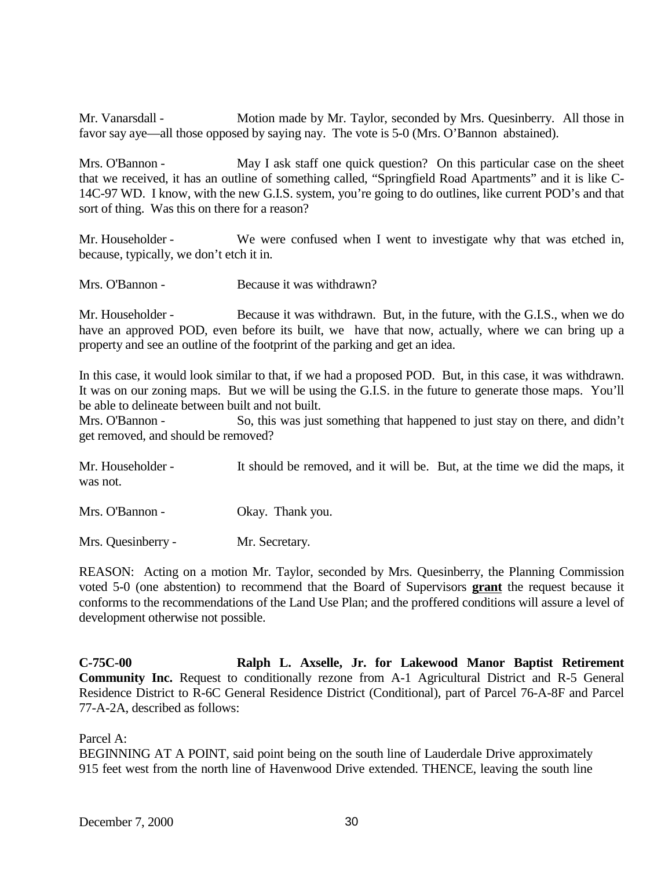Mr. Vanarsdall - Motion made by Mr. Taylor, seconded by Mrs. Quesinberry. All those in favor say aye—all those opposed by saying nay. The vote is 5-0 (Mrs. O'Bannon abstained).

Mrs. O'Bannon - May I ask staff one quick question? On this particular case on the sheet that we received, it has an outline of something called, "Springfield Road Apartments" and it is like C-14C-97 WD. I know, with the new G.I.S. system, you're going to do outlines, like current POD's and that sort of thing. Was this on there for a reason?

Mr. Householder - We were confused when I went to investigate why that was etched in, because, typically, we don't etch it in.

Mrs. O'Bannon - Because it was withdrawn?

Mr. Householder - Because it was withdrawn. But, in the future, with the G.I.S., when we do have an approved POD, even before its built, we have that now, actually, where we can bring up a property and see an outline of the footprint of the parking and get an idea.

In this case, it would look similar to that, if we had a proposed POD. But, in this case, it was withdrawn. It was on our zoning maps. But we will be using the G.I.S. in the future to generate those maps. You'll be able to delineate between built and not built.

Mrs. O'Bannon - So, this was just something that happened to just stay on there, and didn't get removed, and should be removed?

Mr. Householder - It should be removed, and it will be. But, at the time we did the maps, it was not.

Mrs. O'Bannon - Okay. Thank you.

Mrs. Quesinberry - Mr. Secretary.

REASON: Acting on a motion Mr. Taylor, seconded by Mrs. Quesinberry, the Planning Commission voted 5-0 (one abstention) to recommend that the Board of Supervisors **grant** the request because it conforms to the recommendations of the Land Use Plan; and the proffered conditions will assure a level of development otherwise not possible.

**C-75C-00 Ralph L. Axselle, Jr. for Lakewood Manor Baptist Retirement Community Inc.** Request to conditionally rezone from A-1 Agricultural District and R-5 General Residence District to R-6C General Residence District (Conditional), part of Parcel 76-A-8F and Parcel 77-A-2A, described as follows:

Parcel A:

BEGINNING AT A POINT, said point being on the south line of Lauderdale Drive approximately 915 feet west from the north line of Havenwood Drive extended. THENCE, leaving the south line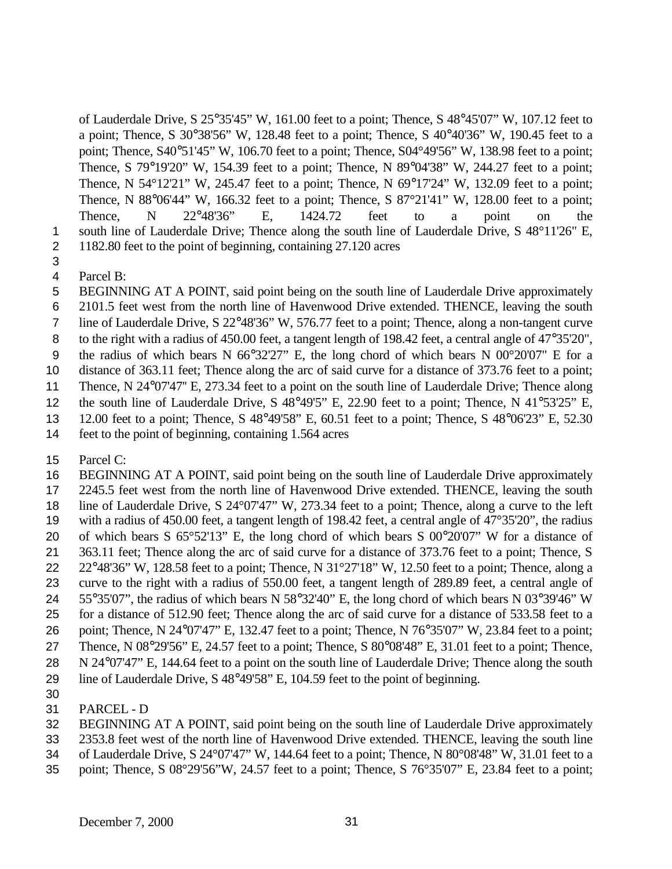of Lauderdale Drive, S 25°35'45" W, 161.00 feet to a point; Thence, S 48°45'07" W, 107.12 feet to a point; Thence, S 30°38'56" W, 128.48 feet to a point; Thence, S 40°40'36" W, 190.45 feet to a point; Thence, S40°51'45" W, 106.70 feet to a point; Thence, S04°49'56" W, 138.98 feet to a point; Thence, S 79°19'20" W, 154.39 feet to a point; Thence, N 89°04'38" W, 244.27 feet to a point; Thence, N 54 $\degree$ 12'21" W, 245.47 feet to a point; Thence, N 69 $\degree$ 17'24" W, 132.09 feet to a point; Thence, N 88°06'44" W, 166.32 feet to a point; Thence, S 87°21'41" W, 128.00 feet to a point; Thence, N 22°48'36" E, 1424.72 feet to a point on the 1 south line of Lauderdale Drive; Thence along the south line of Lauderdale Drive, S 48°11'26" E, 1182.80 feet to the point of beginning, containing 27.120 acres

- 
- Parcel B:
- BEGINNING AT A POINT, said point being on the south line of Lauderdale Drive approximately
- 2101.5 feet west from the north line of Havenwood Drive extended. THENCE, leaving the south
- line of Lauderdale Drive, S 22°48'36" W, 576.77 feet to a point; Thence, along a non-tangent curve
- 8 to the right with a radius of 450.00 feet, a tangent length of 198.42 feet, a central angle of 47°35'20",
- the radius of which bears N 66°32'27" E, the long chord of which bears N 00°20'07" E for a
- distance of 363.11 feet; Thence along the arc of said curve for a distance of 373.76 feet to a point;
- Thence, N 24°07'47'' E, 273.34 feet to a point on the south line of Lauderdale Drive; Thence along
- 12 the south line of Lauderdale Drive, S 48°49'5" E, 22.90 feet to a point; Thence, N 41°53'25" E,
- 12.00 feet to a point; Thence, S 48°49'58" E, 60.51 feet to a point; Thence, S 48°06'23" E, 52.30
- feet to the point of beginning, containing 1.564 acres
- Parcel C:

 BEGINNING AT A POINT, said point being on the south line of Lauderdale Drive approximately 2245.5 feet west from the north line of Havenwood Drive extended. THENCE, leaving the south line of Lauderdale Drive, S 24°07'47" W, 273.34 feet to a point; Thence, along a curve to the left with a radius of 450.00 feet, a tangent length of 198.42 feet, a central angle of 47°35'20", the radius of which bears S 65°52'13" E, the long chord of which bears S 00°20'07" W for a distance of 363.11 feet; Thence along the arc of said curve for a distance of 373.76 feet to a point; Thence, S 22°48'36" W, 128.58 feet to a point; Thence, N 31°27'18" W, 12.50 feet to a point; Thence, along a curve to the right with a radius of 550.00 feet, a tangent length of 289.89 feet, a central angle of 55°35'07", the radius of which bears N 58°32'40" E, the long chord of which bears N 03°39'46" W for a distance of 512.90 feet; Thence along the arc of said curve for a distance of 533.58 feet to a point; Thence, N 24°07'47" E, 132.47 feet to a point; Thence, N 76°35'07" W, 23.84 feet to a point; Thence, N 08°29'56" E, 24.57 feet to a point; Thence, S 80°08'48" E, 31.01 feet to a point; Thence,

- N 24°07'47" E, 144.64 feet to a point on the south line of Lauderdale Drive; Thence along the south
- line of Lauderdale Drive, S 48°49'58" E, 104.59 feet to the point of beginning.
- 
- PARCEL D
- BEGINNING AT A POINT, said point being on the south line of Lauderdale Drive approximately
- 2353.8 feet west of the north line of Havenwood Drive extended. THENCE, leaving the south line
- of Lauderdale Drive, S 24°07'47" W, 144.64 feet to a point; Thence, N 80°08'48" W, 31.01 feet to a
- point; Thence, S 08°29'56"W, 24.57 feet to a point; Thence, S 76°35'07" E, 23.84 feet to a point;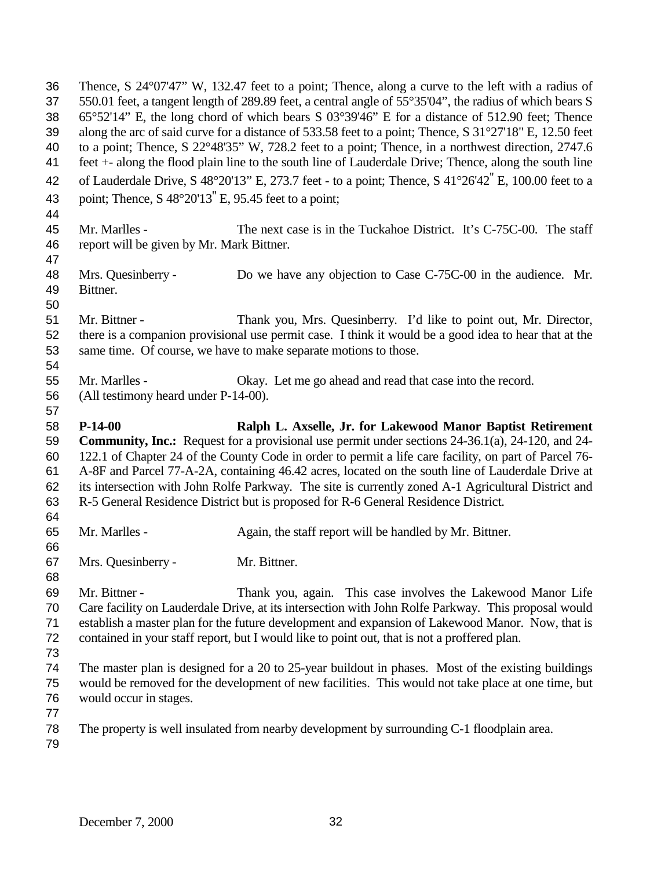Thence, S 24°07'47" W, 132.47 feet to a point; Thence, along a curve to the left with a radius of 550.01 feet, a tangent length of 289.89 feet, a central angle of 55°35'04", the radius of which bears S 65°52'14" E, the long chord of which bears S 03°39'46" E for a distance of 512.90 feet; Thence along the arc of said curve for a distance of 533.58 feet to a point; Thence, S 31°27'18" E, 12.50 feet to a point; Thence, S 22°48'35" W, 728.2 feet to a point; Thence, in a northwest direction, 2747.6 feet +- along the flood plain line to the south line of Lauderdale Drive; Thence, along the south line of Lauderdale Drive, S 48°20'13" E, 273.7 feet - to a point; Thence, S 41°26'42'' E, 100.00 feet to a point; Thence, S 48°20'13'' E, 95.45 feet to a point; Mr. Marlles - The next case is in the Tuckahoe District. It's C-75C-00. The staff report will be given by Mr. Mark Bittner. Mrs. Quesinberry - Do we have any objection to Case C-75C-00 in the audience. Mr. Bittner. Mr. Bittner - Thank you, Mrs. Quesinberry. I'd like to point out, Mr. Director, there is a companion provisional use permit case. I think it would be a good idea to hear that at the same time. Of course, we have to make separate motions to those. Mr. Marlles - Okay. Let me go ahead and read that case into the record. (All testimony heard under P-14-00). **P-14-00 Ralph L. Axselle, Jr. for Lakewood Manor Baptist Retirement Community, Inc.:** Request for a provisional use permit under sections 24-36.1(a), 24-120, and 24- 122.1 of Chapter 24 of the County Code in order to permit a life care facility, on part of Parcel 76- A-8F and Parcel 77-A-2A, containing 46.42 acres, located on the south line of Lauderdale Drive at its intersection with John Rolfe Parkway. The site is currently zoned A-1 Agricultural District and R-5 General Residence District but is proposed for R-6 General Residence District. Mr. Marlles - Again, the staff report will be handled by Mr. Bittner. Mrs. Quesinberry - Mr. Bittner. Mr. Bittner - Thank you, again. This case involves the Lakewood Manor Life Care facility on Lauderdale Drive, at its intersection with John Rolfe Parkway. This proposal would establish a master plan for the future development and expansion of Lakewood Manor. Now, that is contained in your staff report, but I would like to point out, that is not a proffered plan. The master plan is designed for a 20 to 25-year buildout in phases. Most of the existing buildings would be removed for the development of new facilities. This would not take place at one time, but would occur in stages. The property is well insulated from nearby development by surrounding C-1 floodplain area.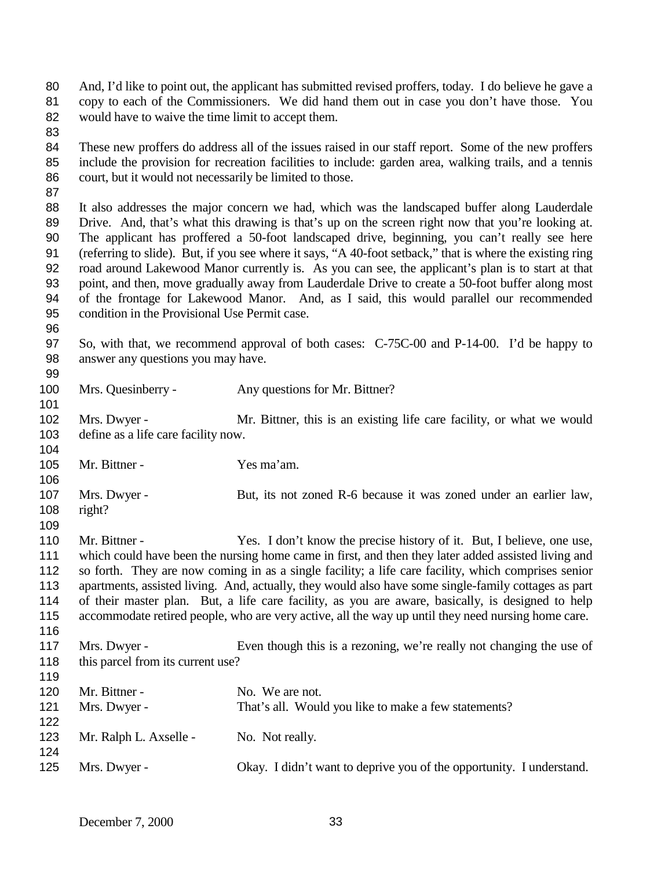And, I'd like to point out, the applicant has submitted revised proffers, today. I do believe he gave a copy to each of the Commissioners. We did hand them out in case you don't have those. You would have to waive the time limit to accept them.

 These new proffers do address all of the issues raised in our staff report. Some of the new proffers include the provision for recreation facilities to include: garden area, walking trails, and a tennis court, but it would not necessarily be limited to those.

 It also addresses the major concern we had, which was the landscaped buffer along Lauderdale Drive. And, that's what this drawing is that's up on the screen right now that you're looking at. The applicant has proffered a 50-foot landscaped drive, beginning, you can't really see here (referring to slide). But, if you see where it says, "A 40-foot setback," that is where the existing ring road around Lakewood Manor currently is. As you can see, the applicant's plan is to start at that point, and then, move gradually away from Lauderdale Drive to create a 50-foot buffer along most of the frontage for Lakewood Manor. And, as I said, this would parallel our recommended condition in the Provisional Use Permit case.

 So, with that, we recommend approval of both cases: C-75C-00 and P-14-00. I'd be happy to answer any questions you may have.

Mrs. Quesinberry - Any questions for Mr. Bittner?

 Mrs. Dwyer - Mr. Bittner, this is an existing life care facility, or what we would define as a life care facility now.

 Mr. Bittner - Yes ma'am. Mrs. Dwyer - But, its not zoned R-6 because it was zoned under an earlier law,

 right? 

110 Mr. Bittner - Yes. I don't know the precise history of it. But, I believe, one use, which could have been the nursing home came in first, and then they later added assisted living and so forth. They are now coming in as a single facility; a life care facility, which comprises senior apartments, assisted living. And, actually, they would also have some single-family cottages as part of their master plan. But, a life care facility, as you are aware, basically, is designed to help accommodate retired people, who are very active, all the way up until they need nursing home care. 

 Mrs. Dwyer - Even though this is a rezoning, we're really not changing the use of 118 this parcel from its current use?

 120 Mr. Bittner - No. We are not. Mrs. Dwyer - That's all. Would you like to make a few statements? 123 Mr. Ralph L. Axselle - No. Not really. Mrs. Dwyer - Okay. I didn't want to deprive you of the opportunity. I understand.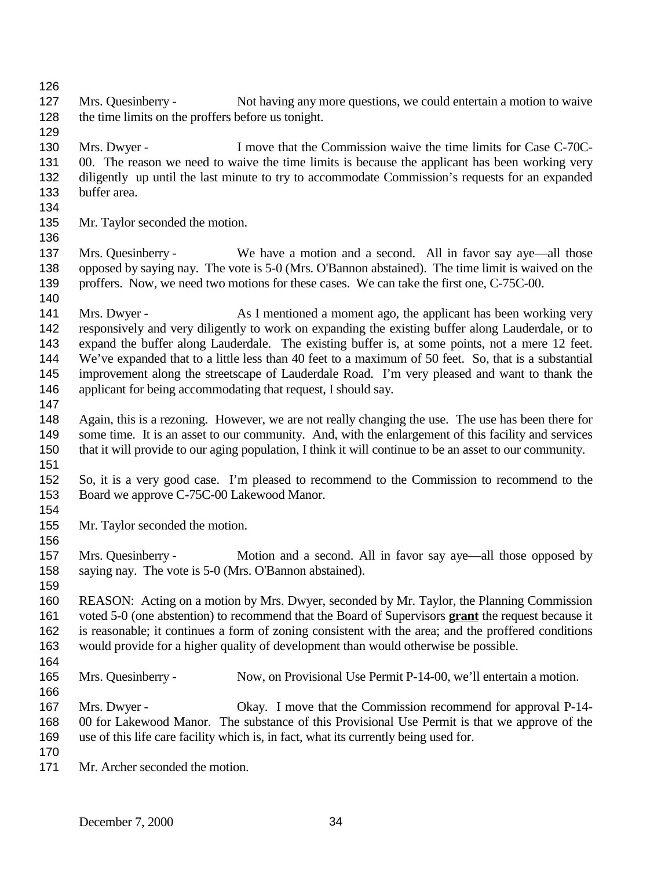127 Mrs. Quesinberry - Not having any more questions, we could entertain a motion to waive the time limits on the proffers before us tonight. Mrs. Dwyer - I move that the Commission waive the time limits for Case C-70C-131 00. The reason we need to waive the time limits is because the applicant has been working very diligently up until the last minute to try to accommodate Commission's requests for an expanded buffer area. Mr. Taylor seconded the motion. Mrs. Quesinberry - We have a motion and a second. All in favor say aye—all those opposed by saying nay. The vote is 5-0 (Mrs. O'Bannon abstained). The time limit is waived on the 139 proffers. Now, we need two motions for these cases. We can take the first one, C-75C-00. 141 Mrs. Dwyer - As I mentioned a moment ago, the applicant has been working very responsively and very diligently to work on expanding the existing buffer along Lauderdale, or to expand the buffer along Lauderdale. The existing buffer is, at some points, not a mere 12 feet. We've expanded that to a little less than 40 feet to a maximum of 50 feet. So, that is a substantial improvement along the streetscape of Lauderdale Road. I'm very pleased and want to thank the applicant for being accommodating that request, I should say. Again, this is a rezoning. However, we are not really changing the use. The use has been there for some time. It is an asset to our community. And, with the enlargement of this facility and services that it will provide to our aging population, I think it will continue to be an asset to our community. So, it is a very good case. I'm pleased to recommend to the Commission to recommend to the Board we approve C-75C-00 Lakewood Manor. Mr. Taylor seconded the motion. Mrs. Quesinberry - Motion and a second. All in favor say aye—all those opposed by saying nay. The vote is 5-0 (Mrs. O'Bannon abstained). 

 REASON: Acting on a motion by Mrs. Dwyer, seconded by Mr. Taylor, the Planning Commission voted 5-0 (one abstention) to recommend that the Board of Supervisors **grant** the request because it is reasonable; it continues a form of zoning consistent with the area; and the proffered conditions would provide for a higher quality of development than would otherwise be possible.

Mrs. Quesinberry - Now, on Provisional Use Permit P-14-00, we'll entertain a motion.

- Mrs. Dwyer Okay. I move that the Commission recommend for approval P-14- 00 for Lakewood Manor. The substance of this Provisional Use Permit is that we approve of the use of this life care facility which is, in fact, what its currently being used for.
- 
- Mr. Archer seconded the motion.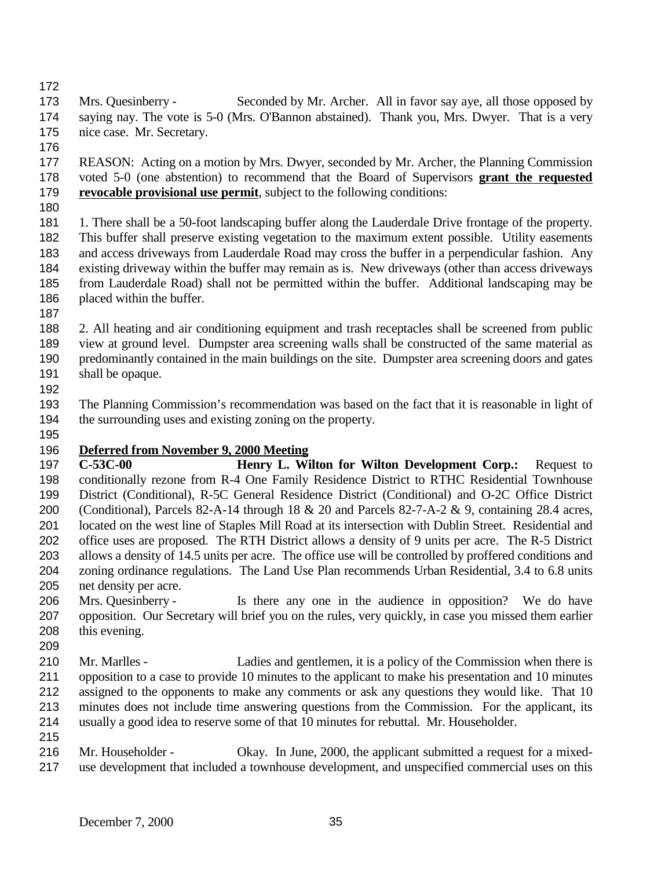Mrs. Quesinberry - Seconded by Mr. Archer. All in favor say aye, all those opposed by saying nay. The vote is 5-0 (Mrs. O'Bannon abstained). Thank you, Mrs. Dwyer. That is a very nice case. Mr. Secretary.

 REASON: Acting on a motion by Mrs. Dwyer, seconded by Mr. Archer, the Planning Commission voted 5-0 (one abstention) to recommend that the Board of Supervisors **grant the requested revocable provisional use permit**, subject to the following conditions:

 1. There shall be a 50-foot landscaping buffer along the Lauderdale Drive frontage of the property. This buffer shall preserve existing vegetation to the maximum extent possible. Utility easements and access driveways from Lauderdale Road may cross the buffer in a perpendicular fashion. Any existing driveway within the buffer may remain as is. New driveways (other than access driveways from Lauderdale Road) shall not be permitted within the buffer. Additional landscaping may be placed within the buffer.

 2. All heating and air conditioning equipment and trash receptacles shall be screened from public view at ground level. Dumpster area screening walls shall be constructed of the same material as predominantly contained in the main buildings on the site. Dumpster area screening doors and gates shall be opaque.

 The Planning Commission's recommendation was based on the fact that it is reasonable in light of the surrounding uses and existing zoning on the property.

## **Deferred from November 9, 2000 Meeting**

 **C-53C-00 Henry L. Wilton for Wilton Development Corp.:** Request to conditionally rezone from R-4 One Family Residence District to RTHC Residential Townhouse District (Conditional), R-5C General Residence District (Conditional) and O-2C Office District (Conditional), Parcels 82-A-14 through 18 & 20 and Parcels 82-7-A-2 & 9, containing 28.4 acres, located on the west line of Staples Mill Road at its intersection with Dublin Street. Residential and office uses are proposed. The RTH District allows a density of 9 units per acre. The R-5 District allows a density of 14.5 units per acre. The office use will be controlled by proffered conditions and zoning ordinance regulations. The Land Use Plan recommends Urban Residential, 3.4 to 6.8 units net density per acre.

- Mrs. Quesinberry Is there any one in the audience in opposition? We do have opposition. Our Secretary will brief you on the rules, very quickly, in case you missed them earlier this evening.
- 
- Mr. Marlles Ladies and gentlemen, it is a policy of the Commission when there is opposition to a case to provide 10 minutes to the applicant to make his presentation and 10 minutes assigned to the opponents to make any comments or ask any questions they would like. That 10 minutes does not include time answering questions from the Commission. For the applicant, its usually a good idea to reserve some of that 10 minutes for rebuttal. Mr. Householder.
- 
- Mr. Householder Okay. In June, 2000, the applicant submitted a request for a mixed-use development that included a townhouse development, and unspecified commercial uses on this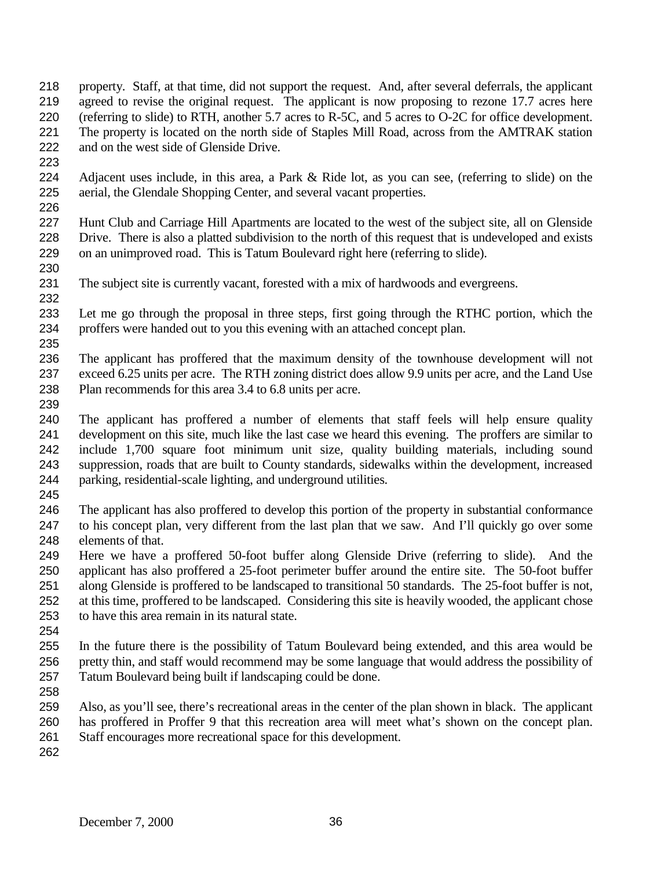- property. Staff, at that time, did not support the request. And, after several deferrals, the applicant agreed to revise the original request. The applicant is now proposing to rezone 17.7 acres here (referring to slide) to RTH, another 5.7 acres to R-5C, and 5 acres to O-2C for office development. The property is located on the north side of Staples Mill Road, across from the AMTRAK station and on the west side of Glenside Drive.
- 
- Adjacent uses include, in this area, a Park & Ride lot, as you can see, (referring to slide) on the aerial, the Glendale Shopping Center, and several vacant properties.
- Hunt Club and Carriage Hill Apartments are located to the west of the subject site, all on Glenside Drive. There is also a platted subdivision to the north of this request that is undeveloped and exists on an unimproved road. This is Tatum Boulevard right here (referring to slide).
- The subject site is currently vacant, forested with a mix of hardwoods and evergreens.
- Let me go through the proposal in three steps, first going through the RTHC portion, which the proffers were handed out to you this evening with an attached concept plan.
- The applicant has proffered that the maximum density of the townhouse development will not exceed 6.25 units per acre. The RTH zoning district does allow 9.9 units per acre, and the Land Use Plan recommends for this area 3.4 to 6.8 units per acre.
- 

- The applicant has proffered a number of elements that staff feels will help ensure quality development on this site, much like the last case we heard this evening. The proffers are similar to include 1,700 square foot minimum unit size, quality building materials, including sound suppression, roads that are built to County standards, sidewalks within the development, increased parking, residential-scale lighting, and underground utilities.
- 
- The applicant has also proffered to develop this portion of the property in substantial conformance to his concept plan, very different from the last plan that we saw. And I'll quickly go over some elements of that.
- Here we have a proffered 50-foot buffer along Glenside Drive (referring to slide). And the applicant has also proffered a 25-foot perimeter buffer around the entire site. The 50-foot buffer along Glenside is proffered to be landscaped to transitional 50 standards. The 25-foot buffer is not, at this time, proffered to be landscaped. Considering this site is heavily wooded, the applicant chose to have this area remain in its natural state.
- 
- In the future there is the possibility of Tatum Boulevard being extended, and this area would be pretty thin, and staff would recommend may be some language that would address the possibility of Tatum Boulevard being built if landscaping could be done.
- 
- Also, as you'll see, there's recreational areas in the center of the plan shown in black. The applicant has proffered in Proffer 9 that this recreation area will meet what's shown on the concept plan. Staff encourages more recreational space for this development.
-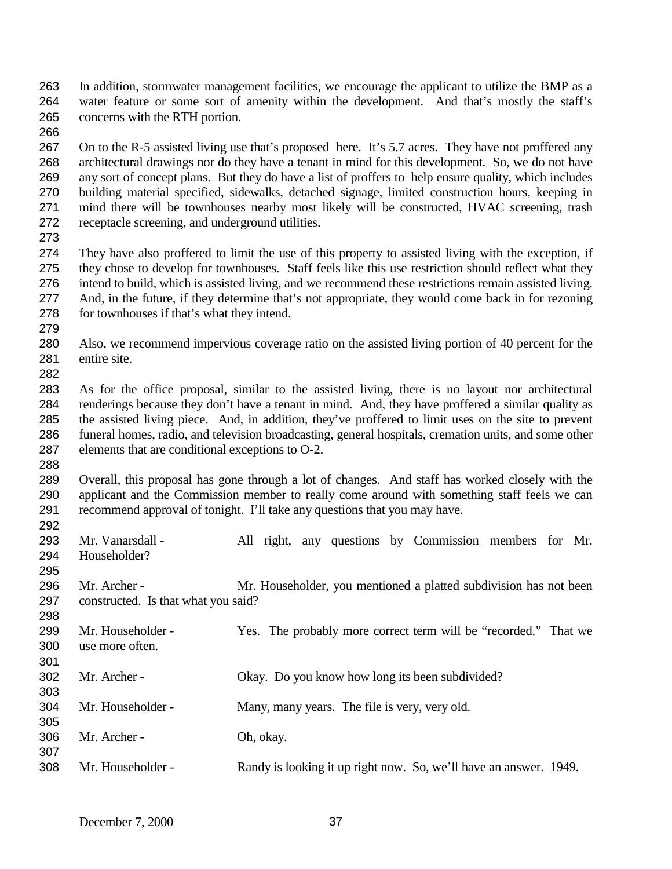- In addition, stormwater management facilities, we encourage the applicant to utilize the BMP as a water feature or some sort of amenity within the development. And that's mostly the staff's concerns with the RTH portion.
- 

 On to the R-5 assisted living use that's proposed here. It's 5.7 acres. They have not proffered any architectural drawings nor do they have a tenant in mind for this development. So, we do not have any sort of concept plans. But they do have a list of proffers to help ensure quality, which includes building material specified, sidewalks, detached signage, limited construction hours, keeping in mind there will be townhouses nearby most likely will be constructed, HVAC screening, trash receptacle screening, and underground utilities.

 They have also proffered to limit the use of this property to assisted living with the exception, if they chose to develop for townhouses. Staff feels like this use restriction should reflect what they intend to build, which is assisted living, and we recommend these restrictions remain assisted living. And, in the future, if they determine that's not appropriate, they would come back in for rezoning for townhouses if that's what they intend. 

- Also, we recommend impervious coverage ratio on the assisted living portion of 40 percent for the entire site.
- As for the office proposal, similar to the assisted living, there is no layout nor architectural renderings because they don't have a tenant in mind. And, they have proffered a similar quality as the assisted living piece. And, in addition, they've proffered to limit uses on the site to prevent funeral homes, radio, and television broadcasting, general hospitals, cremation units, and some other elements that are conditional exceptions to O-2.
- Overall, this proposal has gone through a lot of changes. And staff has worked closely with the applicant and the Commission member to really come around with something staff feels we can recommend approval of tonight. I'll take any questions that you may have.
- 293 Mr. Vanarsdall - All right, any questions by Commission members for Mr. Householder? Mr. Archer - Mr. Householder, you mentioned a platted subdivision has not been constructed. Is that what you said? Mr. Householder - Yes. The probably more correct term will be "recorded." That we use more often. Mr. Archer - Okay. Do you know how long its been subdivided? Mr. Householder - Many, many years. The file is very, very old. Mr. Archer - Oh, okay. Mr. Householder - Randy is looking it up right now. So, we'll have an answer. 1949.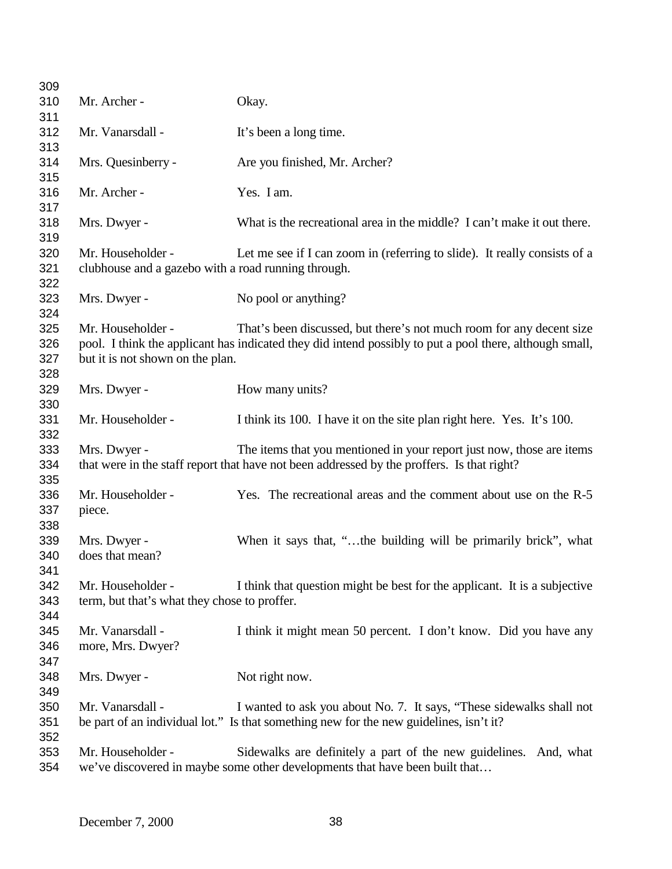| 309        |                                                     |                                                                                                         |
|------------|-----------------------------------------------------|---------------------------------------------------------------------------------------------------------|
| 310        | Mr. Archer -                                        | Okay.                                                                                                   |
| 311        |                                                     |                                                                                                         |
| 312        | Mr. Vanarsdall -                                    | It's been a long time.                                                                                  |
| 313        |                                                     |                                                                                                         |
| 314        | Mrs. Quesinberry -                                  | Are you finished, Mr. Archer?                                                                           |
| 315        |                                                     |                                                                                                         |
| 316        | Mr. Archer -                                        | Yes. I am.                                                                                              |
| 317        |                                                     |                                                                                                         |
| 318        | Mrs. Dwyer -                                        | What is the recreational area in the middle? I can't make it out there.                                 |
| 319        |                                                     |                                                                                                         |
| 320        | Mr. Householder -                                   | Let me see if I can zoom in (referring to slide). It really consists of a                               |
| 321<br>322 | clubhouse and a gazebo with a road running through. |                                                                                                         |
| 323        | Mrs. Dwyer -                                        | No pool or anything?                                                                                    |
| 324        |                                                     |                                                                                                         |
| 325        | Mr. Householder -                                   | That's been discussed, but there's not much room for any decent size                                    |
| 326        |                                                     | pool. I think the applicant has indicated they did intend possibly to put a pool there, although small, |
| 327        | but it is not shown on the plan.                    |                                                                                                         |
| 328        |                                                     |                                                                                                         |
| 329        | Mrs. Dwyer -                                        | How many units?                                                                                         |
| 330        |                                                     |                                                                                                         |
| 331        | Mr. Householder -                                   | I think its 100. I have it on the site plan right here. Yes. It's 100.                                  |
| 332        |                                                     |                                                                                                         |
| 333        | Mrs. Dwyer -                                        | The items that you mentioned in your report just now, those are items                                   |
| 334        |                                                     | that were in the staff report that have not been addressed by the proffers. Is that right?              |
| 335        |                                                     |                                                                                                         |
| 336        | Mr. Householder -                                   | Yes. The recreational areas and the comment about use on the R-5                                        |
| 337        | piece.                                              |                                                                                                         |
| 338        |                                                     |                                                                                                         |
| 339        | Mrs. Dwyer -                                        | When it says that, "the building will be primarily brick", what                                         |
| 340        | does that mean?                                     |                                                                                                         |
| 341        |                                                     |                                                                                                         |
| 342        | Mr. Householder -                                   | I think that question might be best for the applicant. It is a subjective                               |
| 343        | term, but that's what they chose to proffer.        |                                                                                                         |
| 344        | Mr. Vanarsdall -                                    |                                                                                                         |
| 345<br>346 | more, Mrs. Dwyer?                                   | I think it might mean 50 percent. I don't know. Did you have any                                        |
| 347        |                                                     |                                                                                                         |
| 348        | Mrs. Dwyer -                                        | Not right now.                                                                                          |
| 349        |                                                     |                                                                                                         |
| 350        | Mr. Vanarsdall -                                    | I wanted to ask you about No. 7. It says, "These sidewalks shall not                                    |
| 351        |                                                     | be part of an individual lot." Is that something new for the new guidelines, isn't it?                  |
| 352        |                                                     |                                                                                                         |
| 353        | Mr. Householder -                                   | Sidewalks are definitely a part of the new guidelines. And, what                                        |
| 354        |                                                     | we've discovered in maybe some other developments that have been built that                             |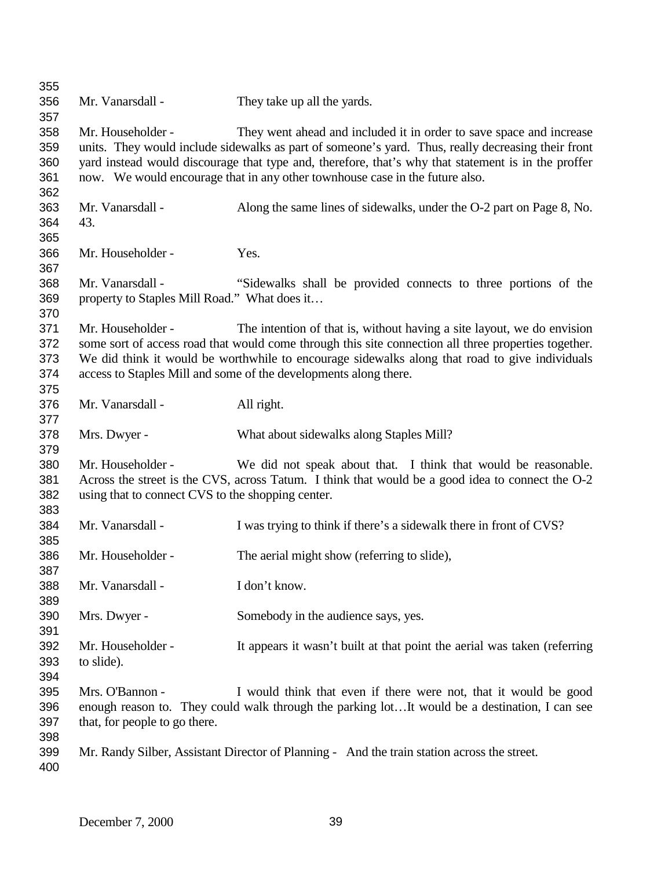| 355 |                                                   |                                                                                                      |
|-----|---------------------------------------------------|------------------------------------------------------------------------------------------------------|
| 356 | Mr. Vanarsdall -                                  | They take up all the yards.                                                                          |
| 357 |                                                   |                                                                                                      |
| 358 | Mr. Householder -                                 | They went ahead and included it in order to save space and increase                                  |
| 359 |                                                   | units. They would include sidewalks as part of someone's yard. Thus, really decreasing their front   |
| 360 |                                                   | yard instead would discourage that type and, therefore, that's why that statement is in the proffer  |
| 361 |                                                   | now. We would encourage that in any other townhouse case in the future also.                         |
| 362 |                                                   |                                                                                                      |
| 363 | Mr. Vanarsdall -                                  | Along the same lines of sidewalks, under the O-2 part on Page 8, No.                                 |
| 364 | 43.                                               |                                                                                                      |
| 365 |                                                   |                                                                                                      |
| 366 | Mr. Householder -                                 | Yes.                                                                                                 |
| 367 |                                                   |                                                                                                      |
| 368 | Mr. Vanarsdall -                                  | "Sidewalks shall be provided connects to three portions of the                                       |
| 369 | property to Staples Mill Road." What does it      |                                                                                                      |
| 370 |                                                   |                                                                                                      |
| 371 | Mr. Householder -                                 | The intention of that is, without having a site layout, we do envision                               |
| 372 |                                                   | some sort of access road that would come through this site connection all three properties together. |
| 373 |                                                   | We did think it would be worthwhile to encourage sidewalks along that road to give individuals       |
| 374 |                                                   | access to Staples Mill and some of the developments along there.                                     |
| 375 |                                                   |                                                                                                      |
| 376 | Mr. Vanarsdall -                                  | All right.                                                                                           |
| 377 |                                                   |                                                                                                      |
| 378 | Mrs. Dwyer -                                      | What about sidewalks along Staples Mill?                                                             |
| 379 |                                                   |                                                                                                      |
| 380 | Mr. Householder -                                 | We did not speak about that. I think that would be reasonable.                                       |
| 381 |                                                   | Across the street is the CVS, across Tatum. I think that would be a good idea to connect the O-2     |
| 382 | using that to connect CVS to the shopping center. |                                                                                                      |
| 383 |                                                   |                                                                                                      |
| 384 | Mr. Vanarsdall -                                  | I was trying to think if there's a sidewalk there in front of CVS?                                   |
| 385 |                                                   |                                                                                                      |
| 386 | Mr. Householder -                                 | The aerial might show (referring to slide),                                                          |
| 387 |                                                   |                                                                                                      |
| 388 | Mr. Vanarsdall -                                  | I don't know.                                                                                        |
| 389 |                                                   |                                                                                                      |
| 390 | Mrs. Dwyer -                                      | Somebody in the audience says, yes.                                                                  |
| 391 |                                                   |                                                                                                      |
| 392 | Mr. Householder -                                 | It appears it wasn't built at that point the aerial was taken (referring                             |
| 393 | to slide).                                        |                                                                                                      |
| 394 |                                                   |                                                                                                      |
| 395 | Mrs. O'Bannon -                                   | I would think that even if there were not, that it would be good                                     |
| 396 |                                                   | enough reason to. They could walk through the parking lotIt would be a destination, I can see        |
| 397 | that, for people to go there.                     |                                                                                                      |
| 398 |                                                   |                                                                                                      |
| 399 |                                                   | Mr. Randy Silber, Assistant Director of Planning - And the train station across the street.          |
| 400 |                                                   |                                                                                                      |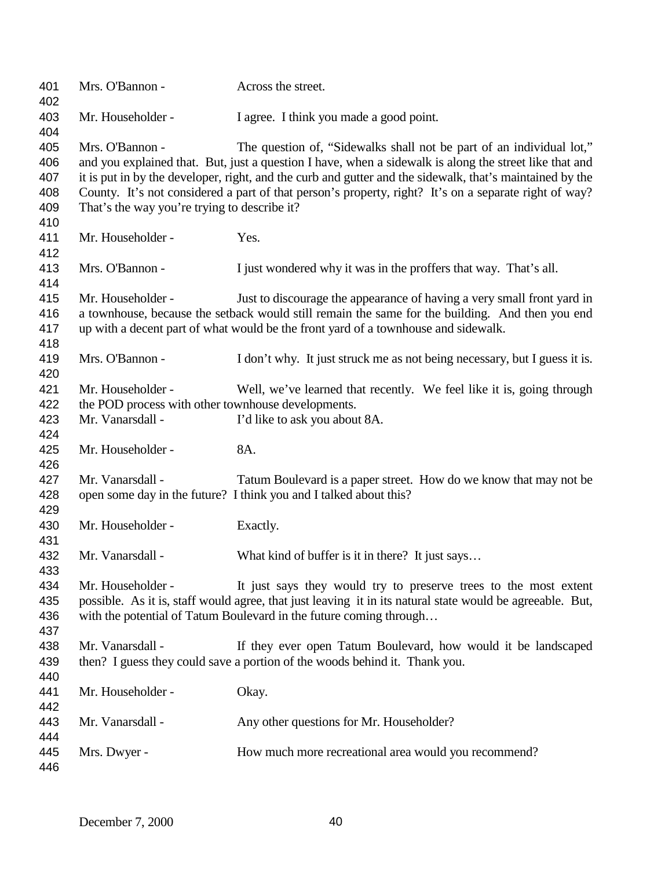| 401<br>402                             | Mrs. O'Bannon -                                                 | Across the street.                                                                                                                                                                                                                                                                                                                                                                                  |
|----------------------------------------|-----------------------------------------------------------------|-----------------------------------------------------------------------------------------------------------------------------------------------------------------------------------------------------------------------------------------------------------------------------------------------------------------------------------------------------------------------------------------------------|
| 403<br>404                             | Mr. Householder -                                               | I agree. I think you made a good point.                                                                                                                                                                                                                                                                                                                                                             |
| 405<br>406<br>407<br>408<br>409<br>410 | Mrs. O'Bannon -<br>That's the way you're trying to describe it? | The question of, "Sidewalks shall not be part of an individual lot,"<br>and you explained that. But, just a question I have, when a sidewalk is along the street like that and<br>it is put in by the developer, right, and the curb and gutter and the sidewalk, that's maintained by the<br>County. It's not considered a part of that person's property, right? It's on a separate right of way? |
| 411<br>412                             | Mr. Householder -                                               | Yes.                                                                                                                                                                                                                                                                                                                                                                                                |
| 413<br>414                             | Mrs. O'Bannon -                                                 | I just wondered why it was in the proffers that way. That's all.                                                                                                                                                                                                                                                                                                                                    |
| 415<br>416<br>417<br>418               | Mr. Householder -                                               | Just to discourage the appearance of having a very small front yard in<br>a townhouse, because the setback would still remain the same for the building. And then you end<br>up with a decent part of what would be the front yard of a townhouse and sidewalk.                                                                                                                                     |
| 419<br>420                             | Mrs. O'Bannon -                                                 | I don't why. It just struck me as not being necessary, but I guess it is.                                                                                                                                                                                                                                                                                                                           |
| 421                                    | Mr. Householder -                                               | Well, we've learned that recently. We feel like it is, going through                                                                                                                                                                                                                                                                                                                                |
| 422                                    | the POD process with other townhouse developments.              |                                                                                                                                                                                                                                                                                                                                                                                                     |
| 423<br>424                             | Mr. Vanarsdall -                                                | I'd like to ask you about 8A.                                                                                                                                                                                                                                                                                                                                                                       |
| 425<br>426                             | Mr. Householder -                                               | 8A.                                                                                                                                                                                                                                                                                                                                                                                                 |
| 427<br>428<br>429                      | Mr. Vanarsdall -                                                | Tatum Boulevard is a paper street. How do we know that may not be<br>open some day in the future? I think you and I talked about this?                                                                                                                                                                                                                                                              |
| 430<br>431                             | Mr. Householder -                                               | Exactly.                                                                                                                                                                                                                                                                                                                                                                                            |
| 432<br>433                             | Mr. Vanarsdall -                                                | What kind of buffer is it in there? It just says                                                                                                                                                                                                                                                                                                                                                    |
| 434<br>435<br>436<br>437               | Mr. Householder -                                               | It just says they would try to preserve trees to the most extent<br>possible. As it is, staff would agree, that just leaving it in its natural state would be agreeable. But,<br>with the potential of Tatum Boulevard in the future coming through                                                                                                                                                 |
| 438<br>439<br>440                      | Mr. Vanarsdall -                                                | If they ever open Tatum Boulevard, how would it be landscaped<br>then? I guess they could save a portion of the woods behind it. Thank you.                                                                                                                                                                                                                                                         |
| 441<br>442                             | Mr. Householder -                                               | Okay.                                                                                                                                                                                                                                                                                                                                                                                               |
| 443<br>444                             | Mr. Vanarsdall -                                                | Any other questions for Mr. Householder?                                                                                                                                                                                                                                                                                                                                                            |
| 445<br>446                             | Mrs. Dwyer -                                                    | How much more recreational area would you recommend?                                                                                                                                                                                                                                                                                                                                                |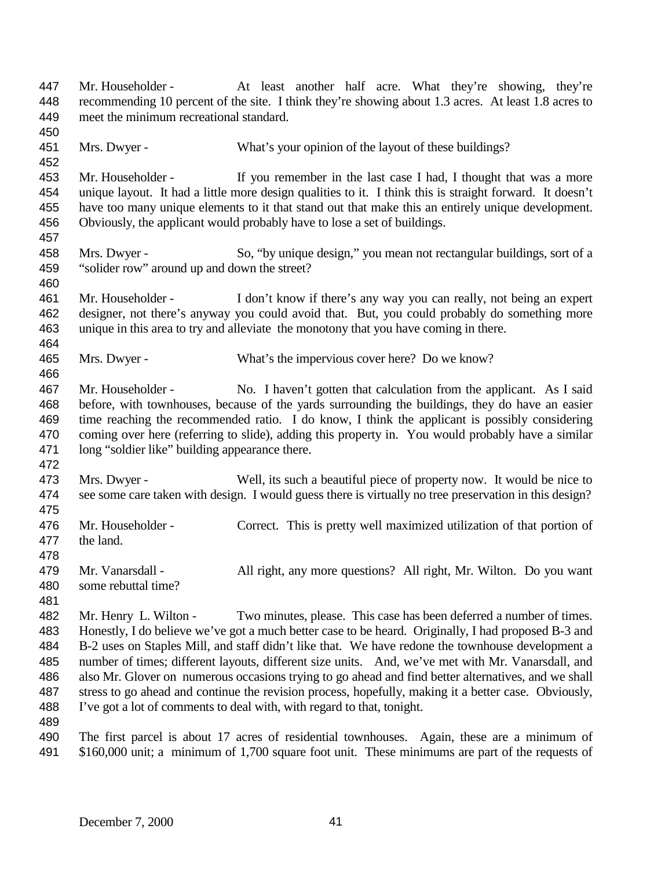447 Mr. Householder - At least another half acre. What they're showing, they're recommending 10 percent of the site. I think they're showing about 1.3 acres. At least 1.8 acres to meet the minimum recreational standard. Mrs. Dwyer - What's your opinion of the layout of these buildings? Mr. Householder - If you remember in the last case I had, I thought that was a more unique layout. It had a little more design qualities to it. I think this is straight forward. It doesn't have too many unique elements to it that stand out that make this an entirely unique development. Obviously, the applicant would probably have to lose a set of buildings. Mrs. Dwyer - So, "by unique design," you mean not rectangular buildings, sort of a "solider row" around up and down the street? Mr. Householder - I don't know if there's any way you can really, not being an expert designer, not there's anyway you could avoid that. But, you could probably do something more unique in this area to try and alleviate the monotony that you have coming in there. Mrs. Dwyer - What's the impervious cover here? Do we know? Mr. Householder - No. I haven't gotten that calculation from the applicant. As I said before, with townhouses, because of the yards surrounding the buildings, they do have an easier time reaching the recommended ratio. I do know, I think the applicant is possibly considering coming over here (referring to slide), adding this property in. You would probably have a similar long "soldier like" building appearance there. Mrs. Dwyer - Well, its such a beautiful piece of property now. It would be nice to see some care taken with design. I would guess there is virtually no tree preservation in this design? 476 Mr. Householder - Correct. This is pretty well maximized utilization of that portion of the land. Mr. Vanarsdall - All right, any more questions? All right, Mr. Wilton. Do you want some rebuttal time? 482 Mr. Henry L. Wilton - Two minutes, please. This case has been deferred a number of times. Honestly, I do believe we've got a much better case to be heard. Originally, I had proposed B-3 and B-2 uses on Staples Mill, and staff didn't like that. We have redone the townhouse development a number of times; different layouts, different size units. And, we've met with Mr. Vanarsdall, and also Mr. Glover on numerous occasions trying to go ahead and find better alternatives, and we shall stress to go ahead and continue the revision process, hopefully, making it a better case. Obviously, I've got a lot of comments to deal with, with regard to that, tonight. The first parcel is about 17 acres of residential townhouses. Again, these are a minimum of \$160,000 unit; a minimum of 1,700 square foot unit. These minimums are part of the requests of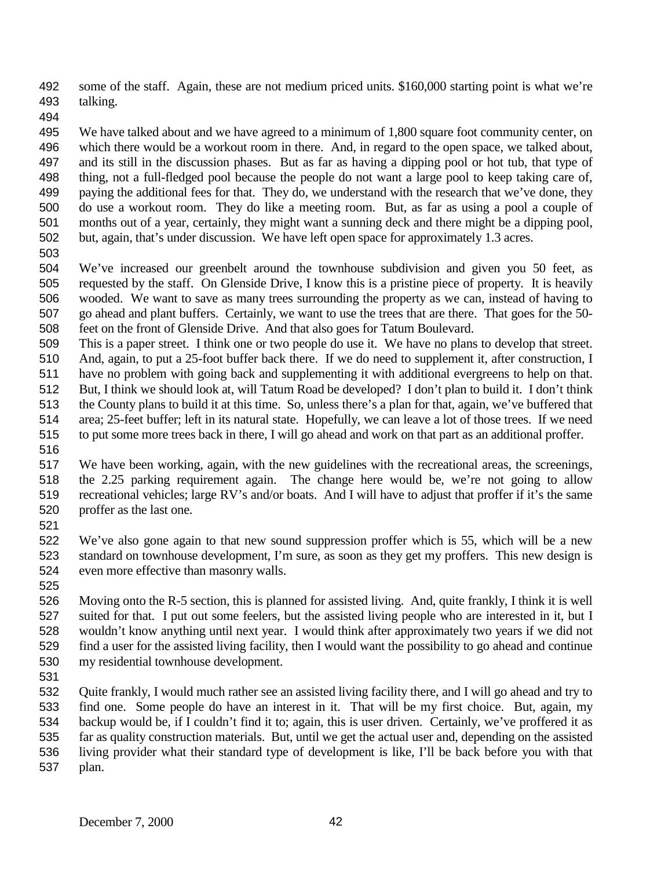some of the staff. Again, these are not medium priced units. \$160,000 starting point is what we're talking.

 We have talked about and we have agreed to a minimum of 1,800 square foot community center, on which there would be a workout room in there. And, in regard to the open space, we talked about, and its still in the discussion phases. But as far as having a dipping pool or hot tub, that type of thing, not a full-fledged pool because the people do not want a large pool to keep taking care of, paying the additional fees for that. They do, we understand with the research that we've done, they do use a workout room. They do like a meeting room. But, as far as using a pool a couple of months out of a year, certainly, they might want a sunning deck and there might be a dipping pool, but, again, that's under discussion. We have left open space for approximately 1.3 acres.

 We've increased our greenbelt around the townhouse subdivision and given you 50 feet, as requested by the staff. On Glenside Drive, I know this is a pristine piece of property. It is heavily wooded. We want to save as many trees surrounding the property as we can, instead of having to go ahead and plant buffers. Certainly, we want to use the trees that are there. That goes for the 50- feet on the front of Glenside Drive. And that also goes for Tatum Boulevard.

This is a paper street. I think one or two people do use it. We have no plans to develop that street.

And, again, to put a 25-foot buffer back there. If we do need to supplement it, after construction, I

have no problem with going back and supplementing it with additional evergreens to help on that.

- But, I think we should look at, will Tatum Road be developed? I don't plan to build it. I don't think the County plans to build it at this time. So, unless there's a plan for that, again, we've buffered that
- area; 25-feet buffer; left in its natural state. Hopefully, we can leave a lot of those trees. If we need to put some more trees back in there, I will go ahead and work on that part as an additional proffer.
- 

 We have been working, again, with the new guidelines with the recreational areas, the screenings, the 2.25 parking requirement again. The change here would be, we're not going to allow recreational vehicles; large RV's and/or boats. And I will have to adjust that proffer if it's the same proffer as the last one.

 We've also gone again to that new sound suppression proffer which is 55, which will be a new standard on townhouse development, I'm sure, as soon as they get my proffers. This new design is even more effective than masonry walls.

 Moving onto the R-5 section, this is planned for assisted living. And, quite frankly, I think it is well suited for that. I put out some feelers, but the assisted living people who are interested in it, but I wouldn't know anything until next year. I would think after approximately two years if we did not find a user for the assisted living facility, then I would want the possibility to go ahead and continue my residential townhouse development.

 Quite frankly, I would much rather see an assisted living facility there, and I will go ahead and try to find one. Some people do have an interest in it. That will be my first choice. But, again, my backup would be, if I couldn't find it to; again, this is user driven. Certainly, we've proffered it as far as quality construction materials. But, until we get the actual user and, depending on the assisted living provider what their standard type of development is like, I'll be back before you with that plan.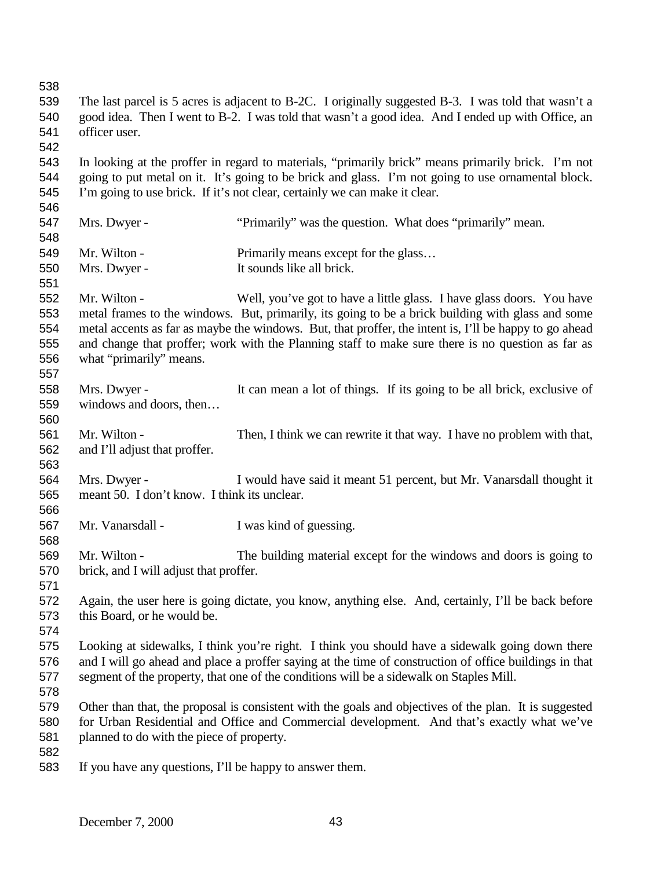| 538 |                                                                                                      |                                                                                                        |  |
|-----|------------------------------------------------------------------------------------------------------|--------------------------------------------------------------------------------------------------------|--|
| 539 | The last parcel is 5 acres is adjacent to B-2C. I originally suggested B-3. I was told that wasn't a |                                                                                                        |  |
| 540 | good idea. Then I went to B-2. I was told that wasn't a good idea. And I ended up with Office, an    |                                                                                                        |  |
| 541 | officer user.                                                                                        |                                                                                                        |  |
| 542 |                                                                                                      |                                                                                                        |  |
| 543 |                                                                                                      | In looking at the proffer in regard to materials, "primarily brick" means primarily brick. I'm not     |  |
| 544 |                                                                                                      | going to put metal on it. It's going to be brick and glass. I'm not going to use ornamental block.     |  |
| 545 |                                                                                                      | I'm going to use brick. If it's not clear, certainly we can make it clear.                             |  |
| 546 |                                                                                                      |                                                                                                        |  |
| 547 | Mrs. Dwyer -                                                                                         | "Primarily" was the question. What does "primarily" mean.                                              |  |
| 548 |                                                                                                      |                                                                                                        |  |
| 549 | Mr. Wilton -                                                                                         | Primarily means except for the glass                                                                   |  |
| 550 | Mrs. Dwyer -                                                                                         | It sounds like all brick.                                                                              |  |
| 551 |                                                                                                      |                                                                                                        |  |
| 552 | Mr. Wilton -                                                                                         | Well, you've got to have a little glass. I have glass doors. You have                                  |  |
| 553 |                                                                                                      | metal frames to the windows. But, primarily, its going to be a brick building with glass and some      |  |
| 554 |                                                                                                      | metal accents as far as maybe the windows. But, that proffer, the intent is, I'll be happy to go ahead |  |
| 555 |                                                                                                      | and change that proffer; work with the Planning staff to make sure there is no question as far as      |  |
| 556 | what "primarily" means.                                                                              |                                                                                                        |  |
| 557 |                                                                                                      |                                                                                                        |  |
| 558 | Mrs. Dwyer -                                                                                         | It can mean a lot of things. If its going to be all brick, exclusive of                                |  |
| 559 | windows and doors, then                                                                              |                                                                                                        |  |
| 560 |                                                                                                      |                                                                                                        |  |
| 561 | Mr. Wilton -                                                                                         | Then, I think we can rewrite it that way. I have no problem with that,                                 |  |
| 562 | and I'll adjust that proffer.                                                                        |                                                                                                        |  |
| 563 |                                                                                                      |                                                                                                        |  |
| 564 | Mrs. Dwyer -                                                                                         | I would have said it meant 51 percent, but Mr. Vanarsdall thought it                                   |  |
| 565 | meant 50. I don't know. I think its unclear.                                                         |                                                                                                        |  |
| 566 |                                                                                                      |                                                                                                        |  |
| 567 | Mr. Vanarsdall -                                                                                     | I was kind of guessing.                                                                                |  |
| 568 |                                                                                                      |                                                                                                        |  |
| 569 | Mr. Wilton -                                                                                         | The building material except for the windows and doors is going to                                     |  |
| 570 | brick, and I will adjust that proffer.                                                               |                                                                                                        |  |
| 571 |                                                                                                      |                                                                                                        |  |
| 572 |                                                                                                      | Again, the user here is going dictate, you know, anything else. And, certainly, I'll be back before    |  |
| 573 | this Board, or he would be.                                                                          |                                                                                                        |  |
| 574 |                                                                                                      |                                                                                                        |  |
| 575 |                                                                                                      | Looking at sidewalks, I think you're right. I think you should have a sidewalk going down there        |  |
| 576 |                                                                                                      | and I will go ahead and place a proffer saying at the time of construction of office buildings in that |  |
| 577 |                                                                                                      | segment of the property, that one of the conditions will be a sidewalk on Staples Mill.                |  |
| 578 |                                                                                                      |                                                                                                        |  |
| 579 |                                                                                                      | Other than that, the proposal is consistent with the goals and objectives of the plan. It is suggested |  |
| 580 |                                                                                                      | for Urban Residential and Office and Commercial development. And that's exactly what we've             |  |
| 581 | planned to do with the piece of property.                                                            |                                                                                                        |  |
| 582 |                                                                                                      |                                                                                                        |  |
| 583 | If you have any questions, I'll be happy to answer them.                                             |                                                                                                        |  |
|     |                                                                                                      |                                                                                                        |  |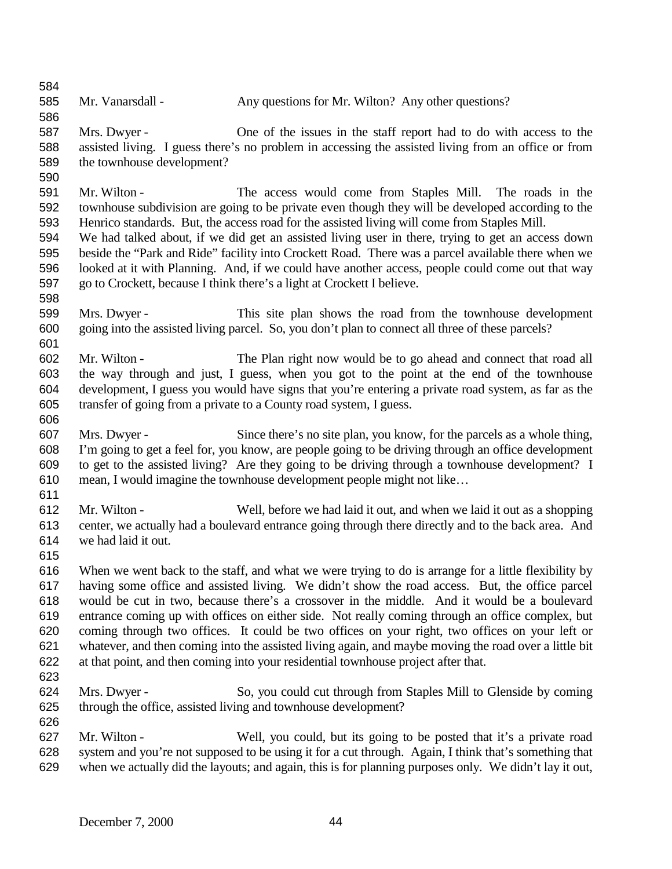585 Mr. Vanarsdall - Any questions for Mr. Wilton? Any other questions? Mrs. Dwyer - One of the issues in the staff report had to do with access to the assisted living. I guess there's no problem in accessing the assisted living from an office or from the townhouse development? Mr. Wilton - The access would come from Staples Mill. The roads in the townhouse subdivision are going to be private even though they will be developed according to the Henrico standards. But, the access road for the assisted living will come from Staples Mill. We had talked about, if we did get an assisted living user in there, trying to get an access down beside the "Park and Ride" facility into Crockett Road. There was a parcel available there when we looked at it with Planning. And, if we could have another access, people could come out that way go to Crockett, because I think there's a light at Crockett I believe. Mrs. Dwyer - This site plan shows the road from the townhouse development going into the assisted living parcel. So, you don't plan to connect all three of these parcels? Mr. Wilton - The Plan right now would be to go ahead and connect that road all the way through and just, I guess, when you got to the point at the end of the townhouse development, I guess you would have signs that you're entering a private road system, as far as the transfer of going from a private to a County road system, I guess. Mrs. Dwyer - Since there's no site plan, you know, for the parcels as a whole thing, I'm going to get a feel for, you know, are people going to be driving through an office development to get to the assisted living? Are they going to be driving through a townhouse development? I mean, I would imagine the townhouse development people might not like… Mr. Wilton - Well, before we had laid it out, and when we laid it out as a shopping center, we actually had a boulevard entrance going through there directly and to the back area. And we had laid it out. When we went back to the staff, and what we were trying to do is arrange for a little flexibility by having some office and assisted living. We didn't show the road access. But, the office parcel would be cut in two, because there's a crossover in the middle. And it would be a boulevard entrance coming up with offices on either side. Not really coming through an office complex, but coming through two offices. It could be two offices on your right, two offices on your left or whatever, and then coming into the assisted living again, and maybe moving the road over a little bit at that point, and then coming into your residential townhouse project after that. Mrs. Dwyer - So, you could cut through from Staples Mill to Glenside by coming through the office, assisted living and townhouse development? Mr. Wilton - Well, you could, but its going to be posted that it's a private road system and you're not supposed to be using it for a cut through. Again, I think that's something that when we actually did the layouts; and again, this is for planning purposes only. We didn't lay it out,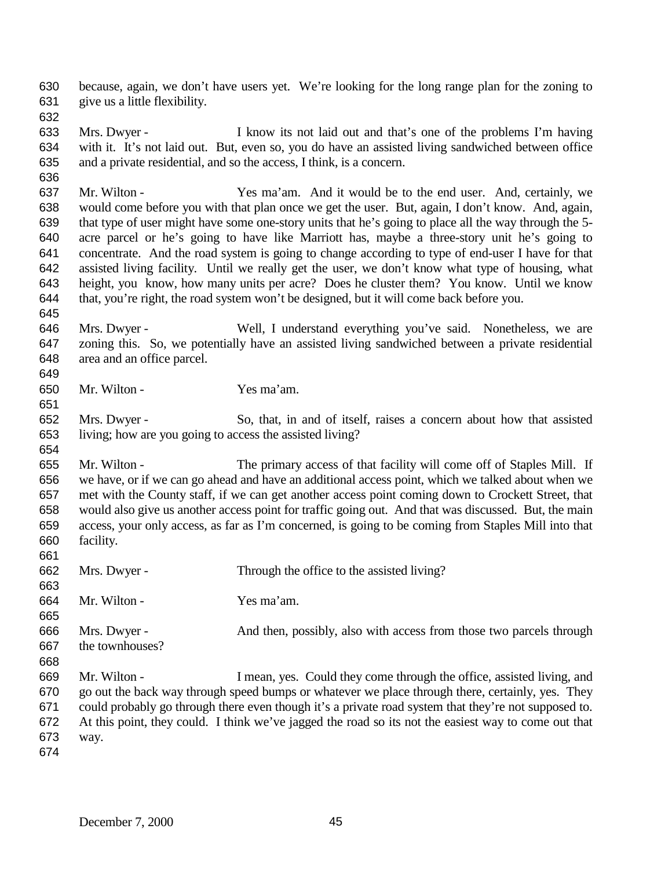because, again, we don't have users yet. We're looking for the long range plan for the zoning to give us a little flexibility.

 Mrs. Dwyer - I know its not laid out and that's one of the problems I'm having with it. It's not laid out. But, even so, you do have an assisted living sandwiched between office and a private residential, and so the access, I think, is a concern.

 Mr. Wilton - Yes ma'am. And it would be to the end user. And, certainly, we would come before you with that plan once we get the user. But, again, I don't know. And, again, that type of user might have some one-story units that he's going to place all the way through the 5- acre parcel or he's going to have like Marriott has, maybe a three-story unit he's going to concentrate. And the road system is going to change according to type of end-user I have for that assisted living facility. Until we really get the user, we don't know what type of housing, what height, you know, how many units per acre? Does he cluster them? You know. Until we know that, you're right, the road system won't be designed, but it will come back before you.

- Mrs. Dwyer Well, I understand everything you've said. Nonetheless, we are zoning this. So, we potentially have an assisted living sandwiched between a private residential area and an office parcel.
- Mr. Wilton Yes ma'am.
- Mrs. Dwyer So, that, in and of itself, raises a concern about how that assisted living; how are you going to access the assisted living?

 Mr. Wilton - The primary access of that facility will come off of Staples Mill. If we have, or if we can go ahead and have an additional access point, which we talked about when we met with the County staff, if we can get another access point coming down to Crockett Street, that would also give us another access point for traffic going out. And that was discussed. But, the main access, your only access, as far as I'm concerned, is going to be coming from Staples Mill into that facility. 

- Mrs. Dwyer Through the office to the assisted living? Mr. Wilton - Yes ma'am. Mrs. Dwyer - And then, possibly, also with access from those two parcels through the townhouses? Mr. Wilton - I mean, yes. Could they come through the office, assisted living, and go out the back way through speed bumps or whatever we place through there, certainly, yes. They could probably go through there even though it's a private road system that they're not supposed to. At this point, they could. I think we've jagged the road so its not the easiest way to come out that
- way.
-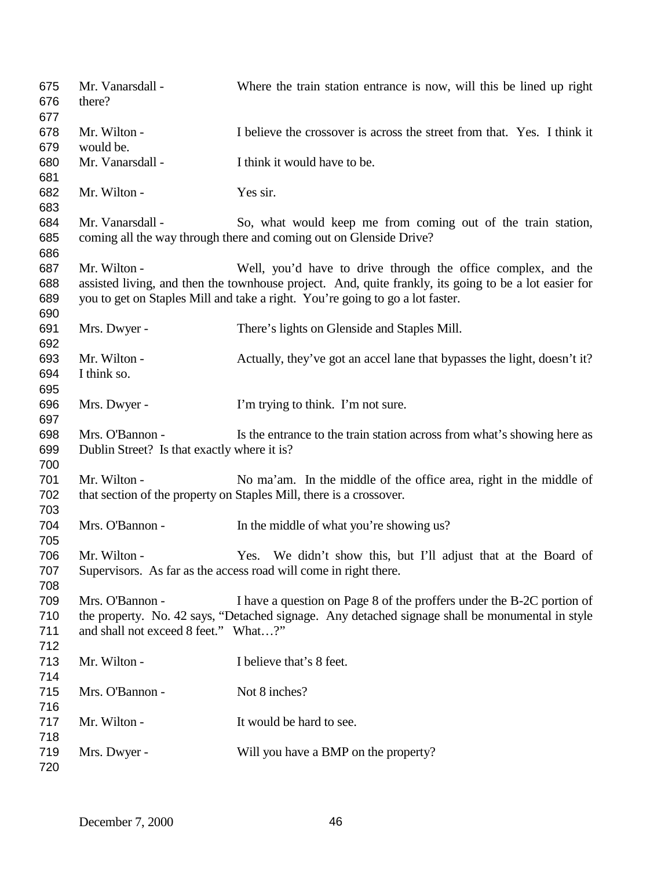| 675<br>676<br>677        | Mr. Vanarsdall -<br>there?                                     | Where the train station entrance is now, will this be lined up right                                                                                                                                                                                    |
|--------------------------|----------------------------------------------------------------|---------------------------------------------------------------------------------------------------------------------------------------------------------------------------------------------------------------------------------------------------------|
| 678<br>679               | Mr. Wilton -<br>would be.                                      | I believe the crossover is across the street from that. Yes. I think it                                                                                                                                                                                 |
| 680<br>681               | Mr. Vanarsdall -                                               | I think it would have to be.                                                                                                                                                                                                                            |
| 682<br>683               | Mr. Wilton -                                                   | Yes sir.                                                                                                                                                                                                                                                |
| 684<br>685<br>686        | Mr. Vanarsdall -                                               | So, what would keep me from coming out of the train station,<br>coming all the way through there and coming out on Glenside Drive?                                                                                                                      |
| 687<br>688<br>689<br>690 | Mr. Wilton -                                                   | Well, you'd have to drive through the office complex, and the<br>assisted living, and then the townhouse project. And, quite frankly, its going to be a lot easier for<br>you to get on Staples Mill and take a right. You're going to go a lot faster. |
| 691<br>692               | Mrs. Dwyer -                                                   | There's lights on Glenside and Staples Mill.                                                                                                                                                                                                            |
| 693<br>694<br>695        | Mr. Wilton -<br>I think so.                                    | Actually, they've got an accel lane that bypasses the light, doesn't it?                                                                                                                                                                                |
| 696<br>697               | Mrs. Dwyer -                                                   | I'm trying to think. I'm not sure.                                                                                                                                                                                                                      |
| 698<br>699<br>700        | Mrs. O'Bannon -<br>Dublin Street? Is that exactly where it is? | Is the entrance to the train station across from what's showing here as                                                                                                                                                                                 |
| 701<br>702<br>703        | Mr. Wilton -                                                   | No ma'am. In the middle of the office area, right in the middle of<br>that section of the property on Staples Mill, there is a crossover.                                                                                                               |
| 704<br>705               | Mrs. O'Bannon -                                                | In the middle of what you're showing us?                                                                                                                                                                                                                |
| 706<br>707<br>708        | Mr. Wilton -                                                   | Yes. We didn't show this, but I'll adjust that at the Board of<br>Supervisors. As far as the access road will come in right there.                                                                                                                      |
| 709<br>710<br>711<br>712 | Mrs. O'Bannon -<br>and shall not exceed 8 feet." What?"        | I have a question on Page 8 of the proffers under the B-2C portion of<br>the property. No. 42 says, "Detached signage. Any detached signage shall be monumental in style                                                                                |
| 713<br>714               | Mr. Wilton -                                                   | I believe that's 8 feet.                                                                                                                                                                                                                                |
| 715<br>716               | Mrs. O'Bannon -                                                | Not 8 inches?                                                                                                                                                                                                                                           |
| 717<br>718               | Mr. Wilton -                                                   | It would be hard to see.                                                                                                                                                                                                                                |
| 719<br>720               | Mrs. Dwyer -                                                   | Will you have a BMP on the property?                                                                                                                                                                                                                    |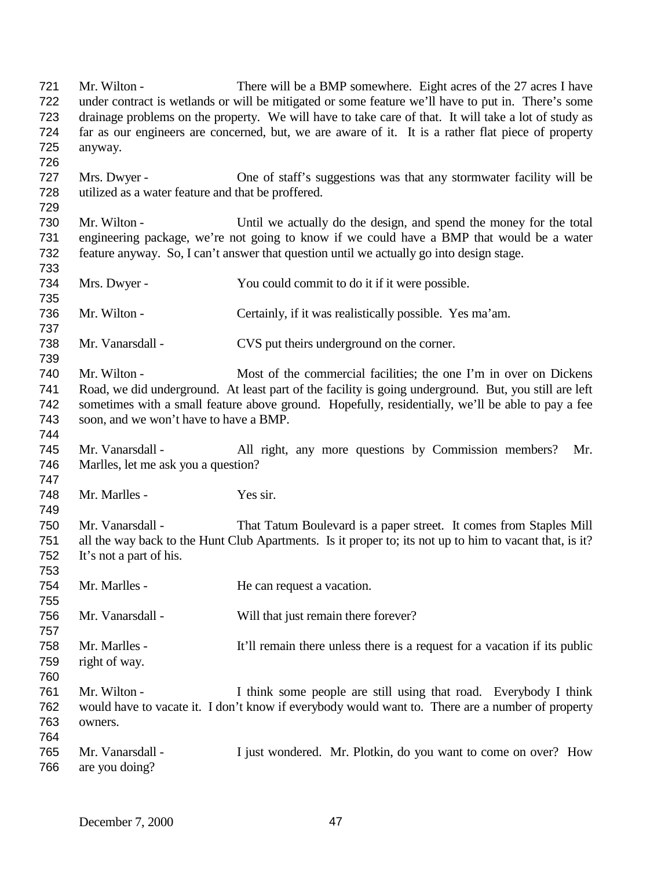Mr. Wilton - There will be a BMP somewhere. Eight acres of the 27 acres I have under contract is wetlands or will be mitigated or some feature we'll have to put in. There's some drainage problems on the property. We will have to take care of that. It will take a lot of study as far as our engineers are concerned, but, we are aware of it. It is a rather flat piece of property anyway. Mrs. Dwyer - One of staff's suggestions was that any stormwater facility will be utilized as a water feature and that be proffered. Mr. Wilton - Until we actually do the design, and spend the money for the total engineering package, we're not going to know if we could have a BMP that would be a water feature anyway. So, I can't answer that question until we actually go into design stage. Mrs. Dwyer - You could commit to do it if it were possible. Mr. Wilton - Certainly, if it was realistically possible. Yes ma'am. 738 Mr. Vanarsdall - CVS put theirs underground on the corner. Mr. Wilton - Most of the commercial facilities; the one I'm in over on Dickens Road, we did underground. At least part of the facility is going underground. But, you still are left sometimes with a small feature above ground. Hopefully, residentially, we'll be able to pay a fee soon, and we won't have to have a BMP. Mr. Vanarsdall - All right, any more questions by Commission members? Mr. Marlles, let me ask you a question? Mr. Marlles - Yes sir. Mr. Vanarsdall - That Tatum Boulevard is a paper street. It comes from Staples Mill all the way back to the Hunt Club Apartments. Is it proper to; its not up to him to vacant that, is it? It's not a part of his. 754 Mr. Marlles - He can request a vacation. Mr. Vanarsdall - Will that just remain there forever? Mr. Marlles - It'll remain there unless there is a request for a vacation if its public right of way. Mr. Wilton - I think some people are still using that road. Everybody I think would have to vacate it. I don't know if everybody would want to. There are a number of property owners. Mr. Vanarsdall - I just wondered. Mr. Plotkin, do you want to come on over? How are you doing?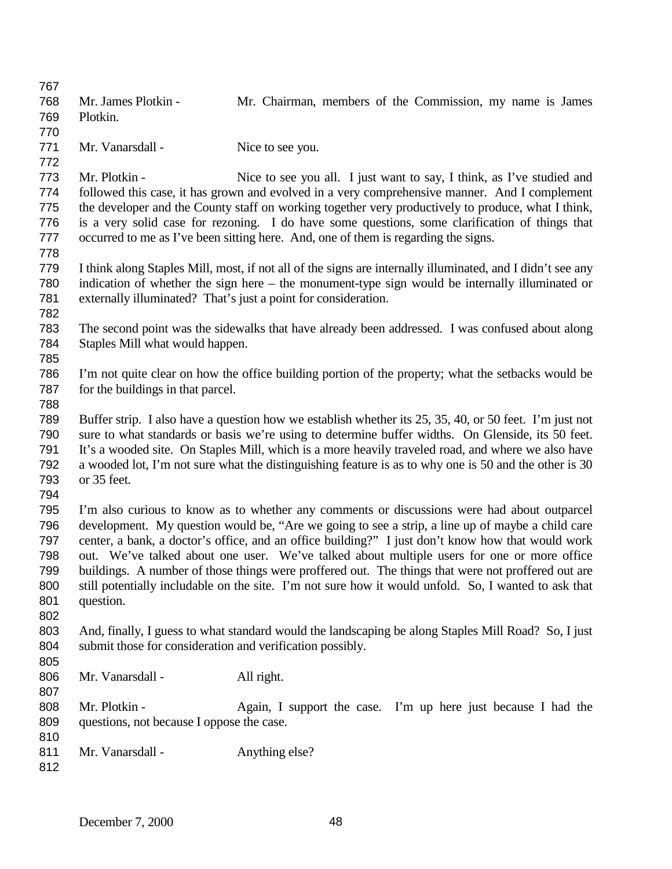| 767 |                                                                                                                                                                  |                                                                                                            |  |
|-----|------------------------------------------------------------------------------------------------------------------------------------------------------------------|------------------------------------------------------------------------------------------------------------|--|
| 768 | Mr. James Plotkin -                                                                                                                                              | Mr. Chairman, members of the Commission, my name is James                                                  |  |
| 769 | Plotkin.                                                                                                                                                         |                                                                                                            |  |
| 770 |                                                                                                                                                                  |                                                                                                            |  |
| 771 | Mr. Vanarsdall -                                                                                                                                                 | Nice to see you.                                                                                           |  |
| 772 |                                                                                                                                                                  |                                                                                                            |  |
| 773 | Mr. Plotkin -                                                                                                                                                    | Nice to see you all. I just want to say, I think, as I've studied and                                      |  |
| 774 |                                                                                                                                                                  | followed this case, it has grown and evolved in a very comprehensive manner. And I complement              |  |
| 775 |                                                                                                                                                                  | the developer and the County staff on working together very productively to produce, what I think,         |  |
| 776 |                                                                                                                                                                  | is a very solid case for rezoning. I do have some questions, some clarification of things that             |  |
| 777 |                                                                                                                                                                  | occurred to me as I've been sitting here. And, one of them is regarding the signs.                         |  |
| 778 |                                                                                                                                                                  |                                                                                                            |  |
| 779 |                                                                                                                                                                  | I think along Staples Mill, most, if not all of the signs are internally illuminated, and I didn't see any |  |
| 780 |                                                                                                                                                                  | indication of whether the sign here – the monument-type sign would be internally illuminated or            |  |
| 781 |                                                                                                                                                                  | externally illuminated? That's just a point for consideration.                                             |  |
| 782 |                                                                                                                                                                  |                                                                                                            |  |
| 783 |                                                                                                                                                                  | The second point was the sidewalks that have already been addressed. I was confused about along            |  |
| 784 | Staples Mill what would happen.                                                                                                                                  |                                                                                                            |  |
| 785 |                                                                                                                                                                  |                                                                                                            |  |
| 786 |                                                                                                                                                                  | I'm not quite clear on how the office building portion of the property; what the set backs would be        |  |
| 787 | for the buildings in that parcel.                                                                                                                                |                                                                                                            |  |
| 788 |                                                                                                                                                                  |                                                                                                            |  |
| 789 |                                                                                                                                                                  | Buffer strip. I also have a question how we establish whether its 25, 35, 40, or 50 feet. I'm just not     |  |
| 790 | sure to what standards or basis we're using to determine buffer widths. On Glenside, its 50 feet.                                                                |                                                                                                            |  |
| 791 | It's a wooded site. On Staples Mill, which is a more heavily traveled road, and where we also have                                                               |                                                                                                            |  |
| 792 | a wooded lot, I'm not sure what the distinguishing feature is as to why one is 50 and the other is 30                                                            |                                                                                                            |  |
| 793 | or 35 feet.                                                                                                                                                      |                                                                                                            |  |
| 794 |                                                                                                                                                                  |                                                                                                            |  |
| 795 |                                                                                                                                                                  | I'm also curious to know as to whether any comments or discussions were had about outparcel                |  |
| 796 |                                                                                                                                                                  | development. My question would be, "Are we going to see a strip, a line up of maybe a child care           |  |
| 797 | center, a bank, a doctor's office, and an office building?" I just don't know how that would work                                                                |                                                                                                            |  |
| 798 | out. We've talked about one user. We've talked about multiple users for one or more office                                                                       |                                                                                                            |  |
| 799 | buildings. A number of those things were proffered out. The things that were not proffered out are                                                               |                                                                                                            |  |
| 800 | still potentially includable on the site. I'm not sure how it would unfold. So, I wanted to ask that                                                             |                                                                                                            |  |
| 801 | question.                                                                                                                                                        |                                                                                                            |  |
| 802 |                                                                                                                                                                  |                                                                                                            |  |
| 803 |                                                                                                                                                                  |                                                                                                            |  |
| 804 | And, finally, I guess to what standard would the landscaping be along Staples Mill Road? So, I just<br>submit those for consideration and verification possibly. |                                                                                                            |  |
| 805 |                                                                                                                                                                  |                                                                                                            |  |
| 806 | Mr. Vanarsdall -                                                                                                                                                 | All right.                                                                                                 |  |
| 807 |                                                                                                                                                                  |                                                                                                            |  |
| 808 | Mr. Plotkin -                                                                                                                                                    | Again, I support the case. I'm up here just because I had the                                              |  |
| 809 | questions, not because I oppose the case.                                                                                                                        |                                                                                                            |  |
| 810 |                                                                                                                                                                  |                                                                                                            |  |
| 811 | Mr. Vanarsdall -                                                                                                                                                 | Anything else?                                                                                             |  |
| 812 |                                                                                                                                                                  |                                                                                                            |  |
|     |                                                                                                                                                                  |                                                                                                            |  |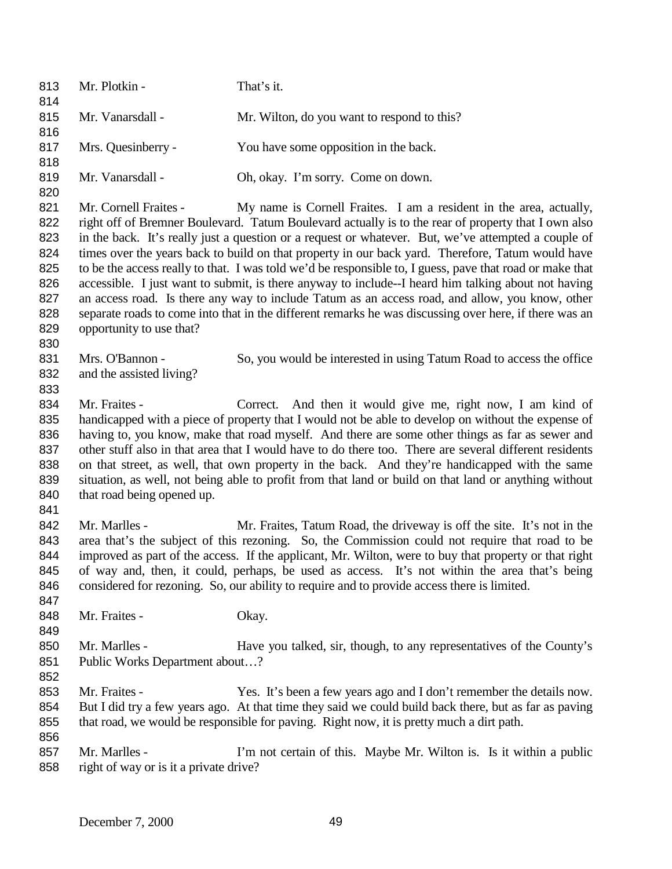813 Mr. Plotkin - That's it. Mr. Vanarsdall - Mr. Wilton, do you want to respond to this? 817 Mrs. Quesinberry - You have some opposition in the back. 819 Mr. Vanarsdall - Oh, okay. I'm sorry. Come on down. 821 Mr. Cornell Fraites - My name is Cornell Fraites. I am a resident in the area, actually, right off of Bremner Boulevard. Tatum Boulevard actually is to the rear of property that I own also in the back. It's really just a question or a request or whatever. But, we've attempted a couple of times over the years back to build on that property in our back yard. Therefore, Tatum would have to be the access really to that. I was told we'd be responsible to, I guess, pave that road or make that accessible. I just want to submit, is there anyway to include--I heard him talking about not having an access road. Is there any way to include Tatum as an access road, and allow, you know, other separate roads to come into that in the different remarks he was discussing over here, if there was an opportunity to use that? Mrs. O'Bannon - So, you would be interested in using Tatum Road to access the office and the assisted living? 834 Mr. Fraites - Correct. And then it would give me, right now, I am kind of handicapped with a piece of property that I would not be able to develop on without the expense of having to, you know, make that road myself. And there are some other things as far as sewer and other stuff also in that area that I would have to do there too. There are several different residents on that street, as well, that own property in the back. And they're handicapped with the same situation, as well, not being able to profit from that land or build on that land or anything without 840 that road being opened up. 842 Mr. Marlles - Mr. Fraites, Tatum Road, the driveway is off the site. It's not in the area that's the subject of this rezoning. So, the Commission could not require that road to be improved as part of the access. If the applicant, Mr. Wilton, were to buy that property or that right of way and, then, it could, perhaps, be used as access. It's not within the area that's being considered for rezoning. So, our ability to require and to provide access there is limited. 848 Mr. Fraites - Okay. 850 Mr. Marlles - Have you talked, sir, though, to any representatives of the County's Public Works Department about…? 853 Mr. Fraites - Yes. It's been a few years ago and I don't remember the details now. But I did try a few years ago. At that time they said we could build back there, but as far as paving that road, we would be responsible for paving. Right now, it is pretty much a dirt path. 857 Mr. Marlles - I'm not certain of this. Maybe Mr. Wilton is. Is it within a public 858 right of way or is it a private drive?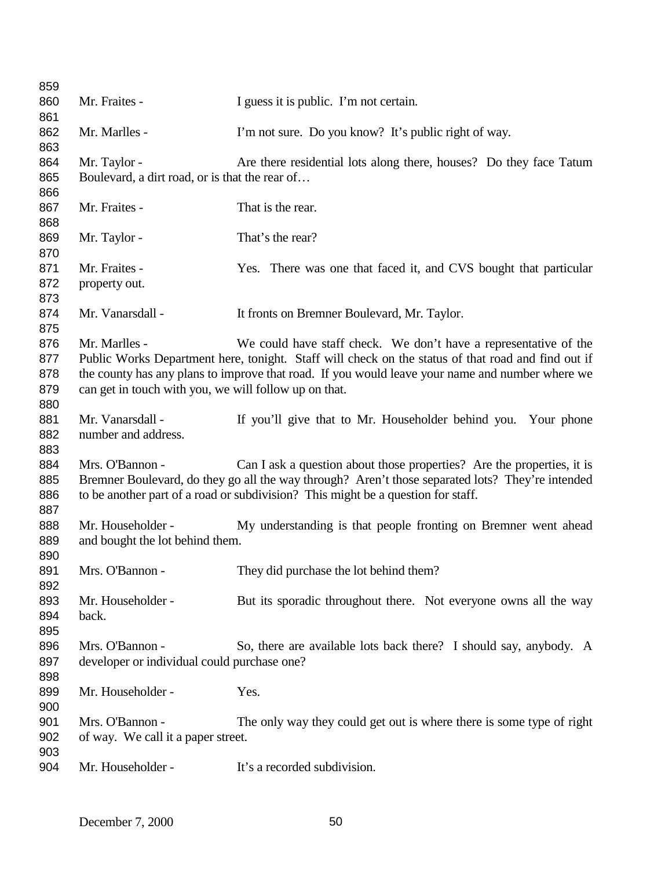| 859 |                                                       |                                                                                                    |
|-----|-------------------------------------------------------|----------------------------------------------------------------------------------------------------|
| 860 | Mr. Fraites -                                         | I guess it is public. I'm not certain.                                                             |
| 861 |                                                       |                                                                                                    |
| 862 | Mr. Marlles -                                         | I'm not sure. Do you know? It's public right of way.                                               |
| 863 |                                                       |                                                                                                    |
| 864 | Mr. Taylor -                                          | Are there residential lots along there, houses? Do they face Tatum                                 |
| 865 | Boulevard, a dirt road, or is that the rear of        |                                                                                                    |
| 866 |                                                       |                                                                                                    |
| 867 | Mr. Fraites -                                         | That is the rear.                                                                                  |
| 868 |                                                       |                                                                                                    |
| 869 | Mr. Taylor -                                          | That's the rear?                                                                                   |
| 870 |                                                       |                                                                                                    |
| 871 | Mr. Fraites -                                         | Yes. There was one that faced it, and CVS bought that particular                                   |
| 872 | property out.                                         |                                                                                                    |
| 873 |                                                       |                                                                                                    |
| 874 | Mr. Vanarsdall -                                      | It fronts on Bremner Boulevard, Mr. Taylor.                                                        |
| 875 |                                                       |                                                                                                    |
| 876 | Mr. Marlles -                                         | We could have staff check. We don't have a representative of the                                   |
| 877 |                                                       | Public Works Department here, tonight. Staff will check on the status of that road and find out if |
| 878 |                                                       | the county has any plans to improve that road. If you would leave your name and number where we    |
| 879 | can get in touch with you, we will follow up on that. |                                                                                                    |
| 880 |                                                       |                                                                                                    |
| 881 | Mr. Vanarsdall -                                      | If you'll give that to Mr. Householder behind you. Your phone                                      |
| 882 | number and address.                                   |                                                                                                    |
| 883 |                                                       |                                                                                                    |
| 884 | Mrs. O'Bannon -                                       | Can I ask a question about those properties? Are the properties, it is                             |
| 885 |                                                       | Bremner Boulevard, do they go all the way through? Aren't those separated lots? They're intended   |
| 886 |                                                       | to be another part of a road or subdivision? This might be a question for staff.                   |
| 887 |                                                       |                                                                                                    |
| 888 | Mr. Householder -                                     | My understanding is that people fronting on Bremner went ahead                                     |
| 889 | and bought the lot behind them.                       |                                                                                                    |
| 890 |                                                       |                                                                                                    |
| 891 | Mrs. O'Bannon -                                       | They did purchase the lot behind them?                                                             |
| 892 |                                                       |                                                                                                    |
| 893 | Mr. Householder -                                     | But its sporadic throughout there. Not everyone owns all the way                                   |
| 894 | back.                                                 |                                                                                                    |
| 895 |                                                       |                                                                                                    |
| 896 | Mrs. O'Bannon -                                       | So, there are available lots back there? I should say, anybody. A                                  |
| 897 | developer or individual could purchase one?           |                                                                                                    |
| 898 |                                                       |                                                                                                    |
| 899 | Mr. Householder -                                     | Yes.                                                                                               |
| 900 |                                                       |                                                                                                    |
| 901 | Mrs. O'Bannon -                                       | The only way they could get out is where there is some type of right                               |
| 902 | of way. We call it a paper street.                    |                                                                                                    |
| 903 |                                                       |                                                                                                    |
| 904 | Mr. Householder -                                     | It's a recorded subdivision.                                                                       |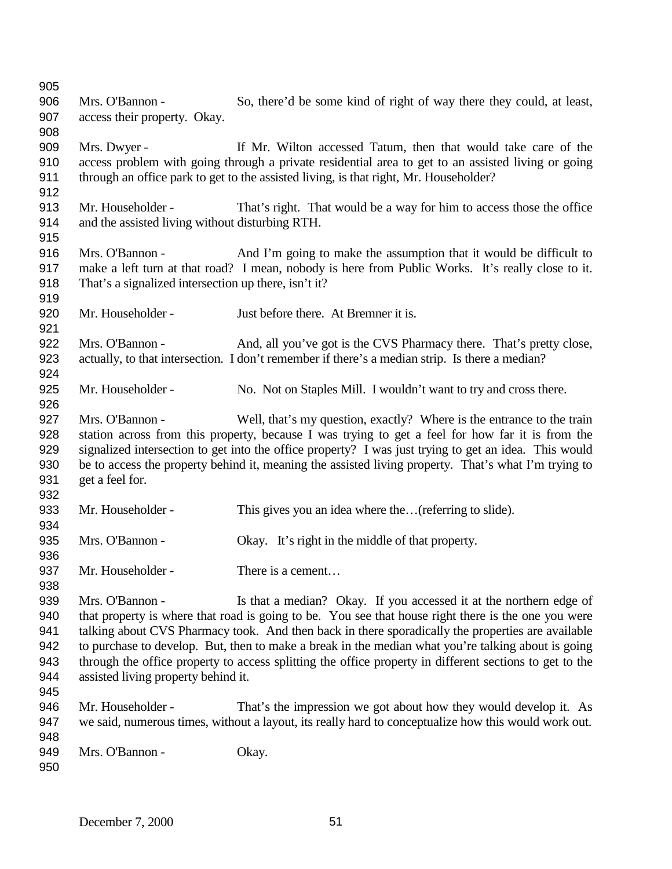| 905 |                                                      |                                                                                                         |
|-----|------------------------------------------------------|---------------------------------------------------------------------------------------------------------|
| 906 | Mrs. O'Bannon -                                      | So, there'd be some kind of right of way there they could, at least,                                    |
| 907 | access their property. Okay.                         |                                                                                                         |
| 908 |                                                      |                                                                                                         |
| 909 | Mrs. Dwyer -                                         | If Mr. Wilton accessed Tatum, then that would take care of the                                          |
| 910 |                                                      | access problem with going through a private residential area to get to an assisted living or going      |
| 911 |                                                      | through an office park to get to the assisted living, is that right, Mr. Householder?                   |
| 912 |                                                      |                                                                                                         |
| 913 | Mr. Householder -                                    | That's right. That would be a way for him to access those the office                                    |
| 914 | and the assisted living without disturbing RTH.      |                                                                                                         |
| 915 |                                                      |                                                                                                         |
| 916 | Mrs. O'Bannon -                                      | And I'm going to make the assumption that it would be difficult to                                      |
| 917 |                                                      | make a left turn at that road? I mean, nobody is here from Public Works. It's really close to it.       |
| 918 | That's a signalized intersection up there, isn't it? |                                                                                                         |
| 919 |                                                      |                                                                                                         |
| 920 | Mr. Householder -                                    | Just before there. At Bremner it is.                                                                    |
| 921 |                                                      |                                                                                                         |
| 922 | Mrs. O'Bannon -                                      | And, all you've got is the CVS Pharmacy there. That's pretty close,                                     |
| 923 |                                                      | actually, to that intersection. I don't remember if there's a median strip. Is there a median?          |
| 924 |                                                      |                                                                                                         |
| 925 | Mr. Householder -                                    | No. Not on Staples Mill. I wouldn't want to try and cross there.                                        |
| 926 |                                                      |                                                                                                         |
| 927 | Mrs. O'Bannon -                                      | Well, that's my question, exactly? Where is the entrance to the train                                   |
| 928 |                                                      | station across from this property, because I was trying to get a feel for how far it is from the        |
| 929 |                                                      | signalized intersection to get into the office property? I was just trying to get an idea. This would   |
| 930 |                                                      | be to access the property behind it, meaning the assisted living property. That's what I'm trying to    |
| 931 | get a feel for.                                      |                                                                                                         |
| 932 |                                                      |                                                                                                         |
| 933 | Mr. Householder -                                    | This gives you an idea where the(referring to slide).                                                   |
| 934 |                                                      |                                                                                                         |
| 935 | Mrs. O'Bannon -                                      | Okay. It's right in the middle of that property.                                                        |
| 936 |                                                      |                                                                                                         |
| 937 | Mr. Householder -                                    | There is a cement                                                                                       |
| 938 |                                                      |                                                                                                         |
| 939 | Mrs. O'Bannon -                                      | Is that a median? Okay. If you accessed it at the northern edge of                                      |
| 940 |                                                      | that property is where that road is going to be. You see that house right there is the one you were     |
| 941 |                                                      | talking about CVS Pharmacy took. And then back in there sporadically the properties are available       |
| 942 |                                                      | to purchase to develop. But, then to make a break in the median what you're talking about is going      |
| 943 |                                                      | through the office property to access splitting the office property in different sections to get to the |
| 944 | assisted living property behind it.                  |                                                                                                         |
| 945 |                                                      |                                                                                                         |
| 946 | Mr. Householder -                                    | That's the impression we got about how they would develop it. As                                        |
| 947 |                                                      | we said, numerous times, without a layout, its really hard to conceptualize how this would work out.    |
| 948 |                                                      |                                                                                                         |
| 949 | Mrs. O'Bannon -                                      | Okay.                                                                                                   |
| 950 |                                                      |                                                                                                         |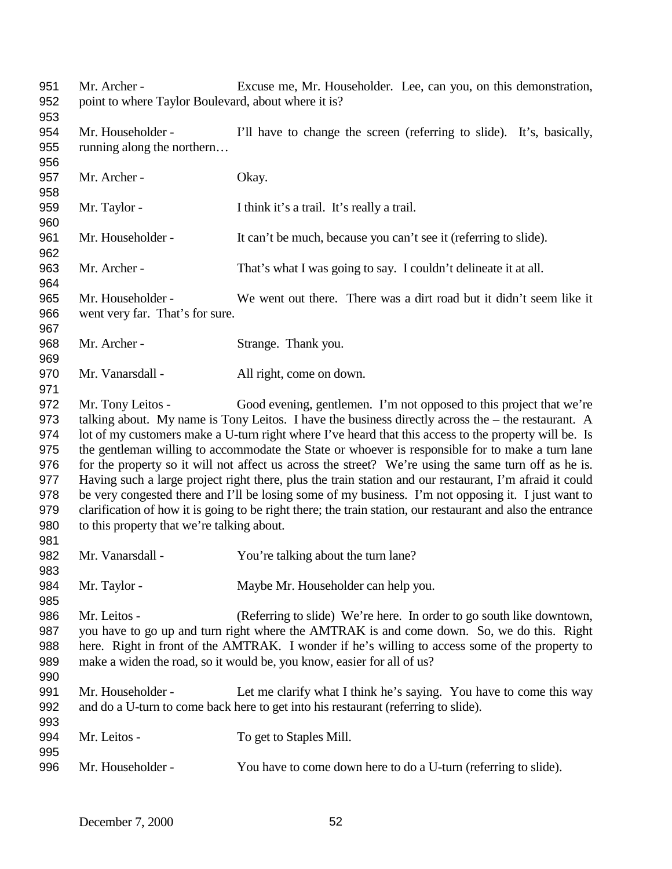Mr. Archer - Excuse me, Mr. Householder. Lee, can you, on this demonstration, point to where Taylor Boulevard, about where it is? Mr. Householder - I'll have to change the screen (referring to slide). It's, basically, running along the northern… 957 Mr. Archer - Okay. Mr. Taylor - I think it's a trail. It's really a trail. Mr. Householder - It can't be much, because you can't see it (referring to slide). Mr. Archer - That's what I was going to say. I couldn't delineate it at all. Mr. Householder - We went out there. There was a dirt road but it didn't seem like it went very far. That's for sure. 968 Mr. Archer - Strange. Thank you. 970 Mr. Vanarsdall - All right, come on down. Mr. Tony Leitos - Good evening, gentlemen. I'm not opposed to this project that we're talking about. My name is Tony Leitos. I have the business directly across the – the restaurant. A lot of my customers make a U-turn right where I've heard that this access to the property will be. Is the gentleman willing to accommodate the State or whoever is responsible for to make a turn lane for the property so it will not affect us across the street? We're using the same turn off as he is. Having such a large project right there, plus the train station and our restaurant, I'm afraid it could be very congested there and I'll be losing some of my business. I'm not opposing it. I just want to clarification of how it is going to be right there; the train station, our restaurant and also the entrance to this property that we're talking about. Mr. Vanarsdall - You're talking about the turn lane? 984 Mr. Taylor - Maybe Mr. Householder can help you. Mr. Leitos - (Referring to slide) We're here. In order to go south like downtown, you have to go up and turn right where the AMTRAK is and come down. So, we do this. Right here. Right in front of the AMTRAK. I wonder if he's willing to access some of the property to make a widen the road, so it would be, you know, easier for all of us? Mr. Householder - Let me clarify what I think he's saying. You have to come this way and do a U-turn to come back here to get into his restaurant (referring to slide). 994 Mr. Leitos - To get to Staples Mill. Mr. Householder - You have to come down here to do a U-turn (referring to slide).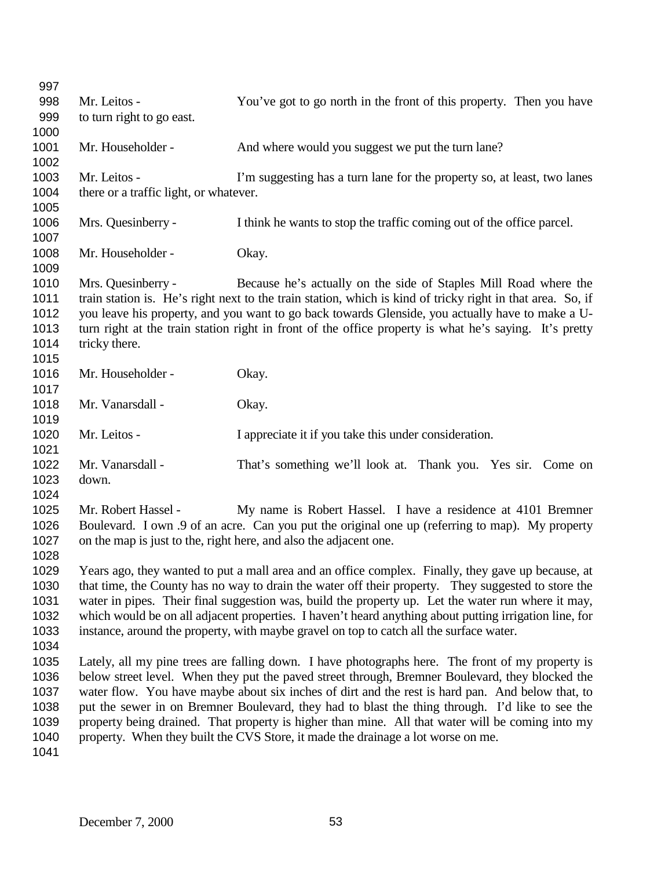| 997  |                                        |                                                                                                            |
|------|----------------------------------------|------------------------------------------------------------------------------------------------------------|
| 998  | Mr. Leitos -                           | You've got to go north in the front of this property. Then you have                                        |
| 999  | to turn right to go east.              |                                                                                                            |
| 1000 |                                        |                                                                                                            |
| 1001 | Mr. Householder -                      | And where would you suggest we put the turn lane?                                                          |
| 1002 |                                        |                                                                                                            |
| 1003 | Mr. Leitos -                           | I'm suggesting has a turn lane for the property so, at least, two lanes                                    |
| 1004 | there or a traffic light, or whatever. |                                                                                                            |
| 1005 |                                        |                                                                                                            |
| 1006 | Mrs. Quesinberry -                     | I think he wants to stop the traffic coming out of the office parcel.                                      |
| 1007 |                                        |                                                                                                            |
| 1008 | Mr. Householder -                      | Okay.                                                                                                      |
| 1009 |                                        |                                                                                                            |
| 1010 | Mrs. Quesinberry -                     | Because he's actually on the side of Staples Mill Road where the                                           |
| 1011 |                                        | train station is. He's right next to the train station, which is kind of tricky right in that area. So, if |
| 1012 |                                        | you leave his property, and you want to go back towards Glenside, you actually have to make a U-           |
| 1013 |                                        | turn right at the train station right in front of the office property is what he's saying. It's pretty     |
| 1014 | tricky there.                          |                                                                                                            |
| 1015 |                                        |                                                                                                            |
| 1016 | Mr. Householder -                      | Okay.                                                                                                      |
| 1017 |                                        |                                                                                                            |
| 1018 | Mr. Vanarsdall -                       | Okay.                                                                                                      |
| 1019 |                                        |                                                                                                            |
| 1020 | Mr. Leitos -                           | I appreciate it if you take this under consideration.                                                      |
| 1021 |                                        |                                                                                                            |
| 1022 | Mr. Vanarsdall -                       | That's something we'll look at. Thank you. Yes sir. Come on                                                |
| 1023 | down.                                  |                                                                                                            |
| 1024 |                                        |                                                                                                            |
| 1025 | Mr. Robert Hassel -                    | My name is Robert Hassel. I have a residence at 4101 Bremner                                               |
| 1026 |                                        | Boulevard. I own .9 of an acre. Can you put the original one up (referring to map). My property            |
| 1027 |                                        | on the map is just to the, right here, and also the adjacent one.                                          |
| 1028 |                                        |                                                                                                            |
| 1029 |                                        | Years ago, they wanted to put a mall area and an office complex. Finally, they gave up because, at         |
| 1030 |                                        | that time, the County has no way to drain the water off their property. They suggested to store the        |
| 1031 |                                        | water in pipes. Their final suggestion was, build the property up. Let the water run where it may,         |
| 1032 |                                        | which would be on all adjacent properties. I haven't heard anything about putting irrigation line, for     |
| 1033 |                                        | instance, around the property, with maybe gravel on top to catch all the surface water.                    |
| 1034 |                                        |                                                                                                            |
| 1035 |                                        | Lately, all my pine trees are falling down. I have photographs here. The front of my property is           |
| 1036 |                                        | below street level. When they put the paved street through, Bremner Boulevard, they blocked the            |
| 1037 |                                        | water flow. You have maybe about six inches of dirt and the rest is hard pan. And below that, to           |
| 1038 |                                        | put the sewer in on Bremner Boulevard, they had to blast the thing through. I'd like to see the            |
| 1039 |                                        | property being drained. That property is higher than mine. All that water will be coming into my           |
| 1040 |                                        | property. When they built the CVS Store, it made the drainage a lot worse on me.                           |
|      |                                        |                                                                                                            |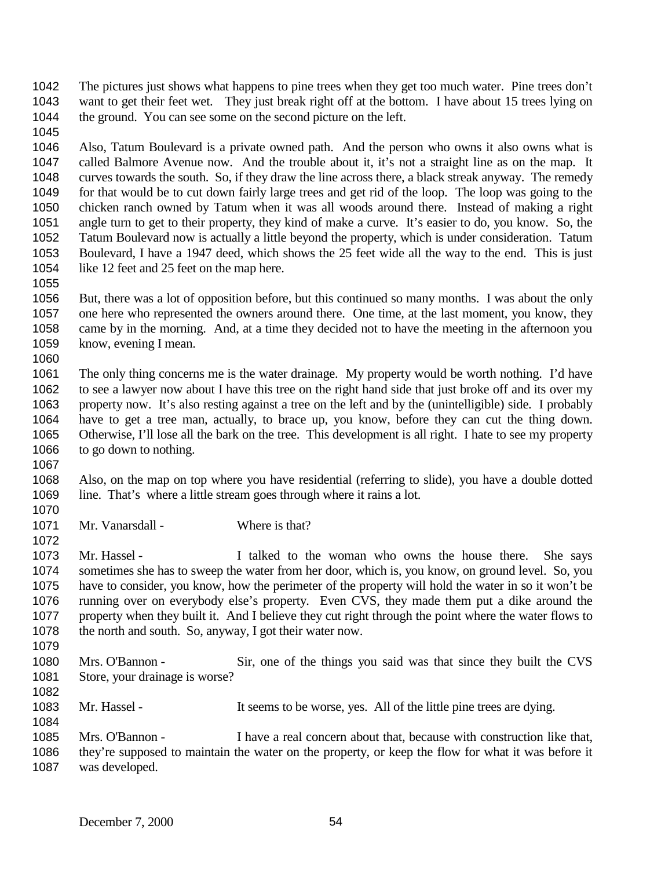The pictures just shows what happens to pine trees when they get too much water. Pine trees don't want to get their feet wet. They just break right off at the bottom. I have about 15 trees lying on 1044 the ground. You can see some on the second picture on the left.

 Also, Tatum Boulevard is a private owned path. And the person who owns it also owns what is called Balmore Avenue now. And the trouble about it, it's not a straight line as on the map. It curves towards the south. So, if they draw the line across there, a black streak anyway. The remedy for that would be to cut down fairly large trees and get rid of the loop. The loop was going to the chicken ranch owned by Tatum when it was all woods around there. Instead of making a right angle turn to get to their property, they kind of make a curve. It's easier to do, you know. So, the Tatum Boulevard now is actually a little beyond the property, which is under consideration. Tatum Boulevard, I have a 1947 deed, which shows the 25 feet wide all the way to the end. This is just 1054 like 12 feet and 25 feet on the map here.

 But, there was a lot of opposition before, but this continued so many months. I was about the only one here who represented the owners around there. One time, at the last moment, you know, they came by in the morning. And, at a time they decided not to have the meeting in the afternoon you know, evening I mean. 

 The only thing concerns me is the water drainage. My property would be worth nothing. I'd have to see a lawyer now about I have this tree on the right hand side that just broke off and its over my property now. It's also resting against a tree on the left and by the (unintelligible) side. I probably have to get a tree man, actually, to brace up, you know, before they can cut the thing down. Otherwise, I'll lose all the bark on the tree. This development is all right. I hate to see my property to go down to nothing.

 Also, on the map on top where you have residential (referring to slide), you have a double dotted 1069 line. That's where a little stream goes through where it rains a lot.

1071 Mr. Vanarsdall - Where is that?

1073 Mr. Hassel - I talked to the woman who owns the house there. She says sometimes she has to sweep the water from her door, which is, you know, on ground level. So, you have to consider, you know, how the perimeter of the property will hold the water in so it won't be running over on everybody else's property. Even CVS, they made them put a dike around the property when they built it. And I believe they cut right through the point where the water flows to 1078 the north and south. So, anyway, I got their water now. 

- Mrs. O'Bannon Sir, one of the things you said was that since they built the CVS 1081 Store, your drainage is worse?
- 

1083 Mr. Hassel - It seems to be worse, yes. All of the little pine trees are dying.

 Mrs. O'Bannon - I have a real concern about that, because with construction like that, they're supposed to maintain the water on the property, or keep the flow for what it was before it was developed.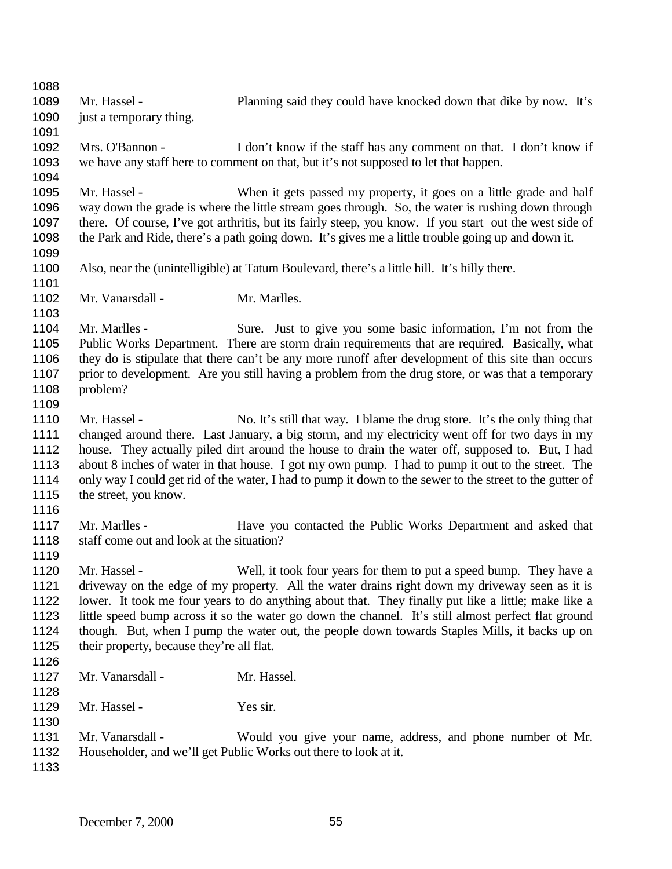Mr. Hassel - Planning said they could have knocked down that dike by now. It's 1090 just a temporary thing. Mrs. O'Bannon - I don't know if the staff has any comment on that. I don't know if we have any staff here to comment on that, but it's not supposed to let that happen. Mr. Hassel - When it gets passed my property, it goes on a little grade and half way down the grade is where the little stream goes through. So, the water is rushing down through there. Of course, I've got arthritis, but its fairly steep, you know. If you start out the west side of the Park and Ride, there's a path going down. It's gives me a little trouble going up and down it. Also, near the (unintelligible) at Tatum Boulevard, there's a little hill. It's hilly there. 1102 Mr. Vanarsdall - Mr. Marlles. Mr. Marlles - Sure. Just to give you some basic information, I'm not from the Public Works Department. There are storm drain requirements that are required. Basically, what they do is stipulate that there can't be any more runoff after development of this site than occurs prior to development. Are you still having a problem from the drug store, or was that a temporary problem? 1110 Mr. Hassel - No. It's still that way. I blame the drug store. It's the only thing that changed around there. Last January, a big storm, and my electricity went off for two days in my house. They actually piled dirt around the house to drain the water off, supposed to. But, I had about 8 inches of water in that house. I got my own pump. I had to pump it out to the street. The only way I could get rid of the water, I had to pump it down to the sewer to the street to the gutter of 1115 the street, you know. Mr. Marlles - Have you contacted the Public Works Department and asked that staff come out and look at the situation? Mr. Hassel - Well, it took four years for them to put a speed bump. They have a driveway on the edge of my property. All the water drains right down my driveway seen as it is lower. It took me four years to do anything about that. They finally put like a little; make like a little speed bump across it so the water go down the channel. It's still almost perfect flat ground though. But, when I pump the water out, the people down towards Staples Mills, it backs up on their property, because they're all flat. Mr. Vanarsdall - Mr. Hassel. 1129 Mr. Hassel - Yes sir. Mr. Vanarsdall - Would you give your name, address, and phone number of Mr. Householder, and we'll get Public Works out there to look at it.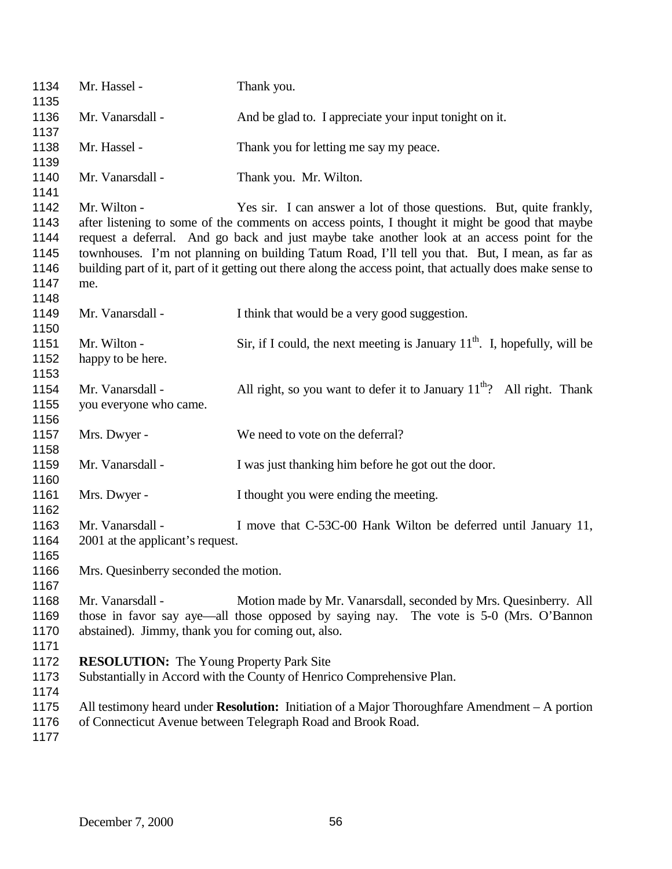| 1134<br>1135 | Mr. Hassel -                                       | Thank you.                                                                                                 |
|--------------|----------------------------------------------------|------------------------------------------------------------------------------------------------------------|
| 1136<br>1137 | Mr. Vanarsdall -                                   | And be glad to. I appreciate your input tonight on it.                                                     |
| 1138<br>1139 | Mr. Hassel -                                       | Thank you for letting me say my peace.                                                                     |
| 1140<br>1141 | Mr. Vanarsdall -                                   | Thank you. Mr. Wilton.                                                                                     |
| 1142         | Mr. Wilton -                                       | Yes sir. I can answer a lot of those questions. But, quite frankly,                                        |
| 1143         |                                                    | after listening to some of the comments on access points, I thought it might be good that maybe            |
| 1144         |                                                    | request a deferral. And go back and just maybe take another look at an access point for the                |
| 1145         |                                                    | townhouses. I'm not planning on building Tatum Road, I'll tell you that. But, I mean, as far as            |
| 1146         |                                                    | building part of it, part of it getting out there along the access point, that actually does make sense to |
| 1147         | me.                                                |                                                                                                            |
| 1148         |                                                    |                                                                                                            |
| 1149         | Mr. Vanarsdall -                                   | I think that would be a very good suggestion.                                                              |
| 1150         |                                                    |                                                                                                            |
| 1151         | Mr. Wilton -                                       | Sir, if I could, the next meeting is January $11th$ . I, hopefully, will be                                |
| 1152         | happy to be here.                                  |                                                                                                            |
| 1153         |                                                    |                                                                                                            |
| 1154         | Mr. Vanarsdall -                                   | All right, so you want to defer it to January $11^{th}$ ? All right. Thank                                 |
| 1155         | you everyone who came.                             |                                                                                                            |
| 1156         |                                                    |                                                                                                            |
| 1157         | Mrs. Dwyer -                                       | We need to vote on the deferral?                                                                           |
| 1158         |                                                    |                                                                                                            |
| 1159         | Mr. Vanarsdall -                                   | I was just thanking him before he got out the door.                                                        |
| 1160         |                                                    |                                                                                                            |
| 1161         | Mrs. Dwyer -                                       | I thought you were ending the meeting.                                                                     |
| 1162         |                                                    |                                                                                                            |
| 1163         | Mr. Vanarsdall -                                   | I move that C-53C-00 Hank Wilton be deferred until January 11,                                             |
| 1164         | 2001 at the applicant's request.                   |                                                                                                            |
| 1165         |                                                    |                                                                                                            |
| 1166         | Mrs. Quesinberry seconded the motion.              |                                                                                                            |
| 1167         |                                                    |                                                                                                            |
| 1168         | Mr. Vanarsdall -                                   | Motion made by Mr. Vanarsdall, seconded by Mrs. Quesinberry. All                                           |
| 1169         |                                                    | those in favor say aye—all those opposed by saying nay. The vote is 5-0 (Mrs. O'Bannon                     |
| 1170         | abstained). Jimmy, thank you for coming out, also. |                                                                                                            |
| 1171         |                                                    |                                                                                                            |
| 1172         | <b>RESOLUTION:</b> The Young Property Park Site    |                                                                                                            |
| 1173         |                                                    | Substantially in Accord with the County of Henrico Comprehensive Plan.                                     |
| 1174         |                                                    |                                                                                                            |
| 1175         |                                                    | All testimony heard under <b>Resolution:</b> Initiation of a Major Thoroughfare Amendment $-$ A portion    |
| 1176         |                                                    | of Connecticut Avenue between Telegraph Road and Brook Road.                                               |
| 1177         |                                                    |                                                                                                            |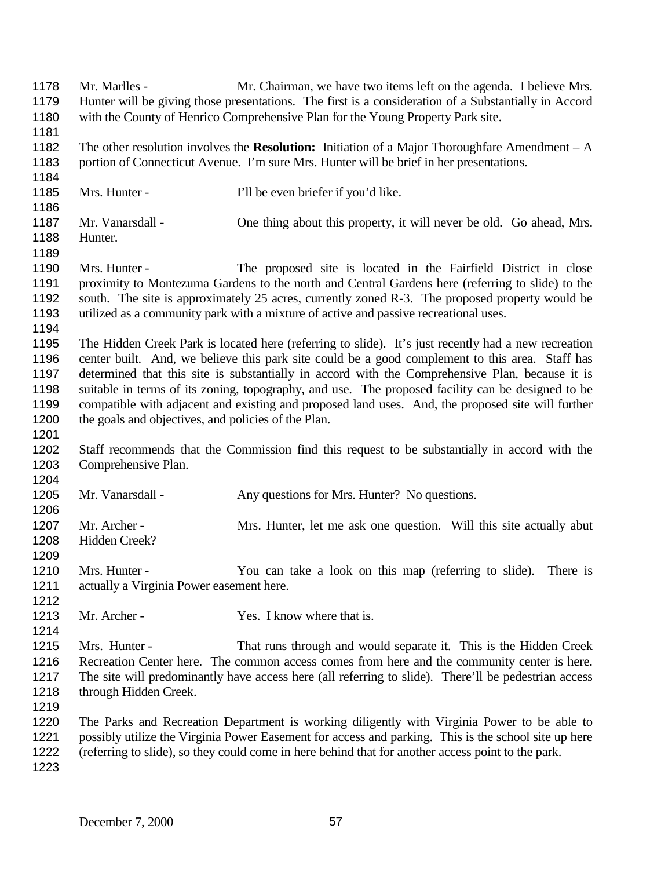Mr. Marlles - Mr. Chairman, we have two items left on the agenda. I believe Mrs. Hunter will be giving those presentations. The first is a consideration of a Substantially in Accord with the County of Henrico Comprehensive Plan for the Young Property Park site. The other resolution involves the **Resolution:** Initiation of a Major Thoroughfare Amendment – A portion of Connecticut Avenue. I'm sure Mrs. Hunter will be brief in her presentations. Mrs. Hunter - I'll be even briefer if you'd like. Mr. Vanarsdall - One thing about this property, it will never be old. Go ahead, Mrs. Hunter. Mrs. Hunter - The proposed site is located in the Fairfield District in close proximity to Montezuma Gardens to the north and Central Gardens here (referring to slide) to the south. The site is approximately 25 acres, currently zoned R-3. The proposed property would be utilized as a community park with a mixture of active and passive recreational uses. The Hidden Creek Park is located here (referring to slide). It's just recently had a new recreation center built. And, we believe this park site could be a good complement to this area. Staff has determined that this site is substantially in accord with the Comprehensive Plan, because it is suitable in terms of its zoning, topography, and use. The proposed facility can be designed to be compatible with adjacent and existing and proposed land uses. And, the proposed site will further the goals and objectives, and policies of the Plan. Staff recommends that the Commission find this request to be substantially in accord with the Comprehensive Plan. 1205 Mr. Vanarsdall - Any questions for Mrs. Hunter? No questions. 1207 Mr. Archer - Mrs. Hunter, let me ask one question. Will this site actually abut Hidden Creek? Mrs. Hunter - You can take a look on this map (referring to slide). There is actually a Virginia Power easement here. 1213 Mr. Archer - Yes. I know where that is. Mrs. Hunter - That runs through and would separate it. This is the Hidden Creek Recreation Center here. The common access comes from here and the community center is here. The site will predominantly have access here (all referring to slide). There'll be pedestrian access through Hidden Creek. The Parks and Recreation Department is working diligently with Virginia Power to be able to possibly utilize the Virginia Power Easement for access and parking. This is the school site up here (referring to slide), so they could come in here behind that for another access point to the park.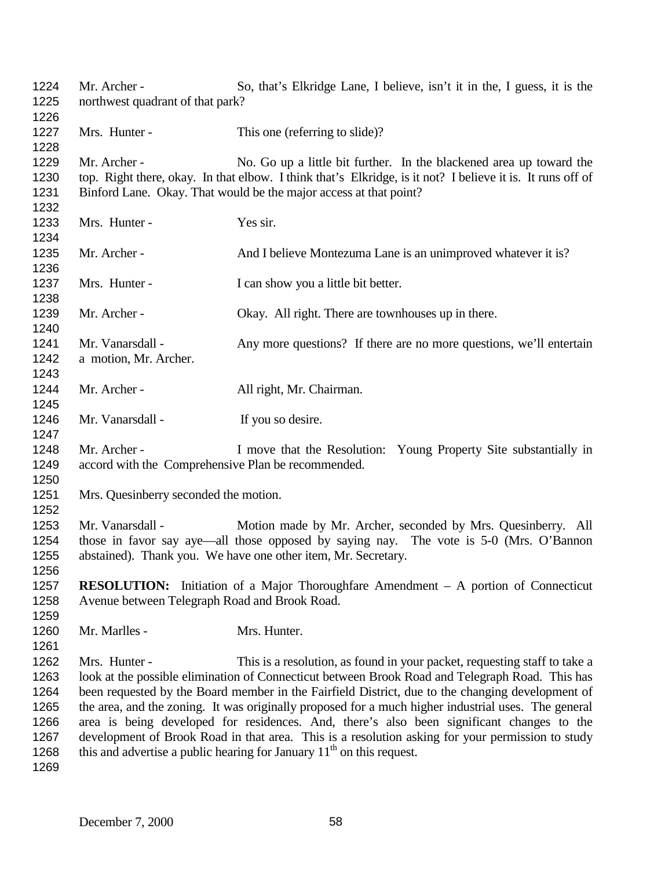| 1224<br>1225                                                 | Mr. Archer -<br>northwest quadrant of that park?                                                                                            | So, that's Elkridge Lane, I believe, isn't it in the, I guess, it is the                                                                                                                                                                                                                                                                                                                                                                                                                                                                                                                                                                                            |
|--------------------------------------------------------------|---------------------------------------------------------------------------------------------------------------------------------------------|---------------------------------------------------------------------------------------------------------------------------------------------------------------------------------------------------------------------------------------------------------------------------------------------------------------------------------------------------------------------------------------------------------------------------------------------------------------------------------------------------------------------------------------------------------------------------------------------------------------------------------------------------------------------|
| 1226<br>1227<br>1228                                         | Mrs. Hunter -                                                                                                                               | This one (referring to slide)?                                                                                                                                                                                                                                                                                                                                                                                                                                                                                                                                                                                                                                      |
| 1229<br>1230<br>1231<br>1232                                 | Mr. Archer -                                                                                                                                | No. Go up a little bit further. In the blackened area up toward the<br>top. Right there, okay. In that elbow. I think that's Elkridge, is it not? I believe it is. It runs off of<br>Binford Lane. Okay. That would be the major access at that point?                                                                                                                                                                                                                                                                                                                                                                                                              |
| 1233<br>1234                                                 | Mrs. Hunter -                                                                                                                               | Yes sir.                                                                                                                                                                                                                                                                                                                                                                                                                                                                                                                                                                                                                                                            |
| 1235<br>1236                                                 | Mr. Archer -                                                                                                                                | And I believe Montezuma Lane is an unimproved whatever it is?                                                                                                                                                                                                                                                                                                                                                                                                                                                                                                                                                                                                       |
| 1237<br>1238                                                 | Mrs. Hunter -                                                                                                                               | I can show you a little bit better.                                                                                                                                                                                                                                                                                                                                                                                                                                                                                                                                                                                                                                 |
| 1239<br>1240                                                 | Mr. Archer -                                                                                                                                | Okay. All right. There are townhouses up in there.                                                                                                                                                                                                                                                                                                                                                                                                                                                                                                                                                                                                                  |
| 1241<br>1242<br>1243                                         | Mr. Vanarsdall -<br>a motion, Mr. Archer.                                                                                                   | Any more questions? If there are no more questions, we'll entertain                                                                                                                                                                                                                                                                                                                                                                                                                                                                                                                                                                                                 |
| 1244<br>1245                                                 | Mr. Archer -                                                                                                                                | All right, Mr. Chairman.                                                                                                                                                                                                                                                                                                                                                                                                                                                                                                                                                                                                                                            |
| 1246<br>1247                                                 | Mr. Vanarsdall -                                                                                                                            | If you so desire.                                                                                                                                                                                                                                                                                                                                                                                                                                                                                                                                                                                                                                                   |
| 1248<br>1249<br>1250                                         | Mr. Archer -<br>accord with the Comprehensive Plan be recommended.                                                                          | I move that the Resolution: Young Property Site substantially in                                                                                                                                                                                                                                                                                                                                                                                                                                                                                                                                                                                                    |
| 1251<br>1252                                                 | Mrs. Quesinberry seconded the motion.                                                                                                       |                                                                                                                                                                                                                                                                                                                                                                                                                                                                                                                                                                                                                                                                     |
| 1253<br>1254<br>1255<br>1256                                 | Mr. Vanarsdall -                                                                                                                            | Motion made by Mr. Archer, seconded by Mrs. Quesinberry. All<br>those in favor say aye—all those opposed by saying nay. The vote is 5-0 (Mrs. O'Bannon<br>abstained). Thank you. We have one other item, Mr. Secretary.                                                                                                                                                                                                                                                                                                                                                                                                                                             |
| 1257<br>1258<br>1259                                         | <b>RESOLUTION:</b> Initiation of a Major Thoroughfare Amendment – A portion of Connecticut<br>Avenue between Telegraph Road and Brook Road. |                                                                                                                                                                                                                                                                                                                                                                                                                                                                                                                                                                                                                                                                     |
| 1260<br>1261                                                 | Mr. Marlles -                                                                                                                               | Mrs. Hunter.                                                                                                                                                                                                                                                                                                                                                                                                                                                                                                                                                                                                                                                        |
| 1262<br>1263<br>1264<br>1265<br>1266<br>1267<br>1268<br>1269 | Mrs. Hunter -                                                                                                                               | This is a resolution, as found in your packet, requesting staff to take a<br>look at the possible elimination of Connecticut between Brook Road and Telegraph Road. This has<br>been requested by the Board member in the Fairfield District, due to the changing development of<br>the area, and the zoning. It was originally proposed for a much higher industrial uses. The general<br>area is being developed for residences. And, there's also been significant changes to the<br>development of Brook Road in that area. This is a resolution asking for your permission to study<br>this and advertise a public hearing for January $11th$ on this request. |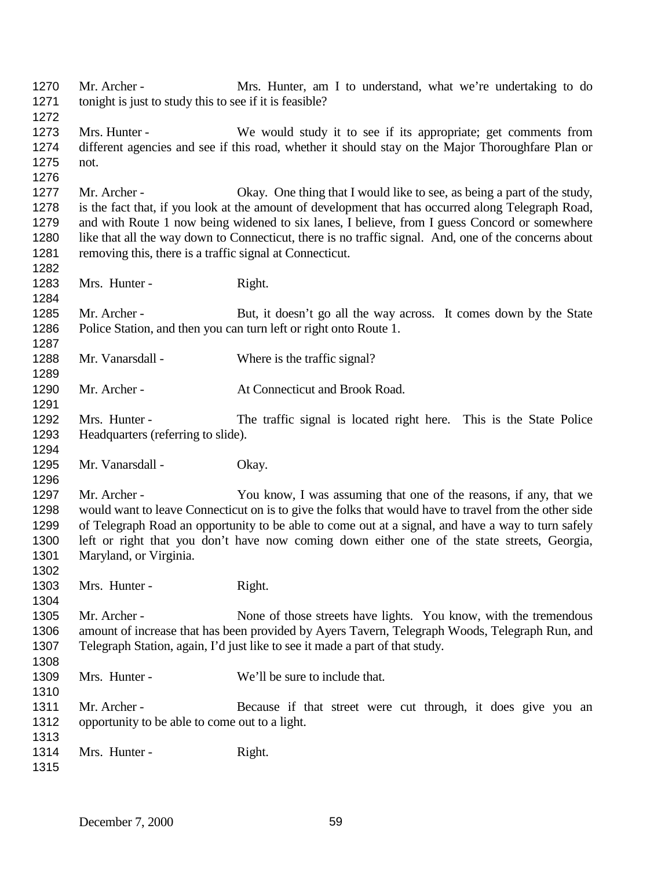Mr. Archer - Mrs. Hunter, am I to understand, what we're undertaking to do 1271 tonight is just to study this to see if it is feasible? Mrs. Hunter - We would study it to see if its appropriate; get comments from different agencies and see if this road, whether it should stay on the Major Thoroughfare Plan or not. Mr. Archer - Okay. One thing that I would like to see, as being a part of the study, is the fact that, if you look at the amount of development that has occurred along Telegraph Road, and with Route 1 now being widened to six lanes, I believe, from I guess Concord or somewhere like that all the way down to Connecticut, there is no traffic signal. And, one of the concerns about 1281 removing this, there is a traffic signal at Connecticut. 1283 Mrs. Hunter - Right. 1285 Mr. Archer - But, it doesn't go all the way across. It comes down by the State Police Station, and then you can turn left or right onto Route 1. Mr. Vanarsdall - Where is the traffic signal? 1290 Mr. Archer - At Connecticut and Brook Road. Mrs. Hunter - The traffic signal is located right here. This is the State Police Headquarters (referring to slide). 1295 Mr. Vanarsdall - Okay. 1297 Mr. Archer - You know, I was assuming that one of the reasons, if any, that we would want to leave Connecticut on is to give the folks that would have to travel from the other side of Telegraph Road an opportunity to be able to come out at a signal, and have a way to turn safely left or right that you don't have now coming down either one of the state streets, Georgia, Maryland, or Virginia. 1303 Mrs. Hunter - Right. 1305 Mr. Archer - None of those streets have lights. You know, with the tremendous amount of increase that has been provided by Ayers Tavern, Telegraph Woods, Telegraph Run, and Telegraph Station, again, I'd just like to see it made a part of that study. 1309 Mrs. Hunter - We'll be sure to include that. 1311 Mr. Archer - Because if that street were cut through, it does give you an opportunity to be able to come out to a light. 1314 Mrs. Hunter - Right.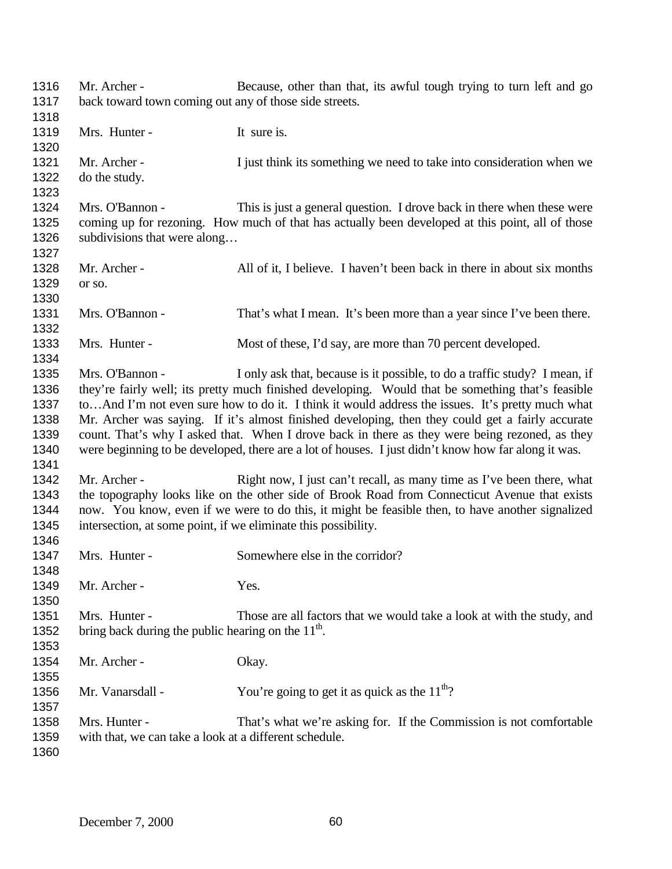| 1316 | Mr. Archer -                                                                                     | Because, other than that, its awful tough trying to turn left and go                                |  |
|------|--------------------------------------------------------------------------------------------------|-----------------------------------------------------------------------------------------------------|--|
| 1317 | back toward town coming out any of those side streets.                                           |                                                                                                     |  |
| 1318 |                                                                                                  |                                                                                                     |  |
| 1319 | Mrs. Hunter -                                                                                    | It sure is.                                                                                         |  |
| 1320 |                                                                                                  |                                                                                                     |  |
| 1321 | Mr. Archer -                                                                                     | I just think its something we need to take into consideration when we                               |  |
| 1322 | do the study.                                                                                    |                                                                                                     |  |
| 1323 |                                                                                                  |                                                                                                     |  |
| 1324 | Mrs. O'Bannon -                                                                                  | This is just a general question. I drove back in there when these were                              |  |
| 1325 |                                                                                                  | coming up for rezoning. How much of that has actually been developed at this point, all of those    |  |
| 1326 | subdivisions that were along                                                                     |                                                                                                     |  |
| 1327 |                                                                                                  |                                                                                                     |  |
| 1328 | Mr. Archer -                                                                                     | All of it, I believe. I haven't been back in there in about six months                              |  |
| 1329 | or so.                                                                                           |                                                                                                     |  |
| 1330 |                                                                                                  |                                                                                                     |  |
| 1331 | Mrs. O'Bannon -                                                                                  | That's what I mean. It's been more than a year since I've been there.                               |  |
| 1332 |                                                                                                  |                                                                                                     |  |
| 1333 | Mrs. Hunter -                                                                                    | Most of these, I'd say, are more than 70 percent developed.                                         |  |
| 1334 |                                                                                                  |                                                                                                     |  |
| 1335 | Mrs. O'Bannon -                                                                                  | I only ask that, because is it possible, to do a traffic study? I mean, if                          |  |
| 1336 |                                                                                                  | they're fairly well; its pretty much finished developing. Would that be something that's feasible   |  |
| 1337 |                                                                                                  | toAnd I'm not even sure how to do it. I think it would address the issues. It's pretty much what    |  |
| 1338 | Mr. Archer was saying. If it's almost finished developing, then they could get a fairly accurate |                                                                                                     |  |
| 1339 | count. That's why I asked that. When I drove back in there as they were being rezoned, as they   |                                                                                                     |  |
| 1340 |                                                                                                  | were beginning to be developed, there are a lot of houses. I just didn't know how far along it was. |  |
| 1341 |                                                                                                  |                                                                                                     |  |
| 1342 | Mr. Archer -                                                                                     | Right now, I just can't recall, as many time as I've been there, what                               |  |
| 1343 |                                                                                                  | the topography looks like on the other side of Brook Road from Connecticut Avenue that exists       |  |
| 1344 |                                                                                                  | now. You know, even if we were to do this, it might be feasible then, to have another signalized    |  |
| 1345 | intersection, at some point, if we eliminate this possibility.                                   |                                                                                                     |  |
| 1346 |                                                                                                  |                                                                                                     |  |
| 1347 | Mrs. Hunter -                                                                                    | Somewhere else in the corridor?                                                                     |  |
| 1348 |                                                                                                  |                                                                                                     |  |
| 1349 | Mr. Archer -                                                                                     | Yes.                                                                                                |  |
| 1350 |                                                                                                  |                                                                                                     |  |
| 1351 | Mrs. Hunter -                                                                                    | Those are all factors that we would take a look at with the study, and                              |  |
| 1352 | bring back during the public hearing on the $11th$ .                                             |                                                                                                     |  |
| 1353 |                                                                                                  |                                                                                                     |  |
| 1354 | Mr. Archer -                                                                                     | Okay.                                                                                               |  |
| 1355 |                                                                                                  |                                                                                                     |  |
| 1356 | Mr. Vanarsdall -                                                                                 | You're going to get it as quick as the $11^{th}$ ?                                                  |  |
| 1357 |                                                                                                  |                                                                                                     |  |
| 1358 | Mrs. Hunter -                                                                                    | That's what we're asking for. If the Commission is not comfortable                                  |  |
| 1359 | with that, we can take a look at a different schedule.                                           |                                                                                                     |  |
| 1360 |                                                                                                  |                                                                                                     |  |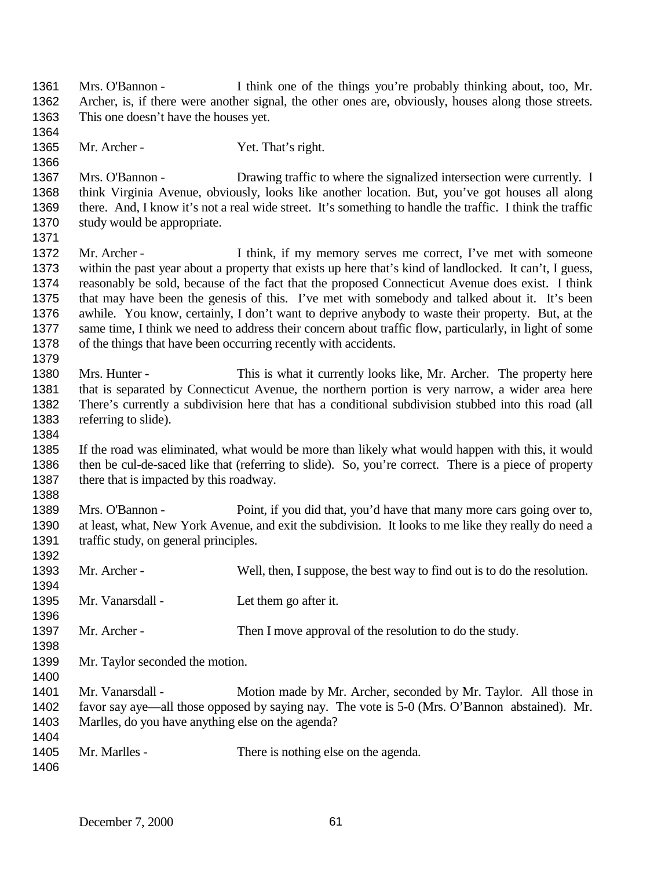Mrs. O'Bannon - I think one of the things you're probably thinking about, too, Mr. Archer, is, if there were another signal, the other ones are, obviously, houses along those streets. This one doesn't have the houses yet. 1365 Mr. Archer - Yet. That's right. Mrs. O'Bannon - Drawing traffic to where the signalized intersection were currently. I think Virginia Avenue, obviously, looks like another location. But, you've got houses all along there. And, I know it's not a real wide street. It's something to handle the traffic. I think the traffic study would be appropriate. Mr. Archer - I think, if my memory serves me correct, I've met with someone within the past year about a property that exists up here that's kind of landlocked. It can't, I guess, reasonably be sold, because of the fact that the proposed Connecticut Avenue does exist. I think that may have been the genesis of this. I've met with somebody and talked about it. It's been awhile. You know, certainly, I don't want to deprive anybody to waste their property. But, at the same time, I think we need to address their concern about traffic flow, particularly, in light of some of the things that have been occurring recently with accidents. Mrs. Hunter - This is what it currently looks like, Mr. Archer. The property here that is separated by Connecticut Avenue, the northern portion is very narrow, a wider area here There's currently a subdivision here that has a conditional subdivision stubbed into this road (all referring to slide). If the road was eliminated, what would be more than likely what would happen with this, it would then be cul-de-saced like that (referring to slide). So, you're correct. There is a piece of property 1387 there that is impacted by this roadway. Mrs. O'Bannon - Point, if you did that, you'd have that many more cars going over to, at least, what, New York Avenue, and exit the subdivision. It looks to me like they really do need a 1391 traffic study, on general principles. Mr. Archer - Well, then, I suppose, the best way to find out is to do the resolution. 1395 Mr. Vanarsdall - Let them go after it. 1397 Mr. Archer - Then I move approval of the resolution to do the study. Mr. Taylor seconded the motion. Mr. Vanarsdall - Motion made by Mr. Archer, seconded by Mr. Taylor. All those in favor say aye—all those opposed by saying nay. The vote is 5-0 (Mrs. O'Bannon abstained). Mr. Marlles, do you have anything else on the agenda? Mr. Marlles - There is nothing else on the agenda.